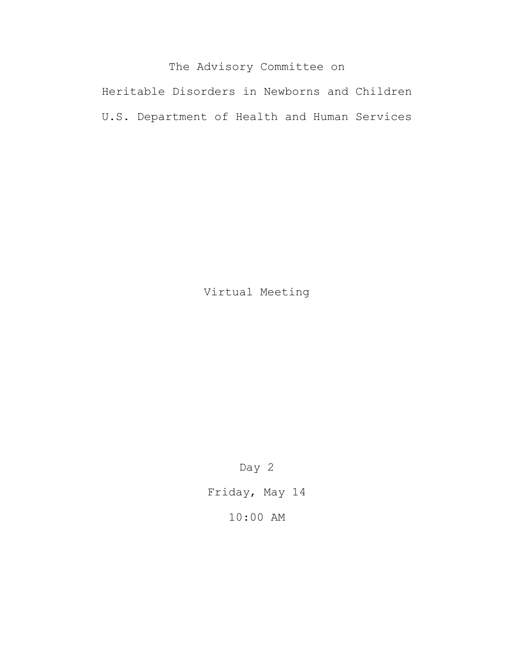# The Advisory Committee on

Heritable Disorders in Newborns and Children U.S. Department of Health and Human Services

Virtual Meeting

Day 2

Friday, May 14

10:00 AM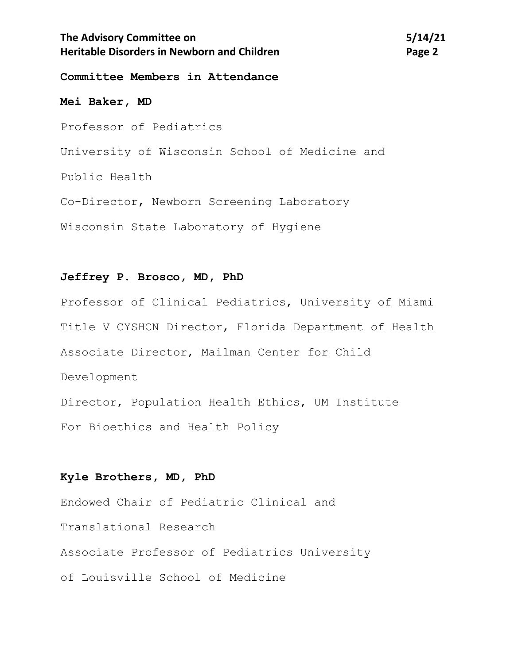## **The Advisory Committee on 5/14/21 Heritable Disorders in Newborn and Children** *Page 2* **Page 2**

#### **Committee Members in Attendance**

**Mei Baker, MD** Professor of Pediatrics University of Wisconsin School of Medicine and Public Health Co-Director, Newborn Screening Laboratory Wisconsin State Laboratory of Hygiene

### **Jeffrey P. Brosco, MD, PhD**

Professor of Clinical Pediatrics, University of Miami Title V CYSHCN Director, Florida Department of Health Associate Director, Mailman Center for Child Development Director, Population Health Ethics, UM Institute For Bioethics and Health Policy

#### **Kyle Brothers, MD, PhD**

Endowed Chair of Pediatric Clinical and Translational Research Associate Professor of Pediatrics University of Louisville School of Medicine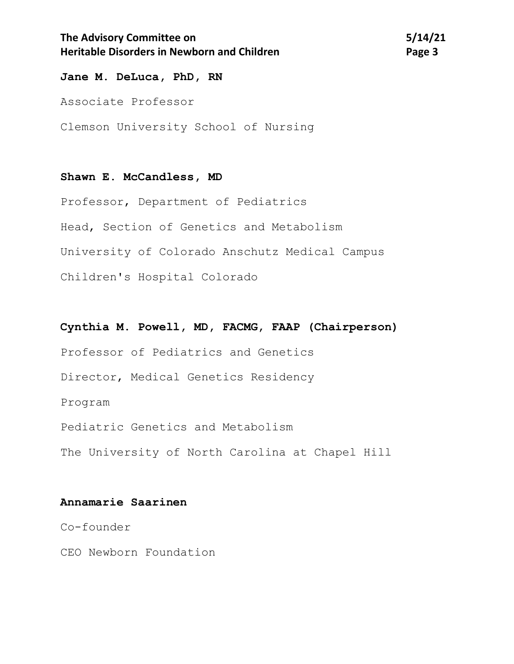## **The Advisory Committee on 5/14/21 Heritable Disorders in Newborn and Children <b>Page 3 Page 3**

### **Jane M. DeLuca, PhD, RN**

Associate Professor

Clemson University School of Nursing

### **Shawn E. McCandless, MD**

Professor, Department of Pediatrics Head, Section of Genetics and Metabolism University of Colorado Anschutz Medical Campus Children's Hospital Colorado

### **Cynthia M. Powell, MD, FACMG, FAAP (Chairperson)**

Professor of Pediatrics and Genetics

Director, Medical Genetics Residency

Program

Pediatric Genetics and Metabolism

The University of North Carolina at Chapel Hill

### **Annamarie Saarinen**

Co-founder

CEO Newborn Foundation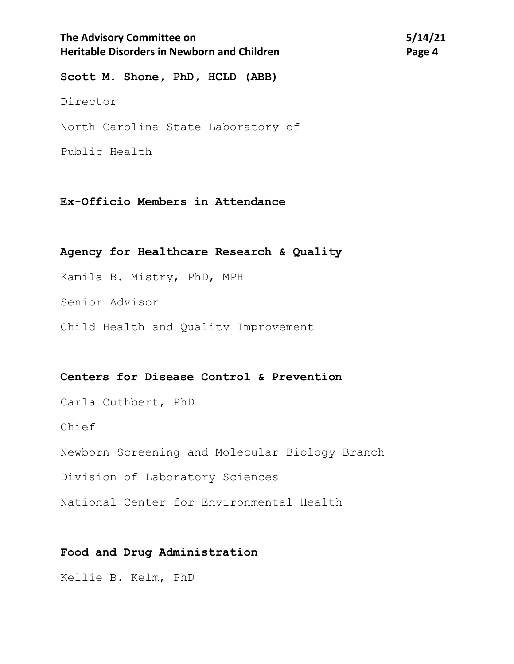## The Advisory Committee on 5/14/21 **Heritable Disorders in Newborn and Children** *Page 4* **<b>Page 4**

**Scott M. Shone, PhD, HCLD (ABB)** Director North Carolina State Laboratory of Public Health

**Ex-Officio Members in Attendance**

#### **Agency for Healthcare Research & Quality**

Kamila B. Mistry, PhD, MPH

Senior Advisor

Child Health and Quality Improvement

#### **Centers for Disease Control & Prevention**

Carla Cuthbert, PhD

Chief

Newborn Screening and Molecular Biology Branch

Division of Laboratory Sciences

National Center for Environmental Health

### **Food and Drug Administration**

Kellie B. Kelm, PhD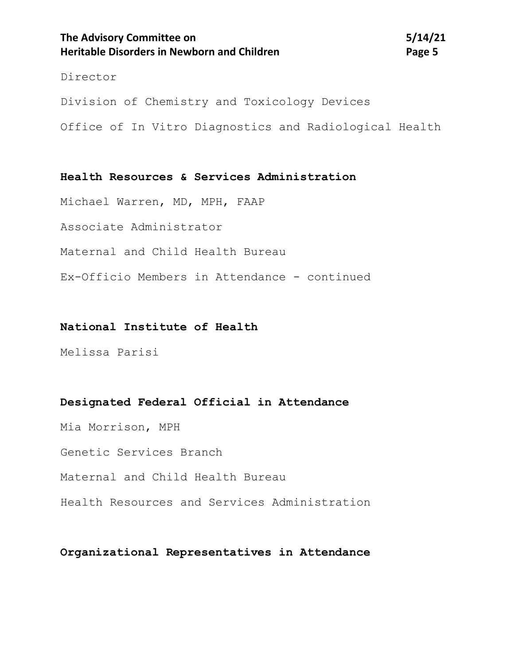## The Advisory Committee on 5/14/21 **Heritable Disorders in Newborn and Children <b>Page 1** Page 5

#### Director

Division of Chemistry and Toxicology Devices Office of In Vitro Diagnostics and Radiological Health

**Health Resources & Services Administration**

Michael Warren, MD, MPH, FAAP

Associate Administrator

Maternal and Child Health Bureau

Ex-Officio Members in Attendance - continued

#### **National Institute of Health**

Melissa Parisi

#### **Designated Federal Official in Attendance**

Mia Morrison, MPH Genetic Services Branch Maternal and Child Health Bureau Health Resources and Services Administration

**Organizational Representatives in Attendance**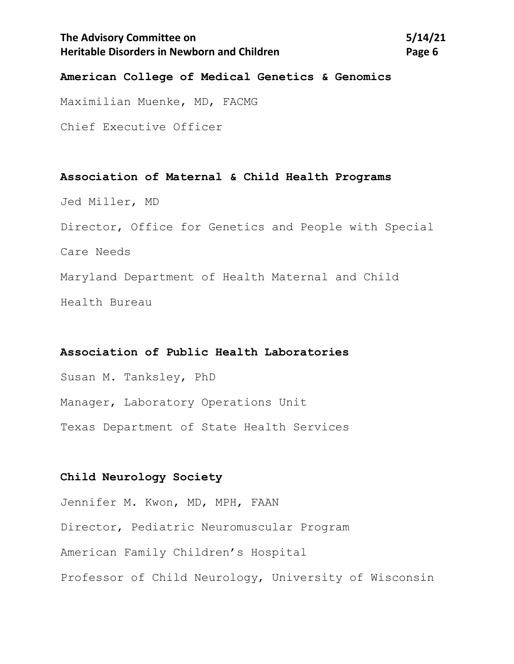## **The Advisory Committee on 5/14/21 Heritable Disorders in Newborn and Children <b>Page 6 Page 6**

### **American College of Medical Genetics & Genomics**

Maximilian Muenke, MD, FACMG

Chief Executive Officer

**Association of Maternal & Child Health Programs** Jed Miller, MD Director, Office for Genetics and People with Special Care Needs Maryland Department of Health Maternal and Child Health Bureau

### **Association of Public Health Laboratories**

Susan M. Tanksley, PhD Manager, Laboratory Operations Unit Texas Department of State Health Services

### **Child Neurology Society**

Jennifer M. Kwon, MD, MPH, FAAN Director, Pediatric Neuromuscular Program American Family Children's Hospital Professor of Child Neurology, University of Wisconsin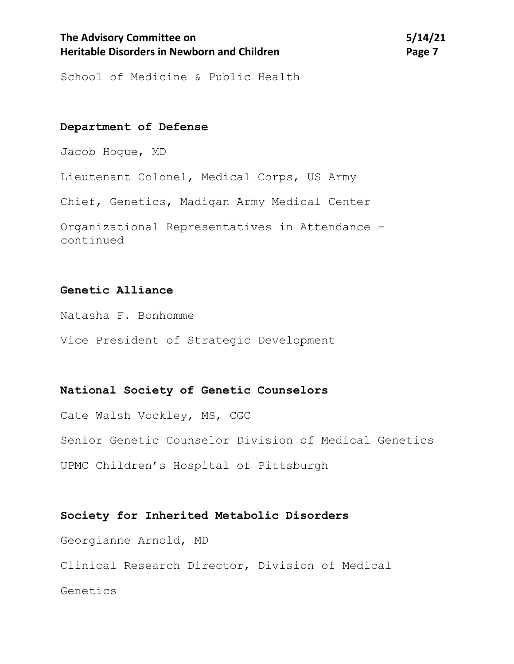## The Advisory Committee on 5/14/21 **Heritable Disorders in Newborn and Children** *Page 7* **Page 7**

School of Medicine & Public Health

### **Department of Defense**

Jacob Hogue, MD

Lieutenant Colonel, Medical Corps, US Army

Chief, Genetics, Madigan Army Medical Center

Organizational Representatives in Attendance continued

### **Genetic Alliance**

Natasha F. Bonhomme

Vice President of Strategic Development

#### **National Society of Genetic Counselors**

Cate Walsh Vockley, MS, CGC Senior Genetic Counselor Division of Medical Genetics UPMC Children's Hospital of Pittsburgh

### **Society for Inherited Metabolic Disorders**

Georgianne Arnold, MD

Clinical Research Director, Division of Medical

Genetics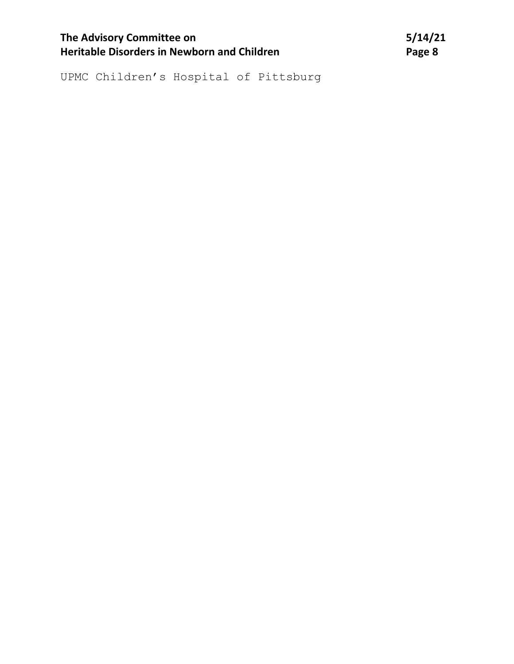| <b>The Advisory Committee on</b>                   | 5/14/21 |
|----------------------------------------------------|---------|
| <b>Heritable Disorders in Newborn and Children</b> | Page 8  |

UPMC Children's Hospital of Pittsburg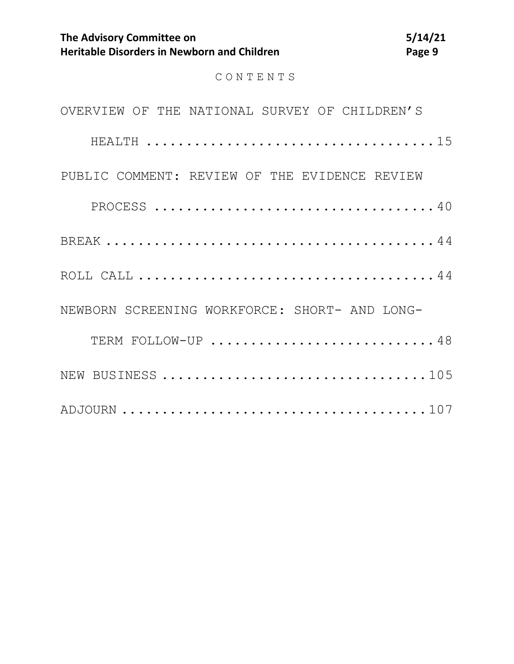CONTENTS

| OVERVIEW OF THE NATIONAL SURVEY OF CHILDREN'S |  |
|-----------------------------------------------|--|
|                                               |  |
| PUBLIC COMMENT: REVIEW OF THE EVIDENCE REVIEW |  |
|                                               |  |
|                                               |  |
|                                               |  |
| NEWBORN SCREENING WORKFORCE: SHORT- AND LONG- |  |
| TERM FOLLOW-UP 48                             |  |
| NEW BUSINESS 105                              |  |
|                                               |  |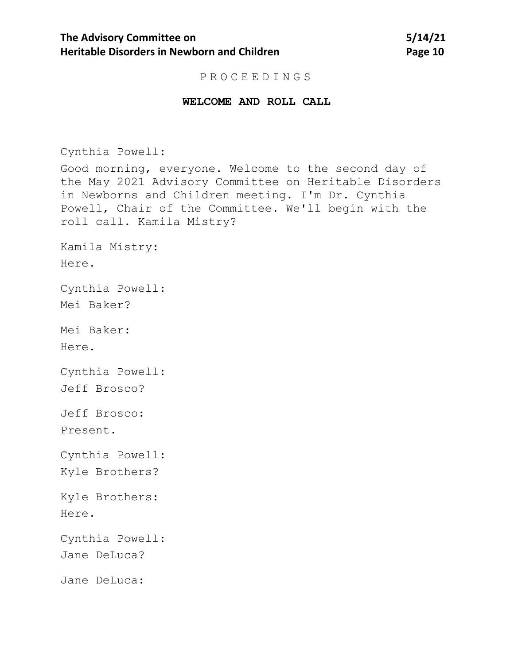#### PROCEEDINGS

#### **WELCOME AND ROLL CALL**

Cynthia Powell:

Good morning, everyone. Welcome to the second day of the May 2021 Advisory Committee on Heritable Disorders in Newborns and Children meeting. I'm Dr. Cynthia Powell, Chair of the Committee. We'll begin with the roll call. Kamila Mistry?

Kamila Mistry: Here.

Cynthia Powell:

Mei Baker?

Mei Baker:

Here.

Cynthia Powell:

Jeff Brosco?

Jeff Brosco: Present.

Cynthia Powell:

Kyle Brothers?

Kyle Brothers: Here.

Cynthia Powell:

Jane DeLuca?

Jane DeLuca: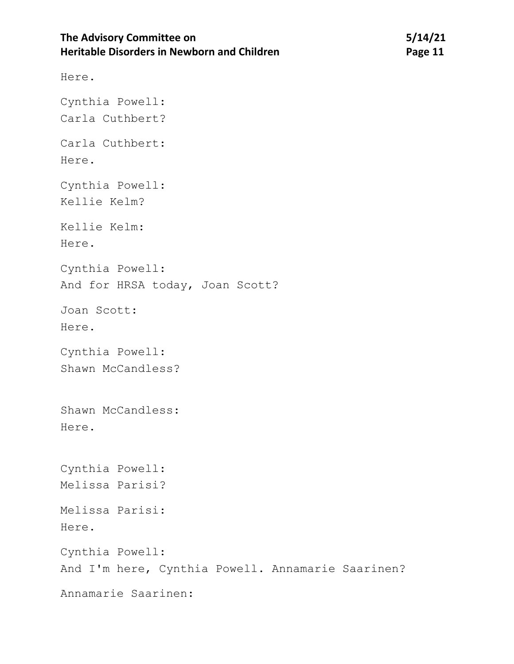## The Advisory Committee on 5/14/21 **Heritable Disorders in Newborn and Children Manual State Convention Page 11**

Here.

Cynthia Powell: Carla Cuthbert? Carla Cuthbert: Here. Cynthia Powell: Kellie Kelm? Kellie Kelm: Here. Cynthia Powell: And for HRSA today, Joan Scott? Joan Scott: Here. Cynthia Powell: Shawn McCandless? Shawn McCandless: Here. Cynthia Powell: Melissa Parisi? Melissa Parisi: Here. Cynthia Powell: And I'm here, Cynthia Powell. Annamarie Saarinen? Annamarie Saarinen: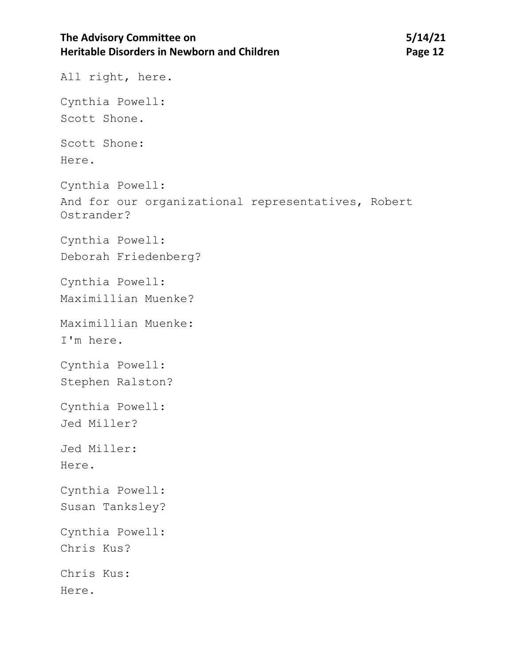## The Advisory Committee on 5/14/21 **Heritable Disorders in Newborn and Children Manual Page 12 Page 12**

All right, here. Cynthia Powell: Scott Shone. Scott Shone: Here. Cynthia Powell: And for our organizational representatives, Robert Ostrander? Cynthia Powell: Deborah Friedenberg? Cynthia Powell: Maximillian Muenke? Maximillian Muenke: I'm here. Cynthia Powell: Stephen Ralston? Cynthia Powell: Jed Miller? Jed Miller: Here. Cynthia Powell: Susan Tanksley? Cynthia Powell: Chris Kus? Chris Kus: Here.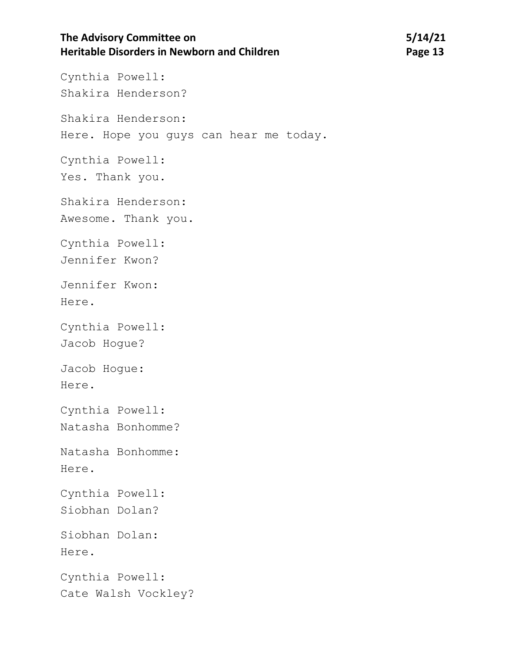## **The Advisory Committee on 5/14/21 Heritable Disorders in Newborn and Children Manual State of Page 13**

Cynthia Powell: Shakira Henderson? Shakira Henderson: Here. Hope you guys can hear me today. Cynthia Powell: Yes. Thank you. Shakira Henderson: Awesome. Thank you. Cynthia Powell: Jennifer Kwon? Jennifer Kwon: Here. Cynthia Powell: Jacob Hogue? Jacob Hogue: Here. Cynthia Powell: Natasha Bonhomme? Natasha Bonhomme: Here. Cynthia Powell: Siobhan Dolan? Siobhan Dolan: Here. Cynthia Powell: Cate Walsh Vockley?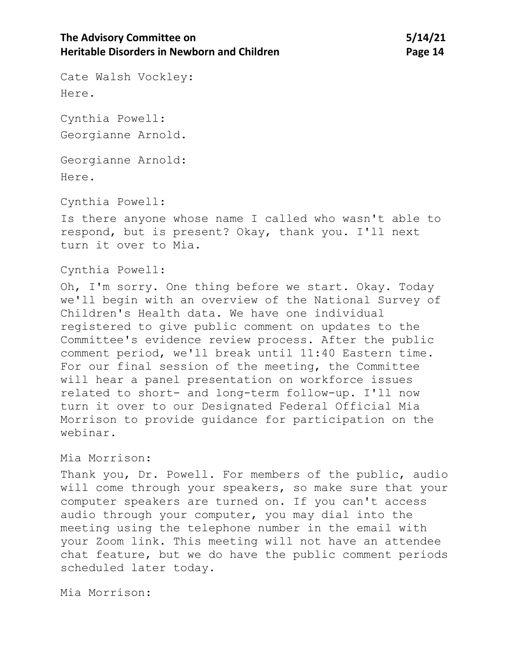Cate Walsh Vockley: Here.

Cynthia Powell: Georgianne Arnold.

Georgianne Arnold:

Here.

Cynthia Powell:

Is there anyone whose name I called who wasn't able to respond, but is present? Okay, thank you. I'll next turn it over to Mia.

Cynthia Powell:

Oh, I'm sorry. One thing before we start. Okay. Today we'll begin with an overview of the National Survey of Children's Health data. We have one individual registered to give public comment on updates to the Committee's evidence review process. After the public comment period, we'll break until 11:40 Eastern time. For our final session of the meeting, the Committee will hear a panel presentation on workforce issues related to short- and long-term follow-up. I'll now turn it over to our Designated Federal Official Mia Morrison to provide guidance for participation on the webinar.

### Mia Morrison:

Thank you, Dr. Powell. For members of the public, audio will come through your speakers, so make sure that your computer speakers are turned on. If you can't access audio through your computer, you may dial into the meeting using the telephone number in the email with your Zoom link. This meeting will not have an attendee chat feature, but we do have the public comment periods scheduled later today.

Mia Morrison: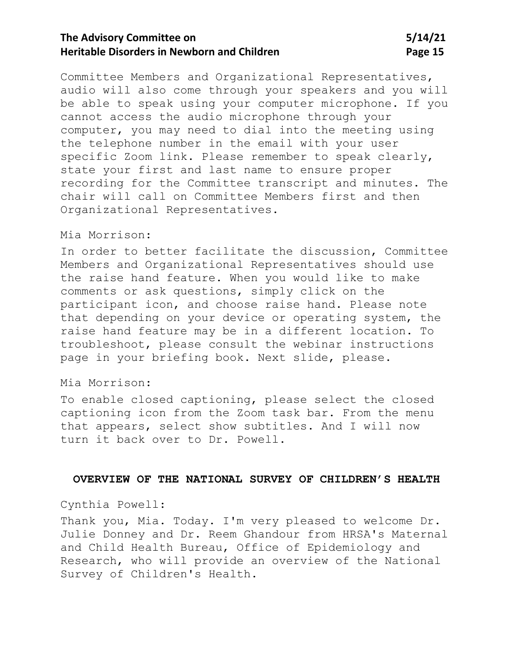## **The Advisory Committee on 5/14/21 Heritable Disorders in Newborn and Children <b>Page 15** Page 15

Committee Members and Organizational Representatives, audio will also come through your speakers and you will be able to speak using your computer microphone. If you cannot access the audio microphone through your computer, you may need to dial into the meeting using the telephone number in the email with your user specific Zoom link. Please remember to speak clearly, state your first and last name to ensure proper recording for the Committee transcript and minutes. The chair will call on Committee Members first and then Organizational Representatives.

### Mia Morrison:

In order to better facilitate the discussion, Committee Members and Organizational Representatives should use the raise hand feature. When you would like to make comments or ask questions, simply click on the participant icon, and choose raise hand. Please note that depending on your device or operating system, the raise hand feature may be in a different location. To troubleshoot, please consult the webinar instructions page in your briefing book. Next slide, please.

#### Mia Morrison:

To enable closed captioning, please select the closed captioning icon from the Zoom task bar. From the menu that appears, select show subtitles. And I will now turn it back over to Dr. Powell.

#### <span id="page-14-0"></span>**OVERVIEW OF THE NATIONAL SURVEY OF CHILDREN'S HEALTH**

### Cynthia Powell:

Thank you, Mia. Today. I'm very pleased to welcome Dr. Julie Donney and Dr. Reem Ghandour from HRSA's Maternal and Child Health Bureau, Office of Epidemiology and Research, who will provide an overview of the National Survey of Children's Health.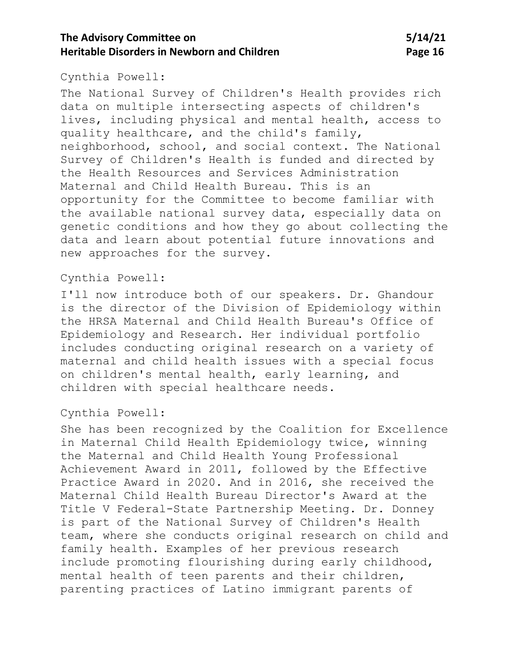## **The Advisory Committee on 5/14/21 Heritable Disorders in Newborn and Children <b>Page 16 Page 16**

#### Cynthia Powell:

The National Survey of Children's Health provides rich data on multiple intersecting aspects of children's lives, including physical and mental health, access to quality healthcare, and the child's family, neighborhood, school, and social context. The National Survey of Children's Health is funded and directed by the Health Resources and Services Administration Maternal and Child Health Bureau. This is an opportunity for the Committee to become familiar with the available national survey data, especially data on genetic conditions and how they go about collecting the data and learn about potential future innovations and new approaches for the survey.

### Cynthia Powell:

I'll now introduce both of our speakers. Dr. Ghandour is the director of the Division of Epidemiology within the HRSA Maternal and Child Health Bureau's Office of Epidemiology and Research. Her individual portfolio includes conducting original research on a variety of maternal and child health issues with a special focus on children's mental health, early learning, and children with special healthcare needs.

Cynthia Powell:

She has been recognized by the Coalition for Excellence in Maternal Child Health Epidemiology twice, winning the Maternal and Child Health Young Professional Achievement Award in 2011, followed by the Effective Practice Award in 2020. And in 2016, she received the Maternal Child Health Bureau Director's Award at the Title V Federal-State Partnership Meeting. Dr. Donney is part of the National Survey of Children's Health team, where she conducts original research on child and family health. Examples of her previous research include promoting flourishing during early childhood, mental health of teen parents and their children, parenting practices of Latino immigrant parents of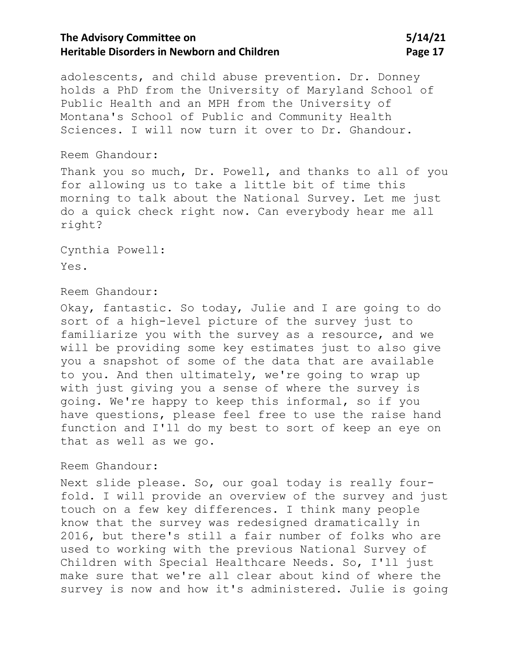## **The Advisory Committee on 5/14/21 Heritable Disorders in Newborn and Children <b>Page 17** Page 17

adolescents, and child abuse prevention. Dr. Donney holds a PhD from the University of Maryland School of Public Health and an MPH from the University of Montana's School of Public and Community Health Sciences. I will now turn it over to Dr. Ghandour.

#### Reem Ghandour:

Thank you so much, Dr. Powell, and thanks to all of you for allowing us to take a little bit of time this morning to talk about the National Survey. Let me just do a quick check right now. Can everybody hear me all right?

Cynthia Powell: Yes.

### Reem Ghandour:

Okay, fantastic. So today, Julie and I are going to do sort of a high-level picture of the survey just to familiarize you with the survey as a resource, and we will be providing some key estimates just to also give you a snapshot of some of the data that are available to you. And then ultimately, we're going to wrap up with just giving you a sense of where the survey is going. We're happy to keep this informal, so if you have questions, please feel free to use the raise hand function and I'll do my best to sort of keep an eye on that as well as we go.

#### Reem Ghandour:

Next slide please. So, our goal today is really fourfold. I will provide an overview of the survey and just touch on a few key differences. I think many people know that the survey was redesigned dramatically in 2016, but there's still a fair number of folks who are used to working with the previous National Survey of Children with Special Healthcare Needs. So, I'll just make sure that we're all clear about kind of where the survey is now and how it's administered. Julie is going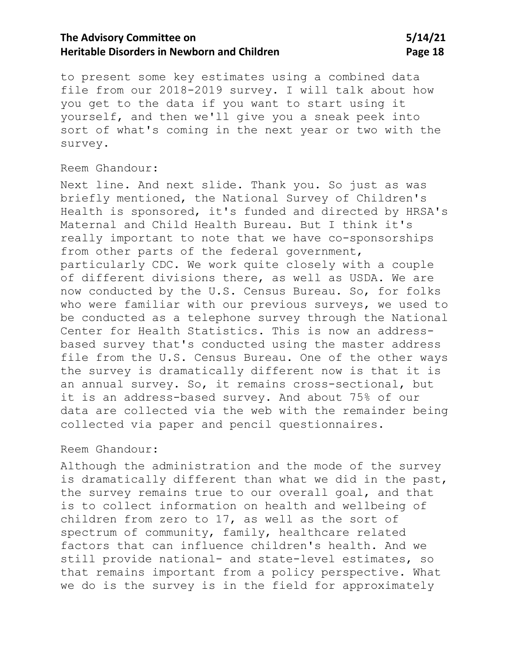## **The Advisory Committee on 5/14/21 Heritable Disorders in Newborn and Children <b>Page 18 Page 18**

to present some key estimates using a combined data file from our 2018-2019 survey. I will talk about how you get to the data if you want to start using it yourself, and then we'll give you a sneak peek into sort of what's coming in the next year or two with the survey.

### Reem Ghandour:

Next line. And next slide. Thank you. So just as was briefly mentioned, the National Survey of Children's Health is sponsored, it's funded and directed by HRSA's Maternal and Child Health Bureau. But I think it's really important to note that we have co-sponsorships from other parts of the federal government, particularly CDC. We work quite closely with a couple of different divisions there, as well as USDA. We are now conducted by the U.S. Census Bureau. So, for folks who were familiar with our previous surveys, we used to be conducted as a telephone survey through the National Center for Health Statistics. This is now an addressbased survey that's conducted using the master address file from the U.S. Census Bureau. One of the other ways the survey is dramatically different now is that it is an annual survey. So, it remains cross-sectional, but it is an address-based survey. And about 75% of our data are collected via the web with the remainder being collected via paper and pencil questionnaires.

### Reem Ghandour:

Although the administration and the mode of the survey is dramatically different than what we did in the past, the survey remains true to our overall goal, and that is to collect information on health and wellbeing of children from zero to 17, as well as the sort of spectrum of community, family, healthcare related factors that can influence children's health. And we still provide national- and state-level estimates, so that remains important from a policy perspective. What we do is the survey is in the field for approximately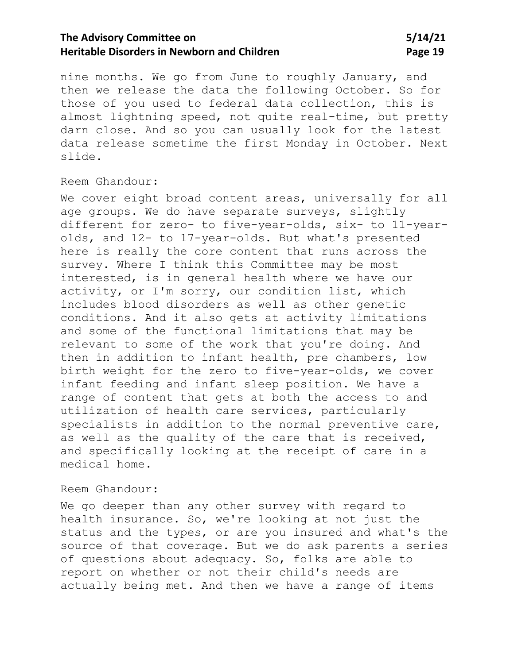## **The Advisory Committee on 5/14/21 Heritable Disorders in Newborn and Children <b>Page 19 Page 19**

nine months. We go from June to roughly January, and then we release the data the following October. So for those of you used to federal data collection, this is almost lightning speed, not quite real-time, but pretty darn close. And so you can usually look for the latest data release sometime the first Monday in October. Next slide.

#### Reem Ghandour:

We cover eight broad content areas, universally for all age groups. We do have separate surveys, slightly different for zero- to five-year-olds, six- to 11-yearolds, and 12- to 17-year-olds. But what's presented here is really the core content that runs across the survey. Where I think this Committee may be most interested, is in general health where we have our activity, or I'm sorry, our condition list, which includes blood disorders as well as other genetic conditions. And it also gets at activity limitations and some of the functional limitations that may be relevant to some of the work that you're doing. And then in addition to infant health, pre chambers, low birth weight for the zero to five-year-olds, we cover infant feeding and infant sleep position. We have a range of content that gets at both the access to and utilization of health care services, particularly specialists in addition to the normal preventive care, as well as the quality of the care that is received, and specifically looking at the receipt of care in a medical home.

### Reem Ghandour:

We go deeper than any other survey with regard to health insurance. So, we're looking at not just the status and the types, or are you insured and what's the source of that coverage. But we do ask parents a series of questions about adequacy. So, folks are able to report on whether or not their child's needs are actually being met. And then we have a range of items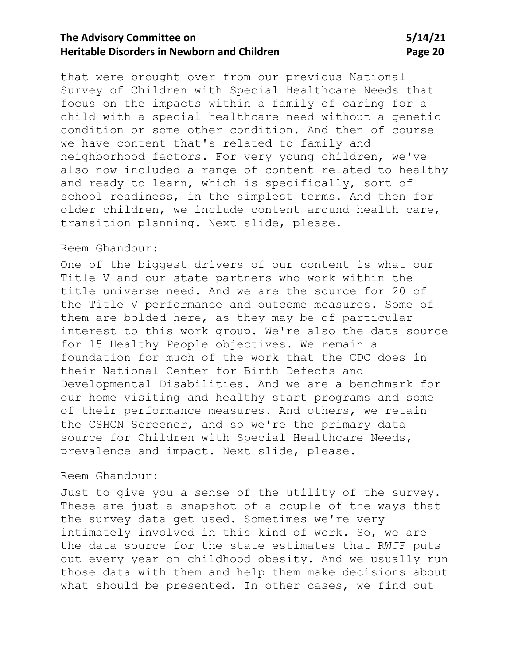## **The Advisory Committee on 5/14/21 Heritable Disorders in Newborn and Children <b>Page 20 Page 20**

that were brought over from our previous National Survey of Children with Special Healthcare Needs that focus on the impacts within a family of caring for a child with a special healthcare need without a genetic condition or some other condition. And then of course we have content that's related to family and neighborhood factors. For very young children, we've also now included a range of content related to healthy and ready to learn, which is specifically, sort of school readiness, in the simplest terms. And then for older children, we include content around health care, transition planning. Next slide, please.

#### Reem Ghandour:

One of the biggest drivers of our content is what our Title V and our state partners who work within the title universe need. And we are the source for 20 of the Title V performance and outcome measures. Some of them are bolded here, as they may be of particular interest to this work group. We're also the data source for 15 Healthy People objectives. We remain a foundation for much of the work that the CDC does in their National Center for Birth Defects and Developmental Disabilities. And we are a benchmark for our home visiting and healthy start programs and some of their performance measures. And others, we retain the CSHCN Screener, and so we're the primary data source for Children with Special Healthcare Needs, prevalence and impact. Next slide, please.

### Reem Ghandour:

Just to give you a sense of the utility of the survey. These are just a snapshot of a couple of the ways that the survey data get used. Sometimes we're very intimately involved in this kind of work. So, we are the data source for the state estimates that RWJF puts out every year on childhood obesity. And we usually run those data with them and help them make decisions about what should be presented. In other cases, we find out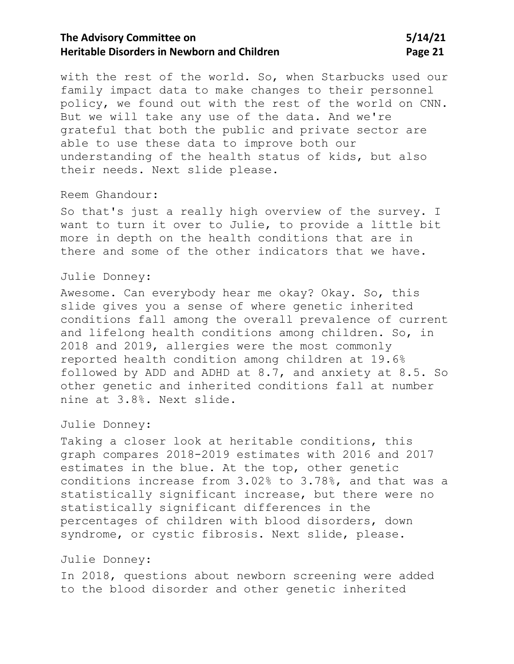## **The Advisory Committee on 5/14/21 Heritable Disorders in Newborn and Children <b>Page 21 Page 21**

with the rest of the world. So, when Starbucks used our family impact data to make changes to their personnel policy, we found out with the rest of the world on CNN. But we will take any use of the data. And we're grateful that both the public and private sector are able to use these data to improve both our understanding of the health status of kids, but also their needs. Next slide please.

#### Reem Ghandour:

So that's just a really high overview of the survey. I want to turn it over to Julie, to provide a little bit more in depth on the health conditions that are in there and some of the other indicators that we have.

### Julie Donney:

Awesome. Can everybody hear me okay? Okay. So, this slide gives you a sense of where genetic inherited conditions fall among the overall prevalence of current and lifelong health conditions among children. So, in 2018 and 2019, allergies were the most commonly reported health condition among children at 19.6% followed by ADD and ADHD at 8.7, and anxiety at 8.5. So other genetic and inherited conditions fall at number nine at 3.8%. Next slide.

#### Julie Donney:

Taking a closer look at heritable conditions, this graph compares 2018-2019 estimates with 2016 and 2017 estimates in the blue. At the top, other genetic conditions increase from 3.02% to 3.78%, and that was a statistically significant increase, but there were no statistically significant differences in the percentages of children with blood disorders, down syndrome, or cystic fibrosis. Next slide, please.

### Julie Donney:

In 2018, questions about newborn screening were added to the blood disorder and other genetic inherited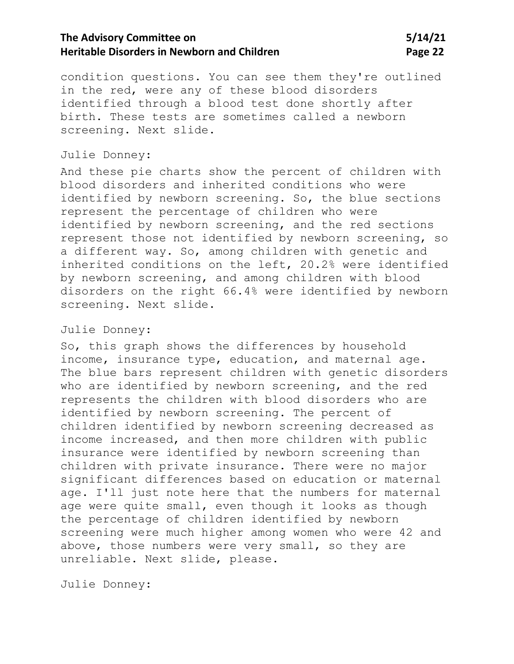## **The Advisory Committee on 5/14/21 Heritable Disorders in Newborn and Children <b>Page 22 Page 22**

condition questions. You can see them they're outlined in the red, were any of these blood disorders identified through a blood test done shortly after birth. These tests are sometimes called a newborn screening. Next slide.

#### Julie Donney:

And these pie charts show the percent of children with blood disorders and inherited conditions who were identified by newborn screening. So, the blue sections represent the percentage of children who were identified by newborn screening, and the red sections represent those not identified by newborn screening, so a different way. So, among children with genetic and inherited conditions on the left, 20.2% were identified by newborn screening, and among children with blood disorders on the right 66.4% were identified by newborn screening. Next slide.

#### Julie Donney:

So, this graph shows the differences by household income, insurance type, education, and maternal age. The blue bars represent children with genetic disorders who are identified by newborn screening, and the red represents the children with blood disorders who are identified by newborn screening. The percent of children identified by newborn screening decreased as income increased, and then more children with public insurance were identified by newborn screening than children with private insurance. There were no major significant differences based on education or maternal age. I'll just note here that the numbers for maternal age were quite small, even though it looks as though the percentage of children identified by newborn screening were much higher among women who were 42 and above, those numbers were very small, so they are unreliable. Next slide, please.

Julie Donney: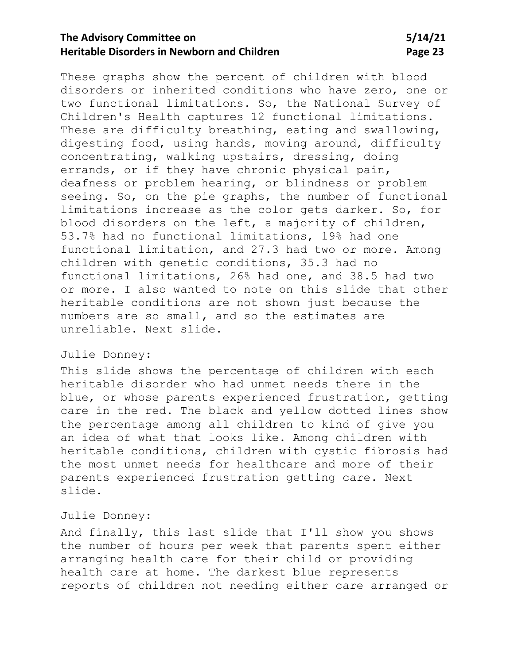## **The Advisory Committee on 5/14/21 Heritable Disorders in Newborn and Children <b>Page 23 Page 23**

These graphs show the percent of children with blood disorders or inherited conditions who have zero, one or two functional limitations. So, the National Survey of Children's Health captures 12 functional limitations. These are difficulty breathing, eating and swallowing, digesting food, using hands, moving around, difficulty concentrating, walking upstairs, dressing, doing errands, or if they have chronic physical pain, deafness or problem hearing, or blindness or problem seeing. So, on the pie graphs, the number of functional limitations increase as the color gets darker. So, for blood disorders on the left, a majority of children, 53.7% had no functional limitations, 19% had one functional limitation, and 27.3 had two or more. Among children with genetic conditions, 35.3 had no functional limitations, 26% had one, and 38.5 had two or more. I also wanted to note on this slide that other heritable conditions are not shown just because the numbers are so small, and so the estimates are unreliable. Next slide.

### Julie Donney:

This slide shows the percentage of children with each heritable disorder who had unmet needs there in the blue, or whose parents experienced frustration, getting care in the red. The black and yellow dotted lines show the percentage among all children to kind of give you an idea of what that looks like. Among children with heritable conditions, children with cystic fibrosis had the most unmet needs for healthcare and more of their parents experienced frustration getting care. Next slide.

### Julie Donney:

And finally, this last slide that I'll show you shows the number of hours per week that parents spent either arranging health care for their child or providing health care at home. The darkest blue represents reports of children not needing either care arranged or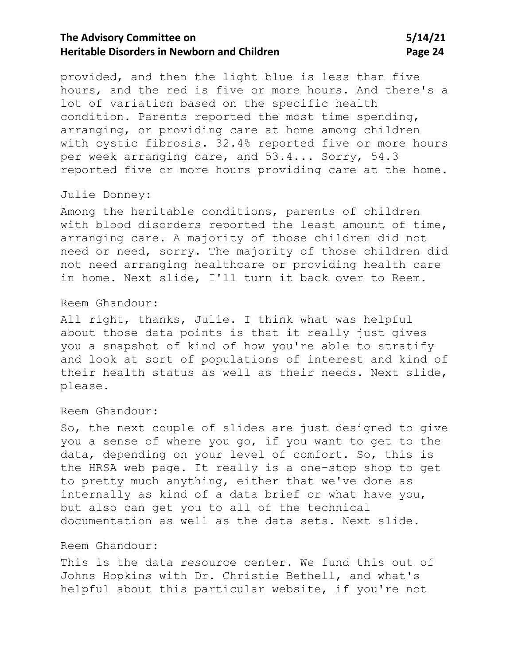## **The Advisory Committee on 5/14/21 Heritable Disorders in Newborn and Children <b>Page 24 Page 24**

provided, and then the light blue is less than five hours, and the red is five or more hours. And there's a lot of variation based on the specific health condition. Parents reported the most time spending, arranging, or providing care at home among children with cystic fibrosis. 32.4% reported five or more hours per week arranging care, and 53.4... Sorry, 54.3 reported five or more hours providing care at the home.

#### Julie Donney:

Among the heritable conditions, parents of children with blood disorders reported the least amount of time, arranging care. A majority of those children did not need or need, sorry. The majority of those children did not need arranging healthcare or providing health care in home. Next slide, I'll turn it back over to Reem.

#### Reem Ghandour:

All right, thanks, Julie. I think what was helpful about those data points is that it really just gives you a snapshot of kind of how you're able to stratify and look at sort of populations of interest and kind of their health status as well as their needs. Next slide, please.

#### Reem Ghandour:

So, the next couple of slides are just designed to give you a sense of where you go, if you want to get to the data, depending on your level of comfort. So, this is the HRSA web page. It really is a one-stop shop to get to pretty much anything, either that we've done as internally as kind of a data brief or what have you, but also can get you to all of the technical documentation as well as the data sets. Next slide.

### Reem Ghandour:

This is the data resource center. We fund this out of Johns Hopkins with Dr. Christie Bethell, and what's helpful about this particular website, if you're not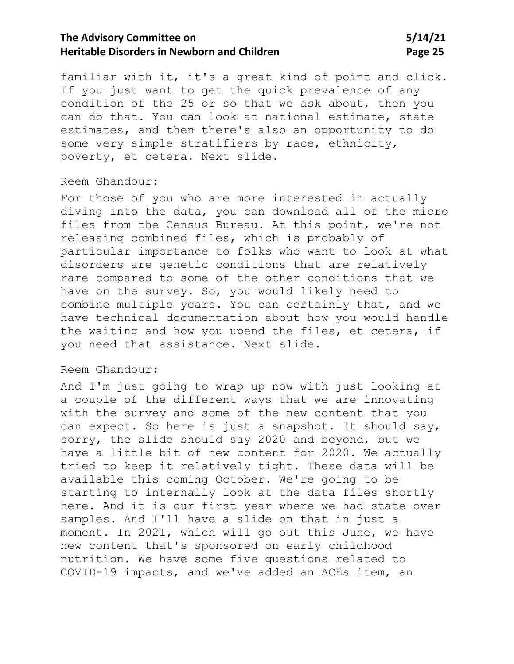## **The Advisory Committee on 5/14/21 Heritable Disorders in Newborn and Children <b>Page 25 Page 25**

familiar with it, it's a great kind of point and click. If you just want to get the quick prevalence of any condition of the 25 or so that we ask about, then you can do that. You can look at national estimate, state estimates, and then there's also an opportunity to do some very simple stratifiers by race, ethnicity, poverty, et cetera. Next slide.

#### Reem Ghandour:

For those of you who are more interested in actually diving into the data, you can download all of the micro files from the Census Bureau. At this point, we're not releasing combined files, which is probably of particular importance to folks who want to look at what disorders are genetic conditions that are relatively rare compared to some of the other conditions that we have on the survey. So, you would likely need to combine multiple years. You can certainly that, and we have technical documentation about how you would handle the waiting and how you upend the files, et cetera, if you need that assistance. Next slide.

### Reem Ghandour:

And I'm just going to wrap up now with just looking at a couple of the different ways that we are innovating with the survey and some of the new content that you can expect. So here is just a snapshot. It should say, sorry, the slide should say 2020 and beyond, but we have a little bit of new content for 2020. We actually tried to keep it relatively tight. These data will be available this coming October. We're going to be starting to internally look at the data files shortly here. And it is our first year where we had state over samples. And I'll have a slide on that in just a moment. In 2021, which will go out this June, we have new content that's sponsored on early childhood nutrition. We have some five questions related to COVID-19 impacts, and we've added an ACEs item, an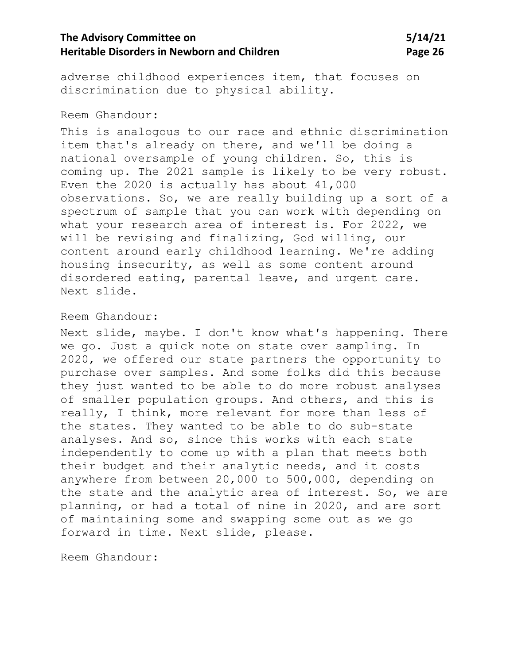## **The Advisory Committee on 5/14/21 Heritable Disorders in Newborn and Children <b>Page 26 Page 26**

adverse childhood experiences item, that focuses on discrimination due to physical ability.

### Reem Ghandour:

This is analogous to our race and ethnic discrimination item that's already on there, and we'll be doing a national oversample of young children. So, this is coming up. The 2021 sample is likely to be very robust. Even the 2020 is actually has about 41,000 observations. So, we are really building up a sort of a spectrum of sample that you can work with depending on what your research area of interest is. For 2022, we will be revising and finalizing, God willing, our content around early childhood learning. We're adding housing insecurity, as well as some content around disordered eating, parental leave, and urgent care. Next slide.

### Reem Ghandour:

Next slide, maybe. I don't know what's happening. There we go. Just a quick note on state over sampling. In 2020, we offered our state partners the opportunity to purchase over samples. And some folks did this because they just wanted to be able to do more robust analyses of smaller population groups. And others, and this is really, I think, more relevant for more than less of the states. They wanted to be able to do sub-state analyses. And so, since this works with each state independently to come up with a plan that meets both their budget and their analytic needs, and it costs anywhere from between 20,000 to 500,000, depending on the state and the analytic area of interest. So, we are planning, or had a total of nine in 2020, and are sort of maintaining some and swapping some out as we go forward in time. Next slide, please.

Reem Ghandour: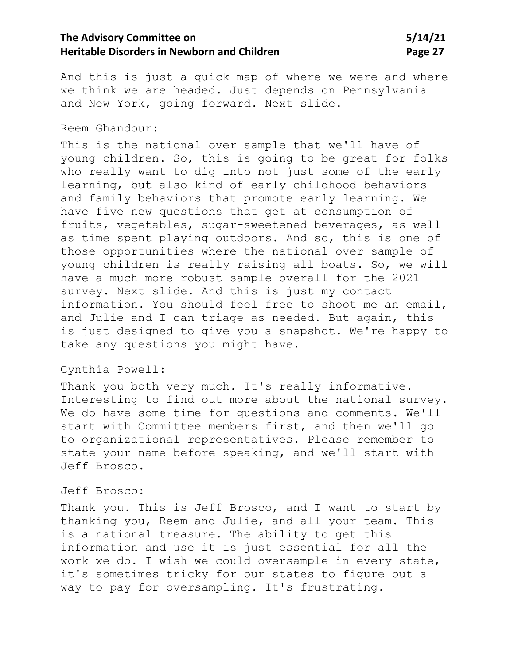## **The Advisory Committee on 5/14/21 Heritable Disorders in Newborn and Children <b>Page 27 Page 27**

And this is just a quick map of where we were and where we think we are headed. Just depends on Pennsylvania and New York, going forward. Next slide.

#### Reem Ghandour:

This is the national over sample that we'll have of young children. So, this is going to be great for folks who really want to dig into not just some of the early learning, but also kind of early childhood behaviors and family behaviors that promote early learning. We have five new questions that get at consumption of fruits, vegetables, sugar-sweetened beverages, as well as time spent playing outdoors. And so, this is one of those opportunities where the national over sample of young children is really raising all boats. So, we will have a much more robust sample overall for the 2021 survey. Next slide. And this is just my contact information. You should feel free to shoot me an email, and Julie and I can triage as needed. But again, this is just designed to give you a snapshot. We're happy to take any questions you might have.

### Cynthia Powell:

Thank you both very much. It's really informative. Interesting to find out more about the national survey. We do have some time for questions and comments. We'll start with Committee members first, and then we'll go to organizational representatives. Please remember to state your name before speaking, and we'll start with Jeff Brosco.

#### Jeff Brosco:

Thank you. This is Jeff Brosco, and I want to start by thanking you, Reem and Julie, and all your team. This is a national treasure. The ability to get this information and use it is just essential for all the work we do. I wish we could oversample in every state, it's sometimes tricky for our states to figure out a way to pay for oversampling. It's frustrating.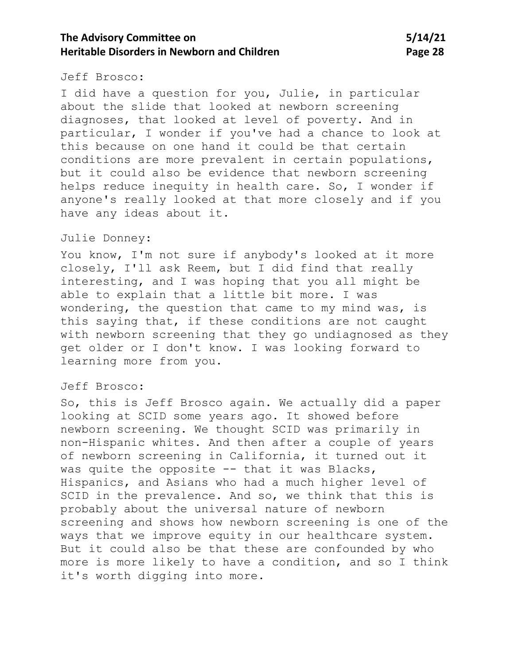## **The Advisory Committee on 5/14/21 Heritable Disorders in Newborn and Children <b>Page 28 Page 28**

#### Jeff Brosco:

I did have a question for you, Julie, in particular about the slide that looked at newborn screening diagnoses, that looked at level of poverty. And in particular, I wonder if you've had a chance to look at this because on one hand it could be that certain conditions are more prevalent in certain populations, but it could also be evidence that newborn screening helps reduce inequity in health care. So, I wonder if anyone's really looked at that more closely and if you have any ideas about it.

### Julie Donney:

You know, I'm not sure if anybody's looked at it more closely, I'll ask Reem, but I did find that really interesting, and I was hoping that you all might be able to explain that a little bit more. I was wondering, the question that came to my mind was, is this saying that, if these conditions are not caught with newborn screening that they go undiagnosed as they get older or I don't know. I was looking forward to learning more from you.

#### Jeff Brosco:

So, this is Jeff Brosco again. We actually did a paper looking at SCID some years ago. It showed before newborn screening. We thought SCID was primarily in non-Hispanic whites. And then after a couple of years of newborn screening in California, it turned out it was quite the opposite -- that it was Blacks, Hispanics, and Asians who had a much higher level of SCID in the prevalence. And so, we think that this is probably about the universal nature of newborn screening and shows how newborn screening is one of the ways that we improve equity in our healthcare system. But it could also be that these are confounded by who more is more likely to have a condition, and so I think it's worth digging into more.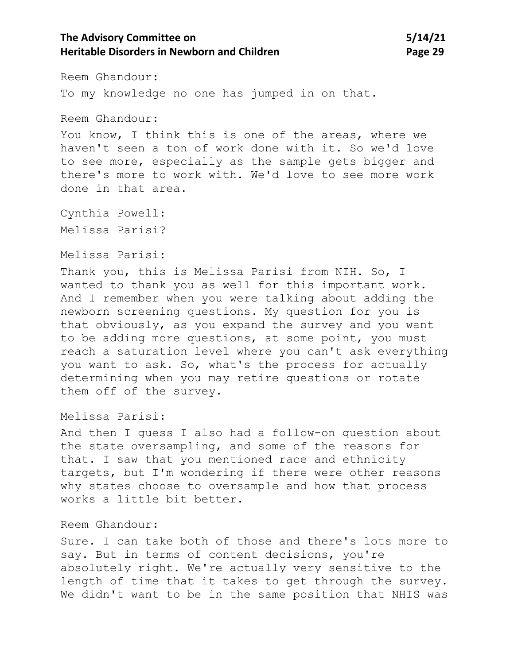## **The Advisory Committee on 5/14/21 Heritable Disorders in Newborn and Children <b>Page 29 Page 29**

Reem Ghandour:

To my knowledge no one has jumped in on that.

Reem Ghandour:

You know, I think this is one of the areas, where we haven't seen a ton of work done with it. So we'd love to see more, especially as the sample gets bigger and there's more to work with. We'd love to see more work done in that area.

Cynthia Powell: Melissa Parisi?

Melissa Parisi:

Thank you, this is Melissa Parisi from NIH. So, I wanted to thank you as well for this important work. And I remember when you were talking about adding the newborn screening questions. My question for you is that obviously, as you expand the survey and you want to be adding more questions, at some point, you must reach a saturation level where you can't ask everything you want to ask. So, what's the process for actually determining when you may retire questions or rotate them off of the survey.

Melissa Parisi:

And then I guess I also had a follow-on question about the state oversampling, and some of the reasons for that. I saw that you mentioned race and ethnicity targets, but I'm wondering if there were other reasons why states choose to oversample and how that process works a little bit better.

### Reem Ghandour:

Sure. I can take both of those and there's lots more to say. But in terms of content decisions, you're absolutely right. We're actually very sensitive to the length of time that it takes to get through the survey. We didn't want to be in the same position that NHIS was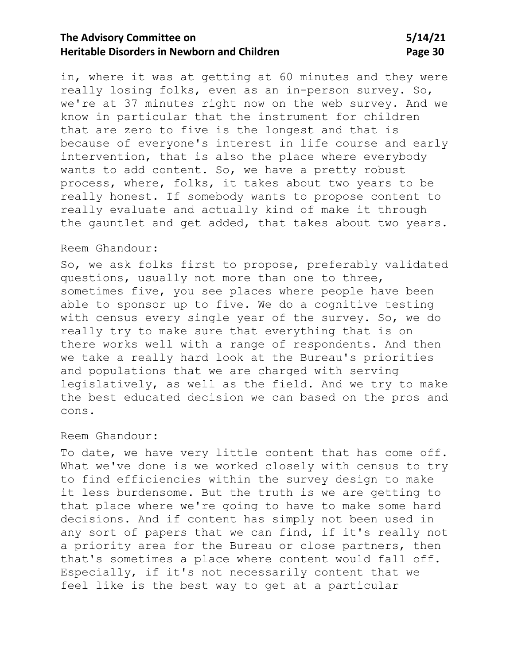## **The Advisory Committee on 5/14/21 Heritable Disorders in Newborn and Children <b>Page 30 Page 30**

in, where it was at getting at 60 minutes and they were really losing folks, even as an in-person survey. So, we're at 37 minutes right now on the web survey. And we know in particular that the instrument for children that are zero to five is the longest and that is because of everyone's interest in life course and early intervention, that is also the place where everybody wants to add content. So, we have a pretty robust process, where, folks, it takes about two years to be really honest. If somebody wants to propose content to really evaluate and actually kind of make it through the gauntlet and get added, that takes about two years.

#### Reem Ghandour:

So, we ask folks first to propose, preferably validated questions, usually not more than one to three, sometimes five, you see places where people have been able to sponsor up to five. We do a cognitive testing with census every single year of the survey. So, we do really try to make sure that everything that is on there works well with a range of respondents. And then we take a really hard look at the Bureau's priorities and populations that we are charged with serving legislatively, as well as the field. And we try to make the best educated decision we can based on the pros and cons.

### Reem Ghandour:

To date, we have very little content that has come off. What we've done is we worked closely with census to try to find efficiencies within the survey design to make it less burdensome. But the truth is we are getting to that place where we're going to have to make some hard decisions. And if content has simply not been used in any sort of papers that we can find, if it's really not a priority area for the Bureau or close partners, then that's sometimes a place where content would fall off. Especially, if it's not necessarily content that we feel like is the best way to get at a particular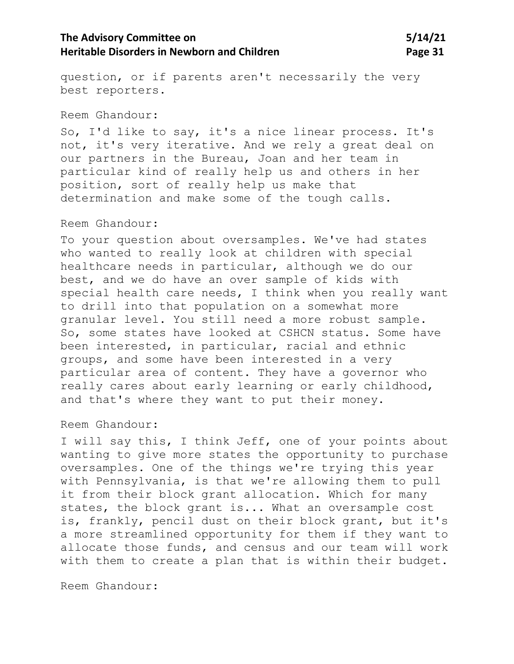## **The Advisory Committee on 5/14/21 Heritable Disorders in Newborn and Children <b>Page 31 Page 31**

question, or if parents aren't necessarily the very best reporters.

#### Reem Ghandour:

So, I'd like to say, it's a nice linear process. It's not, it's very iterative. And we rely a great deal on our partners in the Bureau, Joan and her team in particular kind of really help us and others in her position, sort of really help us make that determination and make some of the tough calls.

### Reem Ghandour:

To your question about oversamples. We've had states who wanted to really look at children with special healthcare needs in particular, although we do our best, and we do have an over sample of kids with special health care needs, I think when you really want to drill into that population on a somewhat more granular level. You still need a more robust sample. So, some states have looked at CSHCN status. Some have been interested, in particular, racial and ethnic groups, and some have been interested in a very particular area of content. They have a governor who really cares about early learning or early childhood, and that's where they want to put their money.

### Reem Ghandour:

I will say this, I think Jeff, one of your points about wanting to give more states the opportunity to purchase oversamples. One of the things we're trying this year with Pennsylvania, is that we're allowing them to pull it from their block grant allocation. Which for many states, the block grant is... What an oversample cost is, frankly, pencil dust on their block grant, but it's a more streamlined opportunity for them if they want to allocate those funds, and census and our team will work with them to create a plan that is within their budget.

Reem Ghandour: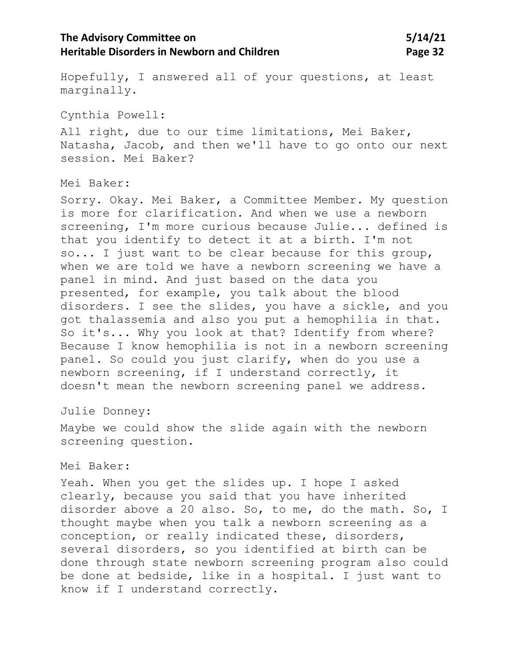## **The Advisory Committee on 5/14/21 Heritable Disorders in Newborn and Children <b>Page 32 Page 32**

Hopefully, I answered all of your questions, at least marginally.

Cynthia Powell:

All right, due to our time limitations, Mei Baker, Natasha, Jacob, and then we'll have to go onto our next session. Mei Baker?

Mei Baker:

Sorry. Okay. Mei Baker, a Committee Member. My question is more for clarification. And when we use a newborn screening, I'm more curious because Julie... defined is that you identify to detect it at a birth. I'm not so... I just want to be clear because for this group, when we are told we have a newborn screening we have a panel in mind. And just based on the data you presented, for example, you talk about the blood disorders. I see the slides, you have a sickle, and you got thalassemia and also you put a hemophilia in that. So it's... Why you look at that? Identify from where? Because I know hemophilia is not in a newborn screening panel. So could you just clarify, when do you use a newborn screening, if I understand correctly, it doesn't mean the newborn screening panel we address.

Julie Donney:

Maybe we could show the slide again with the newborn screening question.

#### Mei Baker:

Yeah. When you get the slides up. I hope I asked clearly, because you said that you have inherited disorder above a 20 also. So, to me, do the math. So, I thought maybe when you talk a newborn screening as a conception, or really indicated these, disorders, several disorders, so you identified at birth can be done through state newborn screening program also could be done at bedside, like in a hospital. I just want to know if I understand correctly.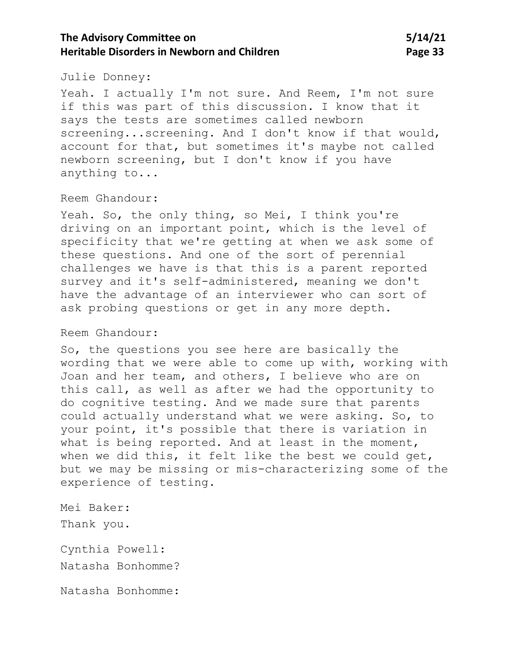## **The Advisory Committee on 5/14/21 Heritable Disorders in Newborn and Children <b>Page 33 Page 33**

#### Julie Donney:

Yeah. I actually I'm not sure. And Reem, I'm not sure if this was part of this discussion. I know that it says the tests are sometimes called newborn screening...screening. And I don't know if that would, account for that, but sometimes it's maybe not called newborn screening, but I don't know if you have anything to...

### Reem Ghandour:

Yeah. So, the only thing, so Mei, I think you're driving on an important point, which is the level of specificity that we're getting at when we ask some of these questions. And one of the sort of perennial challenges we have is that this is a parent reported survey and it's self-administered, meaning we don't have the advantage of an interviewer who can sort of ask probing questions or get in any more depth.

#### Reem Ghandour:

So, the questions you see here are basically the wording that we were able to come up with, working with Joan and her team, and others, I believe who are on this call, as well as after we had the opportunity to do cognitive testing. And we made sure that parents could actually understand what we were asking. So, to your point, it's possible that there is variation in what is being reported. And at least in the moment, when we did this, it felt like the best we could get, but we may be missing or mis-characterizing some of the experience of testing.

Mei Baker: Thank you.

Cynthia Powell: Natasha Bonhomme?

Natasha Bonhomme: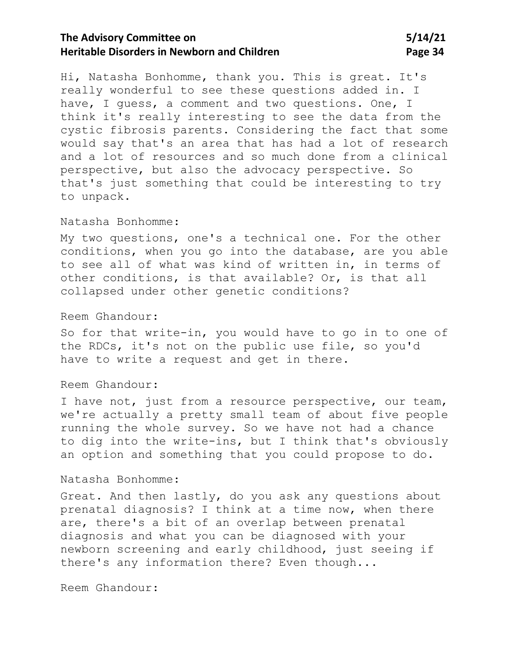## **The Advisory Committee on 5/14/21 Heritable Disorders in Newborn and Children <b>Page 34 Page 34**

Hi, Natasha Bonhomme, thank you. This is great. It's really wonderful to see these questions added in. I have, I quess, a comment and two questions. One, I think it's really interesting to see the data from the cystic fibrosis parents. Considering the fact that some would say that's an area that has had a lot of research and a lot of resources and so much done from a clinical perspective, but also the advocacy perspective. So that's just something that could be interesting to try to unpack.

#### Natasha Bonhomme:

My two questions, one's a technical one. For the other conditions, when you go into the database, are you able to see all of what was kind of written in, in terms of other conditions, is that available? Or, is that all collapsed under other genetic conditions?

#### Reem Ghandour:

So for that write-in, you would have to go in to one of the RDCs, it's not on the public use file, so you'd have to write a request and get in there.

### Reem Ghandour:

I have not, just from a resource perspective, our team, we're actually a pretty small team of about five people running the whole survey. So we have not had a chance to dig into the write-ins, but I think that's obviously an option and something that you could propose to do.

### Natasha Bonhomme:

Great. And then lastly, do you ask any questions about prenatal diagnosis? I think at a time now, when there are, there's a bit of an overlap between prenatal diagnosis and what you can be diagnosed with your newborn screening and early childhood, just seeing if there's any information there? Even though...

Reem Ghandour: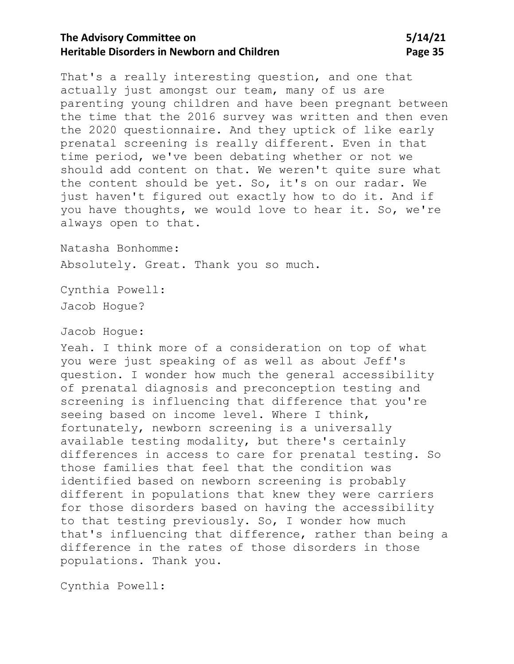## **The Advisory Committee on 5/14/21 Heritable Disorders in Newborn and Children <b>Page 35 Page 35**

That's a really interesting question, and one that actually just amongst our team, many of us are parenting young children and have been pregnant between the time that the 2016 survey was written and then even the 2020 questionnaire. And they uptick of like early prenatal screening is really different. Even in that time period, we've been debating whether or not we should add content on that. We weren't quite sure what the content should be yet. So, it's on our radar. We just haven't figured out exactly how to do it. And if you have thoughts, we would love to hear it. So, we're always open to that.

Natasha Bonhomme: Absolutely. Great. Thank you so much.

Cynthia Powell: Jacob Hogue?

#### Jacob Hogue:

Yeah. I think more of a consideration on top of what you were just speaking of as well as about Jeff's question. I wonder how much the general accessibility of prenatal diagnosis and preconception testing and screening is influencing that difference that you're seeing based on income level. Where I think, fortunately, newborn screening is a universally available testing modality, but there's certainly differences in access to care for prenatal testing. So those families that feel that the condition was identified based on newborn screening is probably different in populations that knew they were carriers for those disorders based on having the accessibility to that testing previously. So, I wonder how much that's influencing that difference, rather than being a difference in the rates of those disorders in those populations. Thank you.

Cynthia Powell: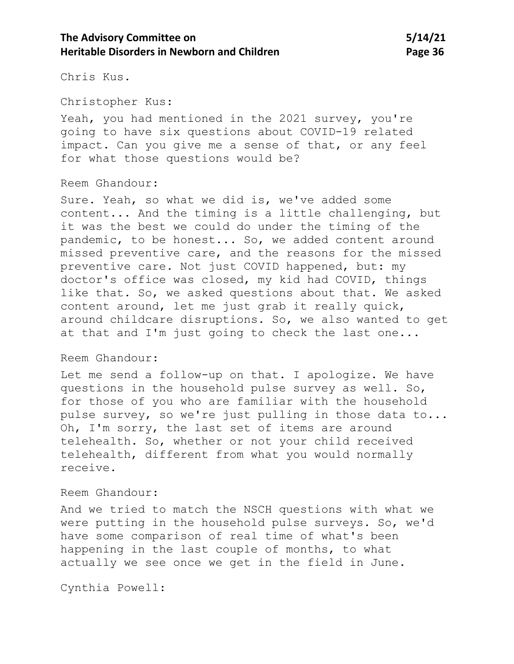## **The Advisory Committee on 5/14/21 Heritable Disorders in Newborn and Children <b>Page 36 Page 36**

Chris Kus.

Christopher Kus:

Yeah, you had mentioned in the 2021 survey, you're going to have six questions about COVID-19 related impact. Can you give me a sense of that, or any feel for what those questions would be?

#### Reem Ghandour:

Sure. Yeah, so what we did is, we've added some content... And the timing is a little challenging, but it was the best we could do under the timing of the pandemic, to be honest... So, we added content around missed preventive care, and the reasons for the missed preventive care. Not just COVID happened, but: my doctor's office was closed, my kid had COVID, things like that. So, we asked questions about that. We asked content around, let me just grab it really quick, around childcare disruptions. So, we also wanted to get at that and I'm just going to check the last one...

#### Reem Ghandour:

Let me send a follow-up on that. I apologize. We have questions in the household pulse survey as well. So, for those of you who are familiar with the household pulse survey, so we're just pulling in those data to... Oh, I'm sorry, the last set of items are around telehealth. So, whether or not your child received telehealth, different from what you would normally receive.

#### Reem Ghandour:

And we tried to match the NSCH questions with what we were putting in the household pulse surveys. So, we'd have some comparison of real time of what's been happening in the last couple of months, to what actually we see once we get in the field in June.

Cynthia Powell: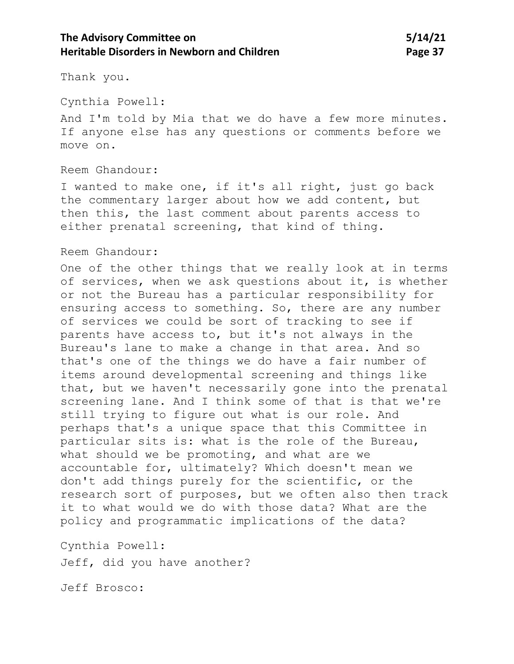## **The Advisory Committee on 5/14/21 Heritable Disorders in Newborn and Children <b>Page 37 Page 37**

Thank you.

Cynthia Powell:

And I'm told by Mia that we do have a few more minutes. If anyone else has any questions or comments before we move on.

#### Reem Ghandour:

I wanted to make one, if it's all right, just go back the commentary larger about how we add content, but then this, the last comment about parents access to either prenatal screening, that kind of thing.

#### Reem Ghandour:

One of the other things that we really look at in terms of services, when we ask questions about it, is whether or not the Bureau has a particular responsibility for ensuring access to something. So, there are any number of services we could be sort of tracking to see if parents have access to, but it's not always in the Bureau's lane to make a change in that area. And so that's one of the things we do have a fair number of items around developmental screening and things like that, but we haven't necessarily gone into the prenatal screening lane. And I think some of that is that we're still trying to figure out what is our role. And perhaps that's a unique space that this Committee in particular sits is: what is the role of the Bureau, what should we be promoting, and what are we accountable for, ultimately? Which doesn't mean we don't add things purely for the scientific, or the research sort of purposes, but we often also then track it to what would we do with those data? What are the policy and programmatic implications of the data?

Cynthia Powell: Jeff, did you have another?

Jeff Brosco: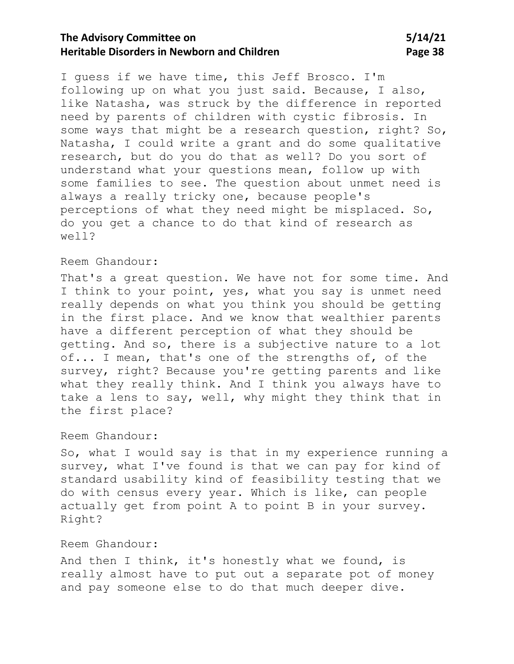# **The Advisory Committee on 5/14/21 Heritable Disorders in Newborn and Children <b>Page 38 Page 38**

I guess if we have time, this Jeff Brosco. I'm following up on what you just said. Because, I also, like Natasha, was struck by the difference in reported need by parents of children with cystic fibrosis. In some ways that might be a research question, right? So, Natasha, I could write a grant and do some qualitative research, but do you do that as well? Do you sort of understand what your questions mean, follow up with some families to see. The question about unmet need is always a really tricky one, because people's perceptions of what they need might be misplaced. So, do you get a chance to do that kind of research as well?

### Reem Ghandour:

That's a great question. We have not for some time. And I think to your point, yes, what you say is unmet need really depends on what you think you should be getting in the first place. And we know that wealthier parents have a different perception of what they should be getting. And so, there is a subjective nature to a lot of... I mean, that's one of the strengths of, of the survey, right? Because you're getting parents and like what they really think. And I think you always have to take a lens to say, well, why might they think that in the first place?

### Reem Ghandour:

So, what I would say is that in my experience running a survey, what I've found is that we can pay for kind of standard usability kind of feasibility testing that we do with census every year. Which is like, can people actually get from point A to point B in your survey. Right?

### Reem Ghandour:

And then I think, it's honestly what we found, is really almost have to put out a separate pot of money and pay someone else to do that much deeper dive.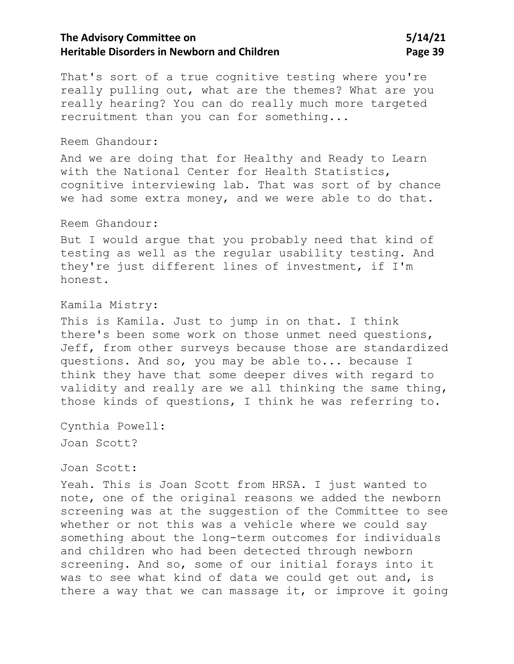# **The Advisory Committee on 5/14/21 Heritable Disorders in Newborn and Children <b>Page 39 Page 39**

That's sort of a true cognitive testing where you're really pulling out, what are the themes? What are you really hearing? You can do really much more targeted recruitment than you can for something...

#### Reem Ghandour:

And we are doing that for Healthy and Ready to Learn with the National Center for Health Statistics, cognitive interviewing lab. That was sort of by chance we had some extra money, and we were able to do that.

#### Reem Ghandour:

But I would argue that you probably need that kind of testing as well as the regular usability testing. And they're just different lines of investment, if I'm honest.

### Kamila Mistry:

This is Kamila. Just to jump in on that. I think there's been some work on those unmet need questions, Jeff, from other surveys because those are standardized questions. And so, you may be able to... because I think they have that some deeper dives with regard to validity and really are we all thinking the same thing, those kinds of questions, I think he was referring to.

Cynthia Powell: Joan Scott?

Joan Scott:

Yeah. This is Joan Scott from HRSA. I just wanted to note, one of the original reasons we added the newborn screening was at the suggestion of the Committee to see whether or not this was a vehicle where we could say something about the long-term outcomes for individuals and children who had been detected through newborn screening. And so, some of our initial forays into it was to see what kind of data we could get out and, is there a way that we can massage it, or improve it going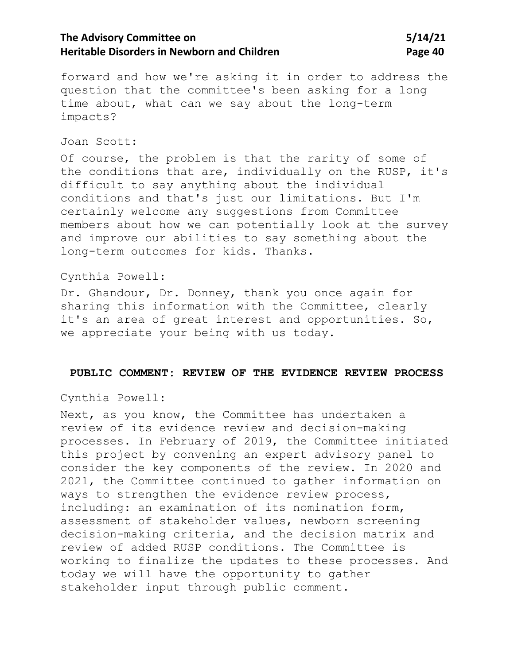# **The Advisory Committee on 5/14/21 Heritable Disorders in Newborn and Children <b>Page 40 Page 40**

forward and how we're asking it in order to address the question that the committee's been asking for a long time about, what can we say about the long-term impacts?

#### Joan Scott:

Of course, the problem is that the rarity of some of the conditions that are, individually on the RUSP, it's difficult to say anything about the individual conditions and that's just our limitations. But I'm certainly welcome any suggestions from Committee members about how we can potentially look at the survey and improve our abilities to say something about the long-term outcomes for kids. Thanks.

### Cynthia Powell:

Dr. Ghandour, Dr. Donney, thank you once again for sharing this information with the Committee, clearly it's an area of great interest and opportunities. So, we appreciate your being with us today.

#### **PUBLIC COMMENT: REVIEW OF THE EVIDENCE REVIEW PROCESS**

Cynthia Powell:

Next, as you know, the Committee has undertaken a review of its evidence review and decision-making processes. In February of 2019, the Committee initiated this project by convening an expert advisory panel to consider the key components of the review. In 2020 and 2021, the Committee continued to gather information on ways to strengthen the evidence review process, including: an examination of its nomination form, assessment of stakeholder values, newborn screening decision-making criteria, and the decision matrix and review of added RUSP conditions. The Committee is working to finalize the updates to these processes. And today we will have the opportunity to gather stakeholder input through public comment.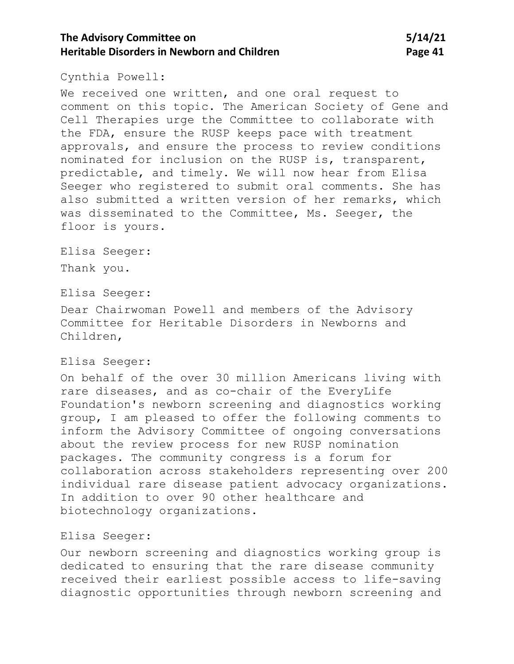# **The Advisory Committee on 5/14/21 Heritable Disorders in Newborn and Children**  Page 41

#### Cynthia Powell:

We received one written, and one oral request to comment on this topic. The American Society of Gene and Cell Therapies urge the Committee to collaborate with the FDA, ensure the RUSP keeps pace with treatment approvals, and ensure the process to review conditions nominated for inclusion on the RUSP is, transparent, predictable, and timely. We will now hear from Elisa Seeger who registered to submit oral comments. She has also submitted a written version of her remarks, which was disseminated to the Committee, Ms. Seeger, the floor is yours.

Elisa Seeger: Thank you.

Elisa Seeger:

Dear Chairwoman Powell and members of the Advisory Committee for Heritable Disorders in Newborns and Children,

### Elisa Seeger:

On behalf of the over 30 million Americans living with rare diseases, and as co-chair of the EveryLife Foundation's newborn screening and diagnostics working group, I am pleased to offer the following comments to inform the Advisory Committee of ongoing conversations about the review process for new RUSP nomination packages. The community congress is a forum for collaboration across stakeholders representing over 200 individual rare disease patient advocacy organizations. In addition to over 90 other healthcare and biotechnology organizations.

#### Elisa Seeger:

Our newborn screening and diagnostics working group is dedicated to ensuring that the rare disease community received their earliest possible access to life-saving diagnostic opportunities through newborn screening and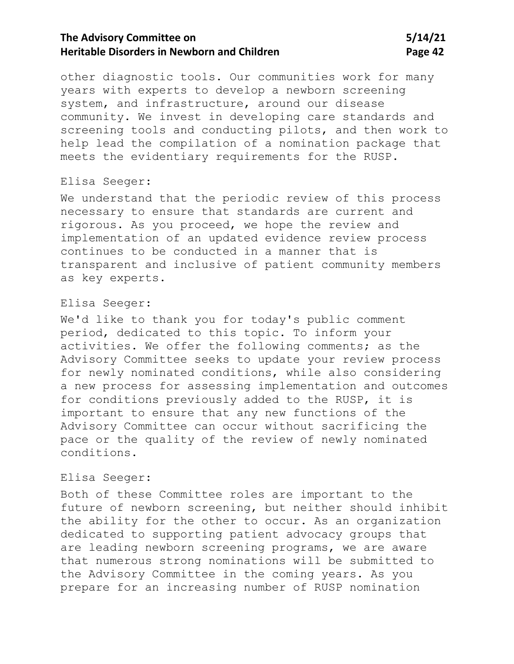# **The Advisory Committee on 5/14/21 Heritable Disorders in Newborn and Children <b>Page 42 Page 42**

other diagnostic tools. Our communities work for many years with experts to develop a newborn screening system, and infrastructure, around our disease community. We invest in developing care standards and screening tools and conducting pilots, and then work to help lead the compilation of a nomination package that meets the evidentiary requirements for the RUSP.

### Elisa Seeger:

We understand that the periodic review of this process necessary to ensure that standards are current and rigorous. As you proceed, we hope the review and implementation of an updated evidence review process continues to be conducted in a manner that is transparent and inclusive of patient community members as key experts.

#### Elisa Seeger:

We'd like to thank you for today's public comment period, dedicated to this topic. To inform your activities. We offer the following comments; as the Advisory Committee seeks to update your review process for newly nominated conditions, while also considering a new process for assessing implementation and outcomes for conditions previously added to the RUSP, it is important to ensure that any new functions of the Advisory Committee can occur without sacrificing the pace or the quality of the review of newly nominated conditions.

#### Elisa Seeger:

Both of these Committee roles are important to the future of newborn screening, but neither should inhibit the ability for the other to occur. As an organization dedicated to supporting patient advocacy groups that are leading newborn screening programs, we are aware that numerous strong nominations will be submitted to the Advisory Committee in the coming years. As you prepare for an increasing number of RUSP nomination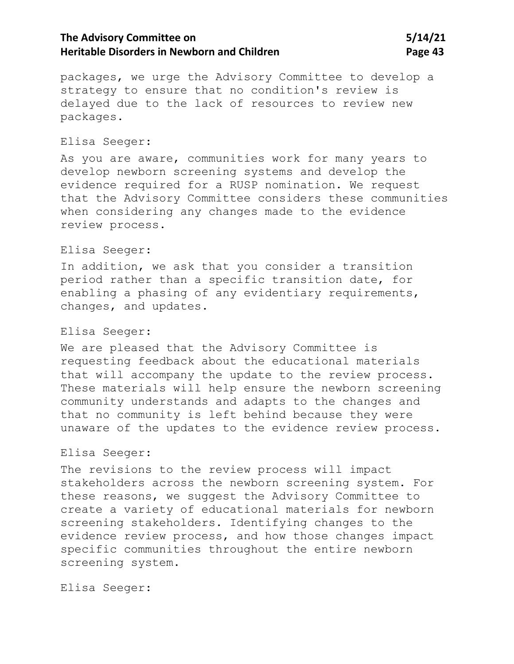# **The Advisory Committee on 5/14/21 Heritable Disorders in Newborn and Children <b>Page 43 Page 43**

packages, we urge the Advisory Committee to develop a strategy to ensure that no condition's review is delayed due to the lack of resources to review new packages.

#### Elisa Seeger:

As you are aware, communities work for many years to develop newborn screening systems and develop the evidence required for a RUSP nomination. We request that the Advisory Committee considers these communities when considering any changes made to the evidence review process.

### Elisa Seeger:

In addition, we ask that you consider a transition period rather than a specific transition date, for enabling a phasing of any evidentiary requirements, changes, and updates.

#### Elisa Seeger:

We are pleased that the Advisory Committee is requesting feedback about the educational materials that will accompany the update to the review process. These materials will help ensure the newborn screening community understands and adapts to the changes and that no community is left behind because they were unaware of the updates to the evidence review process.

### Elisa Seeger:

The revisions to the review process will impact stakeholders across the newborn screening system. For these reasons, we suggest the Advisory Committee to create a variety of educational materials for newborn screening stakeholders. Identifying changes to the evidence review process, and how those changes impact specific communities throughout the entire newborn screening system.

Elisa Seeger: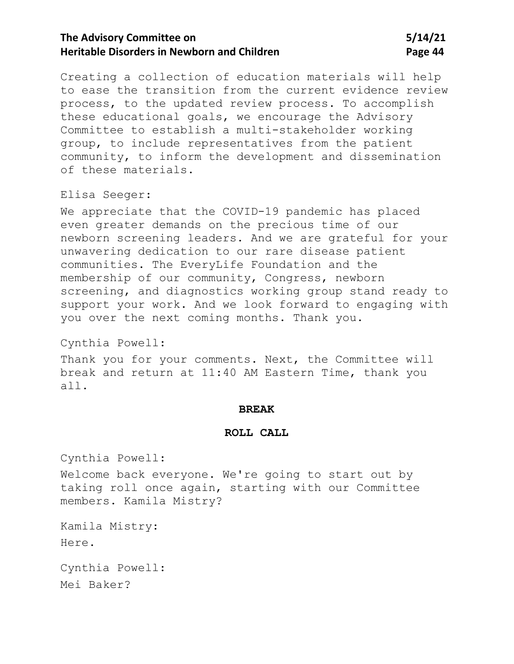# **The Advisory Committee on 5/14/21 Heritable Disorders in Newborn and Children <b>Page 44 Page 44**

Creating a collection of education materials will help to ease the transition from the current evidence review process, to the updated review process. To accomplish these educational goals, we encourage the Advisory Committee to establish a multi-stakeholder working group, to include representatives from the patient community, to inform the development and dissemination of these materials.

Elisa Seeger:

We appreciate that the COVID-19 pandemic has placed even greater demands on the precious time of our newborn screening leaders. And we are grateful for your unwavering dedication to our rare disease patient communities. The EveryLife Foundation and the membership of our community, Congress, newborn screening, and diagnostics working group stand ready to support your work. And we look forward to engaging with you over the next coming months. Thank you.

Cynthia Powell:

Thank you for your comments. Next, the Committee will break and return at 11:40 AM Eastern Time, thank you all.

#### **BREAK**

#### **ROLL CALL**

Cynthia Powell:

Welcome back everyone. We're going to start out by taking roll once again, starting with our Committee members. Kamila Mistry?

Kamila Mistry:

Here.

Cynthia Powell: Mei Baker?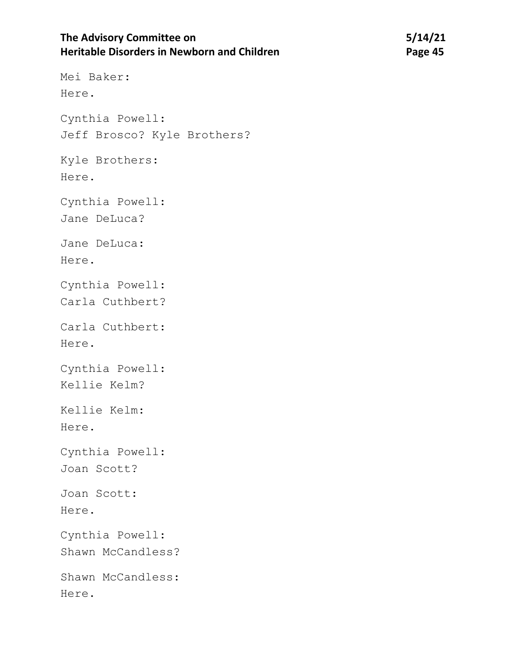# **The Advisory Committee on 5/14/21 Heritable Disorders in Newborn and Children** *Page 45* **Page 45**

Mei Baker: Here. Cynthia Powell: Jeff Brosco? Kyle Brothers? Kyle Brothers: Here. Cynthia Powell: Jane DeLuca? Jane DeLuca: Here. Cynthia Powell: Carla Cuthbert? Carla Cuthbert: Here. Cynthia Powell: Kellie Kelm? Kellie Kelm: Here. Cynthia Powell: Joan Scott? Joan Scott: Here. Cynthia Powell: Shawn McCandless? Shawn McCandless: Here.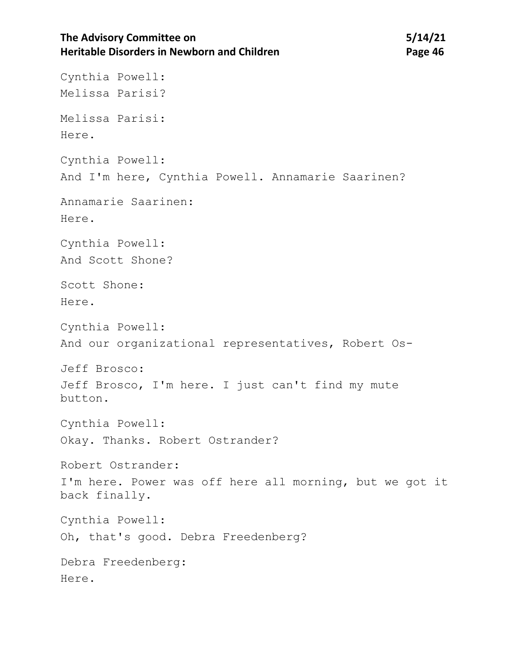# The Advisory Committee on 5/14/21 **Heritable Disorders in Newborn and Children <b>Page 46 Page 46**

Cynthia Powell: Melissa Parisi? Melissa Parisi: Here. Cynthia Powell: And I'm here, Cynthia Powell. Annamarie Saarinen? Annamarie Saarinen: Here. Cynthia Powell: And Scott Shone? Scott Shone: Here. Cynthia Powell: And our organizational representatives, Robert Os-Jeff Brosco: Jeff Brosco, I'm here. I just can't find my mute button. Cynthia Powell: Okay. Thanks. Robert Ostrander? Robert Ostrander: I'm here. Power was off here all morning, but we got it back finally. Cynthia Powell: Oh, that's good. Debra Freedenberg? Debra Freedenberg: Here.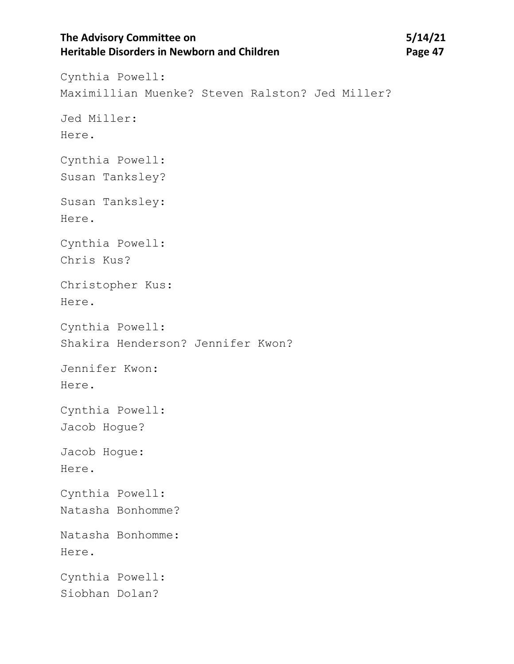# **The Advisory Committee on 5/14/21 Heritable Disorders in Newborn and Children** *Page 47* **Page 47**

Cynthia Powell: Maximillian Muenke? Steven Ralston? Jed Miller? Jed Miller: Here. Cynthia Powell: Susan Tanksley? Susan Tanksley: Here. Cynthia Powell: Chris Kus? Christopher Kus: Here. Cynthia Powell: Shakira Henderson? Jennifer Kwon? Jennifer Kwon: Here. Cynthia Powell: Jacob Hogue? Jacob Hogue: Here. Cynthia Powell: Natasha Bonhomme? Natasha Bonhomme: Here. Cynthia Powell: Siobhan Dolan?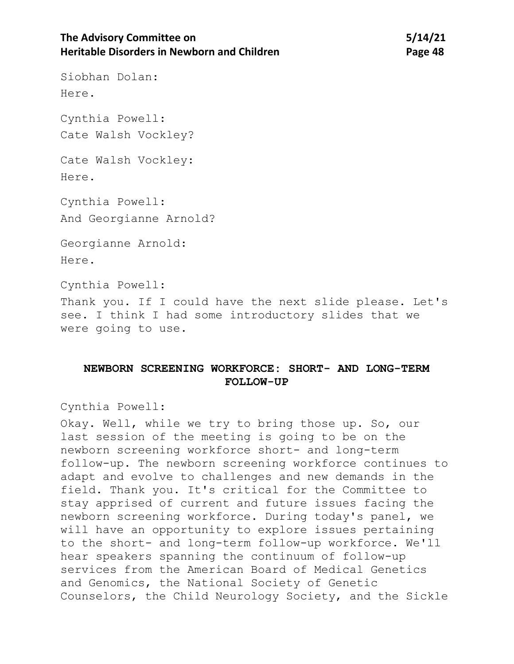# **The Advisory Committee on 5/14/21 Heritable Disorders in Newborn and Children <b>Page 48 Page 48**

Siobhan Dolan: Here.

Cynthia Powell: Cate Walsh Vockley?

Cate Walsh Vockley: Here.

Cynthia Powell: And Georgianne Arnold?

Georgianne Arnold: Here.

Cynthia Powell:

Thank you. If I could have the next slide please. Let's see. I think I had some introductory slides that we were going to use.

### **NEWBORN SCREENING WORKFORCE: SHORT- AND LONG-TERM FOLLOW-UP**

Cynthia Powell:

Okay. Well, while we try to bring those up. So, our last session of the meeting is going to be on the newborn screening workforce short- and long-term follow-up. The newborn screening workforce continues to adapt and evolve to challenges and new demands in the field. Thank you. It's critical for the Committee to stay apprised of current and future issues facing the newborn screening workforce. During today's panel, we will have an opportunity to explore issues pertaining to the short- and long-term follow-up workforce. We'll hear speakers spanning the continuum of follow-up services from the American Board of Medical Genetics and Genomics, the National Society of Genetic Counselors, the Child Neurology Society, and the Sickle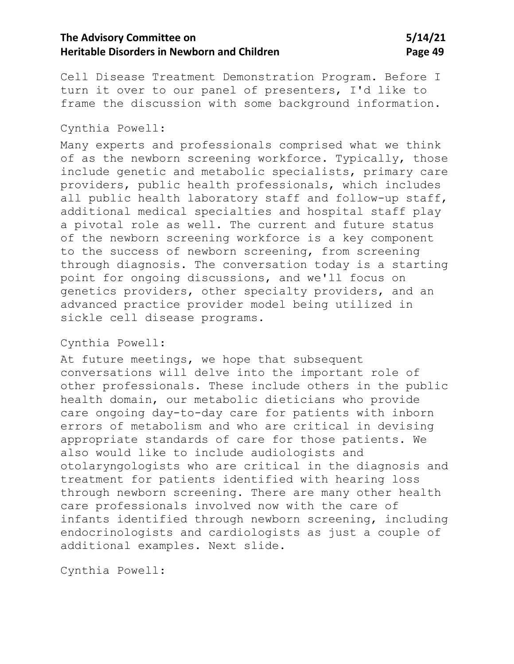# **The Advisory Committee on 5/14/21 Heritable Disorders in Newborn and Children**  Page 49

Cell Disease Treatment Demonstration Program. Before I turn it over to our panel of presenters, I'd like to frame the discussion with some background information.

#### Cynthia Powell:

Many experts and professionals comprised what we think of as the newborn screening workforce. Typically, those include genetic and metabolic specialists, primary care providers, public health professionals, which includes all public health laboratory staff and follow-up staff, additional medical specialties and hospital staff play a pivotal role as well. The current and future status of the newborn screening workforce is a key component to the success of newborn screening, from screening through diagnosis. The conversation today is a starting point for ongoing discussions, and we'll focus on genetics providers, other specialty providers, and an advanced practice provider model being utilized in sickle cell disease programs.

### Cynthia Powell:

At future meetings, we hope that subsequent conversations will delve into the important role of other professionals. These include others in the public health domain, our metabolic dieticians who provide care ongoing day-to-day care for patients with inborn errors of metabolism and who are critical in devising appropriate standards of care for those patients. We also would like to include audiologists and otolaryngologists who are critical in the diagnosis and treatment for patients identified with hearing loss through newborn screening. There are many other health care professionals involved now with the care of infants identified through newborn screening, including endocrinologists and cardiologists as just a couple of additional examples. Next slide.

Cynthia Powell: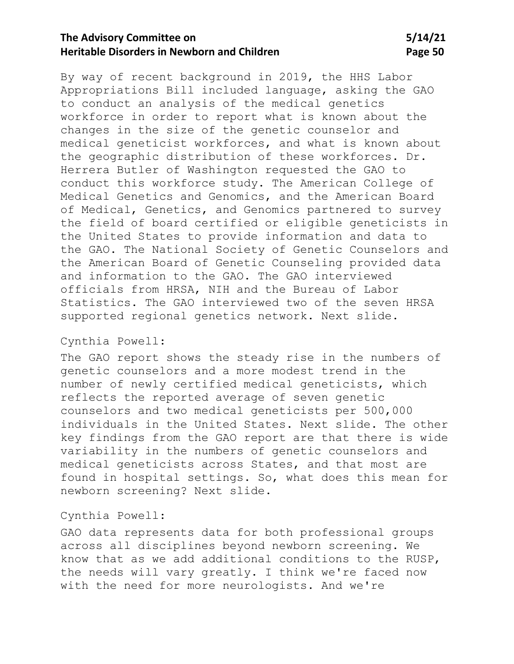# **The Advisory Committee on 5/14/21 Heritable Disorders in Newborn and Children Children Page 50**

By way of recent background in 2019, the HHS Labor Appropriations Bill included language, asking the GAO to conduct an analysis of the medical genetics workforce in order to report what is known about the changes in the size of the genetic counselor and medical geneticist workforces, and what is known about the geographic distribution of these workforces. Dr. Herrera Butler of Washington requested the GAO to conduct this workforce study. The American College of Medical Genetics and Genomics, and the American Board of Medical, Genetics, and Genomics partnered to survey the field of board certified or eligible geneticists in the United States to provide information and data to the GAO. The National Society of Genetic Counselors and the American Board of Genetic Counseling provided data and information to the GAO. The GAO interviewed officials from HRSA, NIH and the Bureau of Labor Statistics. The GAO interviewed two of the seven HRSA supported regional genetics network. Next slide.

### Cynthia Powell:

The GAO report shows the steady rise in the numbers of genetic counselors and a more modest trend in the number of newly certified medical geneticists, which reflects the reported average of seven genetic counselors and two medical geneticists per 500,000 individuals in the United States. Next slide. The other key findings from the GAO report are that there is wide variability in the numbers of genetic counselors and medical geneticists across States, and that most are found in hospital settings. So, what does this mean for newborn screening? Next slide.

#### Cynthia Powell:

GAO data represents data for both professional groups across all disciplines beyond newborn screening. We know that as we add additional conditions to the RUSP, the needs will vary greatly. I think we're faced now with the need for more neurologists. And we're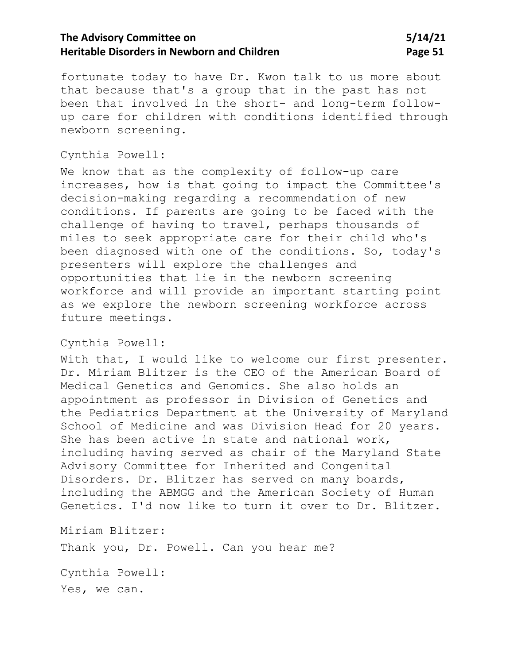# **The Advisory Committee on 5/14/21 Heritable Disorders in Newborn and Children Mage 51 Page 51**

fortunate today to have Dr. Kwon talk to us more about that because that's a group that in the past has not been that involved in the short- and long-term followup care for children with conditions identified through newborn screening.

### Cynthia Powell:

We know that as the complexity of follow-up care increases, how is that going to impact the Committee's decision-making regarding a recommendation of new conditions. If parents are going to be faced with the challenge of having to travel, perhaps thousands of miles to seek appropriate care for their child who's been diagnosed with one of the conditions. So, today's presenters will explore the challenges and opportunities that lie in the newborn screening workforce and will provide an important starting point as we explore the newborn screening workforce across future meetings.

### Cynthia Powell:

With that, I would like to welcome our first presenter. Dr. Miriam Blitzer is the CEO of the American Board of Medical Genetics and Genomics. She also holds an appointment as professor in Division of Genetics and the Pediatrics Department at the University of Maryland School of Medicine and was Division Head for 20 years. She has been active in state and national work, including having served as chair of the Maryland State Advisory Committee for Inherited and Congenital Disorders. Dr. Blitzer has served on many boards, including the ABMGG and the American Society of Human Genetics. I'd now like to turn it over to Dr. Blitzer.

Miriam Blitzer:

Thank you, Dr. Powell. Can you hear me?

Cynthia Powell: Yes, we can.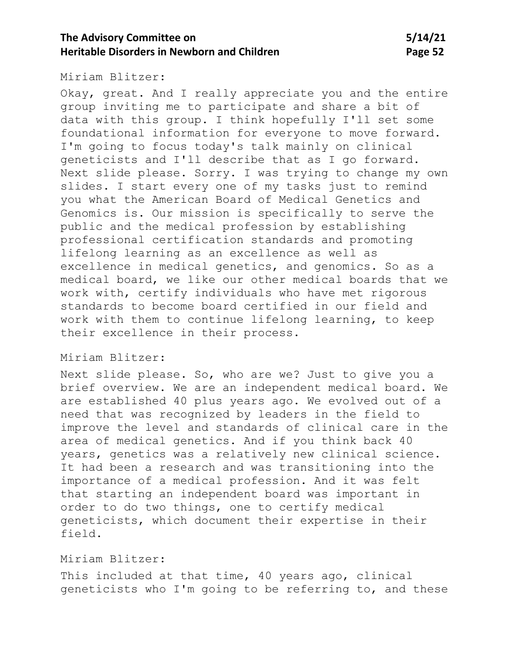Miriam Blitzer:

Okay, great. And I really appreciate you and the entire group inviting me to participate and share a bit of data with this group. I think hopefully I'll set some foundational information for everyone to move forward. I'm going to focus today's talk mainly on clinical geneticists and I'll describe that as I go forward. Next slide please. Sorry. I was trying to change my own slides. I start every one of my tasks just to remind you what the American Board of Medical Genetics and Genomics is. Our mission is specifically to serve the public and the medical profession by establishing professional certification standards and promoting lifelong learning as an excellence as well as excellence in medical genetics, and genomics. So as a medical board, we like our other medical boards that we work with, certify individuals who have met rigorous standards to become board certified in our field and work with them to continue lifelong learning, to keep their excellence in their process.

#### Miriam Blitzer:

Next slide please. So, who are we? Just to give you a brief overview. We are an independent medical board. We are established 40 plus years ago. We evolved out of a need that was recognized by leaders in the field to improve the level and standards of clinical care in the area of medical genetics. And if you think back 40 years, genetics was a relatively new clinical science. It had been a research and was transitioning into the importance of a medical profession. And it was felt that starting an independent board was important in order to do two things, one to certify medical geneticists, which document their expertise in their field.

## Miriam Blitzer:

This included at that time, 40 years ago, clinical geneticists who I'm going to be referring to, and these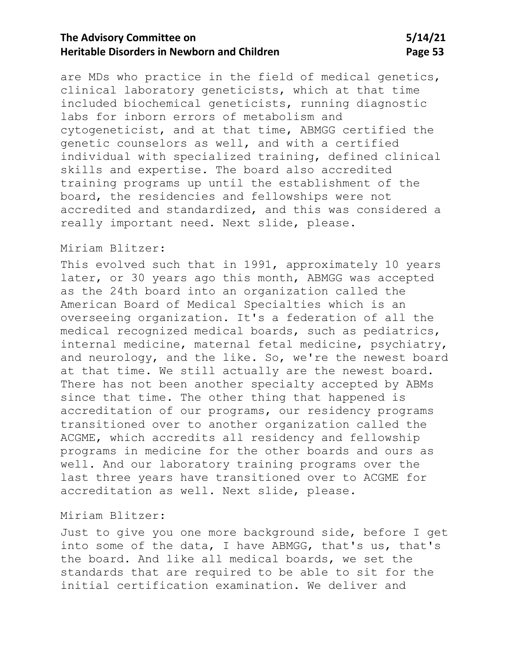are MDs who practice in the field of medical genetics, clinical laboratory geneticists, which at that time included biochemical geneticists, running diagnostic labs for inborn errors of metabolism and cytogeneticist, and at that time, ABMGG certified the genetic counselors as well, and with a certified individual with specialized training, defined clinical skills and expertise. The board also accredited training programs up until the establishment of the board, the residencies and fellowships were not accredited and standardized, and this was considered a really important need. Next slide, please.

### Miriam Blitzer:

This evolved such that in 1991, approximately 10 years later, or 30 years ago this month, ABMGG was accepted as the 24th board into an organization called the American Board of Medical Specialties which is an overseeing organization. It's a federation of all the medical recognized medical boards, such as pediatrics, internal medicine, maternal fetal medicine, psychiatry, and neurology, and the like. So, we're the newest board at that time. We still actually are the newest board. There has not been another specialty accepted by ABMs since that time. The other thing that happened is accreditation of our programs, our residency programs transitioned over to another organization called the ACGME, which accredits all residency and fellowship programs in medicine for the other boards and ours as well. And our laboratory training programs over the last three years have transitioned over to ACGME for accreditation as well. Next slide, please.

#### Miriam Blitzer:

Just to give you one more background side, before I get into some of the data, I have ABMGG, that's us, that's the board. And like all medical boards, we set the standards that are required to be able to sit for the initial certification examination. We deliver and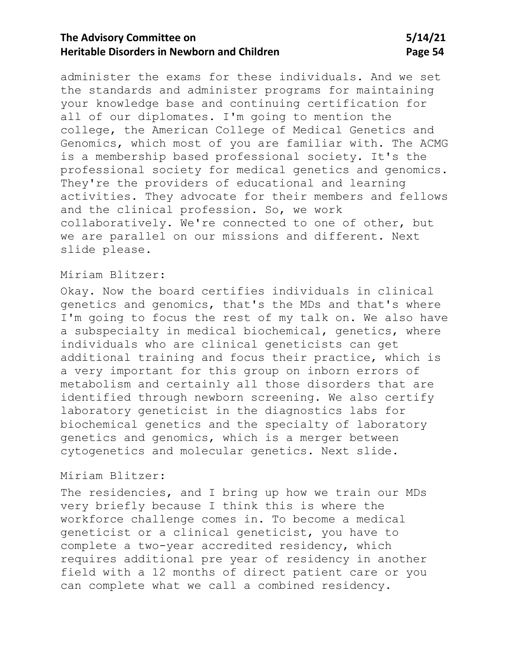administer the exams for these individuals. And we set the standards and administer programs for maintaining your knowledge base and continuing certification for all of our diplomates. I'm going to mention the college, the American College of Medical Genetics and Genomics, which most of you are familiar with. The ACMG is a membership based professional society. It's the professional society for medical genetics and genomics. They're the providers of educational and learning activities. They advocate for their members and fellows and the clinical profession. So, we work collaboratively. We're connected to one of other, but we are parallel on our missions and different. Next slide please.

### Miriam Blitzer:

Okay. Now the board certifies individuals in clinical genetics and genomics, that's the MDs and that's where I'm going to focus the rest of my talk on. We also have a subspecialty in medical biochemical, genetics, where individuals who are clinical geneticists can get additional training and focus their practice, which is a very important for this group on inborn errors of metabolism and certainly all those disorders that are identified through newborn screening. We also certify laboratory geneticist in the diagnostics labs for biochemical genetics and the specialty of laboratory genetics and genomics, which is a merger between cytogenetics and molecular genetics. Next slide.

### Miriam Blitzer:

The residencies, and I bring up how we train our MDs very briefly because I think this is where the workforce challenge comes in. To become a medical geneticist or a clinical geneticist, you have to complete a two-year accredited residency, which requires additional pre year of residency in another field with a 12 months of direct patient care or you can complete what we call a combined residency.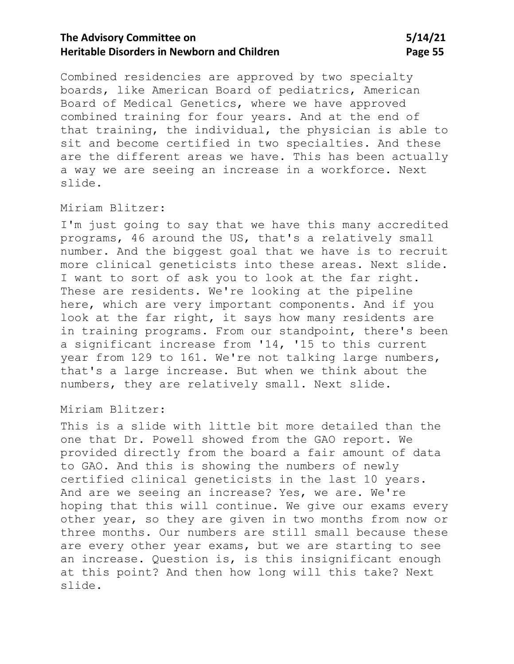Combined residencies are approved by two specialty boards, like American Board of pediatrics, American Board of Medical Genetics, where we have approved combined training for four years. And at the end of that training, the individual, the physician is able to sit and become certified in two specialties. And these are the different areas we have. This has been actually a way we are seeing an increase in a workforce. Next slide.

### Miriam Blitzer:

I'm just going to say that we have this many accredited programs, 46 around the US, that's a relatively small number. And the biggest goal that we have is to recruit more clinical geneticists into these areas. Next slide. I want to sort of ask you to look at the far right. These are residents. We're looking at the pipeline here, which are very important components. And if you look at the far right, it says how many residents are in training programs. From our standpoint, there's been a significant increase from '14, '15 to this current year from 129 to 161. We're not talking large numbers, that's a large increase. But when we think about the numbers, they are relatively small. Next slide.

#### Miriam Blitzer:

This is a slide with little bit more detailed than the one that Dr. Powell showed from the GAO report. We provided directly from the board a fair amount of data to GAO. And this is showing the numbers of newly certified clinical geneticists in the last 10 years. And are we seeing an increase? Yes, we are. We're hoping that this will continue. We give our exams every other year, so they are given in two months from now or three months. Our numbers are still small because these are every other year exams, but we are starting to see an increase. Question is, is this insignificant enough at this point? And then how long will this take? Next slide.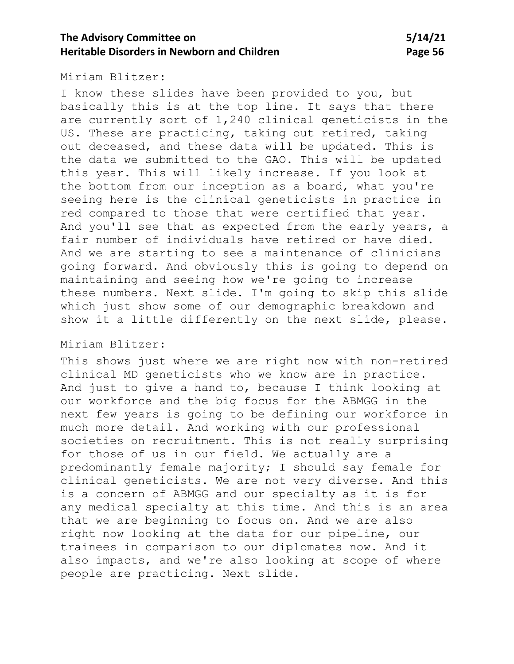Miriam Blitzer:

I know these slides have been provided to you, but basically this is at the top line. It says that there are currently sort of 1,240 clinical geneticists in the US. These are practicing, taking out retired, taking out deceased, and these data will be updated. This is the data we submitted to the GAO. This will be updated this year. This will likely increase. If you look at the bottom from our inception as a board, what you're seeing here is the clinical geneticists in practice in red compared to those that were certified that year. And you'll see that as expected from the early years, a fair number of individuals have retired or have died. And we are starting to see a maintenance of clinicians going forward. And obviously this is going to depend on maintaining and seeing how we're going to increase these numbers. Next slide. I'm going to skip this slide which just show some of our demographic breakdown and show it a little differently on the next slide, please.

### Miriam Blitzer:

This shows just where we are right now with non-retired clinical MD geneticists who we know are in practice. And just to give a hand to, because I think looking at our workforce and the big focus for the ABMGG in the next few years is going to be defining our workforce in much more detail. And working with our professional societies on recruitment. This is not really surprising for those of us in our field. We actually are a predominantly female majority; I should say female for clinical geneticists. We are not very diverse. And this is a concern of ABMGG and our specialty as it is for any medical specialty at this time. And this is an area that we are beginning to focus on. And we are also right now looking at the data for our pipeline, our trainees in comparison to our diplomates now. And it also impacts, and we're also looking at scope of where people are practicing. Next slide.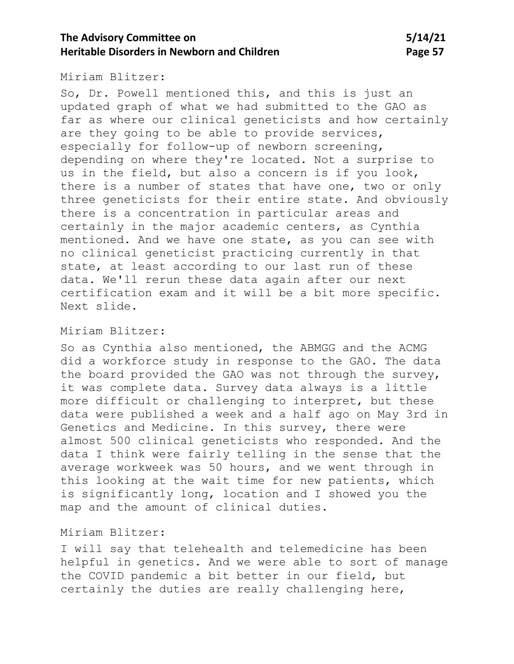Miriam Blitzer:

So, Dr. Powell mentioned this, and this is just an updated graph of what we had submitted to the GAO as far as where our clinical geneticists and how certainly are they going to be able to provide services, especially for follow-up of newborn screening, depending on where they're located. Not a surprise to us in the field, but also a concern is if you look, there is a number of states that have one, two or only three geneticists for their entire state. And obviously there is a concentration in particular areas and certainly in the major academic centers, as Cynthia mentioned. And we have one state, as you can see with no clinical geneticist practicing currently in that state, at least according to our last run of these data. We'll rerun these data again after our next certification exam and it will be a bit more specific. Next slide.

### Miriam Blitzer:

So as Cynthia also mentioned, the ABMGG and the ACMG did a workforce study in response to the GAO. The data the board provided the GAO was not through the survey, it was complete data. Survey data always is a little more difficult or challenging to interpret, but these data were published a week and a half ago on May 3rd in Genetics and Medicine. In this survey, there were almost 500 clinical geneticists who responded. And the data I think were fairly telling in the sense that the average workweek was 50 hours, and we went through in this looking at the wait time for new patients, which is significantly long, location and I showed you the map and the amount of clinical duties.

### Miriam Blitzer:

I will say that telehealth and telemedicine has been helpful in genetics. And we were able to sort of manage the COVID pandemic a bit better in our field, but certainly the duties are really challenging here,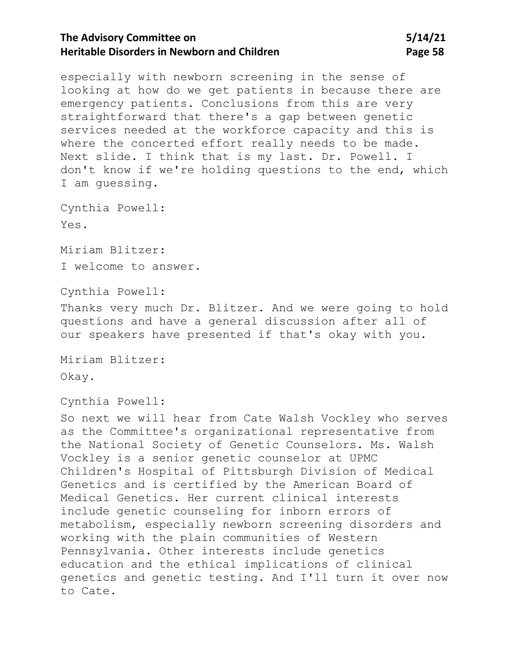# **The Advisory Committee on 5/14/21 Heritable Disorders in Newborn and Children Children Page 58**

especially with newborn screening in the sense of looking at how do we get patients in because there are emergency patients. Conclusions from this are very straightforward that there's a gap between genetic services needed at the workforce capacity and this is where the concerted effort really needs to be made. Next slide. I think that is my last. Dr. Powell. I don't know if we're holding questions to the end, which I am guessing.

Cynthia Powell: Yes.

Miriam Blitzer: I welcome to answer.

Cynthia Powell:

Thanks very much Dr. Blitzer. And we were going to hold questions and have a general discussion after all of our speakers have presented if that's okay with you.

Miriam Blitzer: Okay.

Cynthia Powell:

So next we will hear from Cate Walsh Vockley who serves as the Committee's organizational representative from the National Society of Genetic Counselors. Ms. Walsh Vockley is a senior genetic counselor at UPMC Children's Hospital of Pittsburgh Division of Medical Genetics and is certified by the American Board of Medical Genetics. Her current clinical interests include genetic counseling for inborn errors of metabolism, especially newborn screening disorders and working with the plain communities of Western Pennsylvania. Other interests include genetics education and the ethical implications of clinical genetics and genetic testing. And I'll turn it over now to Cate.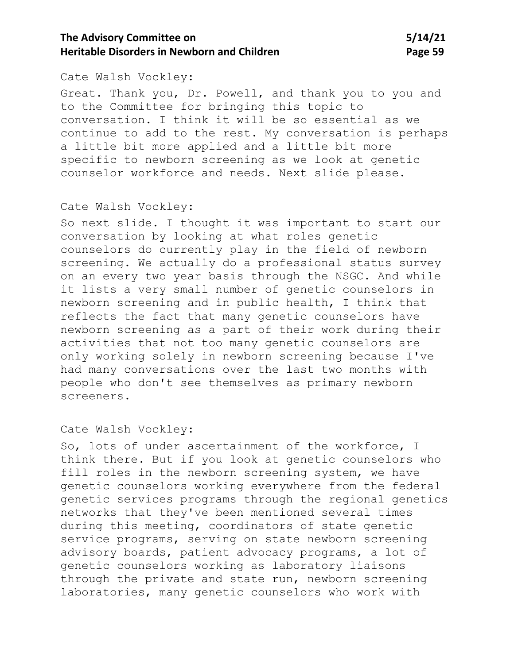## **The Advisory Committee on 5/14/21 Heritable Disorders in Newborn and Children <b>Page 59 Page 59**

### Cate Walsh Vockley:

Great. Thank you, Dr. Powell, and thank you to you and to the Committee for bringing this topic to conversation. I think it will be so essential as we continue to add to the rest. My conversation is perhaps a little bit more applied and a little bit more specific to newborn screening as we look at genetic counselor workforce and needs. Next slide please.

#### Cate Walsh Vockley:

So next slide. I thought it was important to start our conversation by looking at what roles genetic counselors do currently play in the field of newborn screening. We actually do a professional status survey on an every two year basis through the NSGC. And while it lists a very small number of genetic counselors in newborn screening and in public health, I think that reflects the fact that many genetic counselors have newborn screening as a part of their work during their activities that not too many genetic counselors are only working solely in newborn screening because I've had many conversations over the last two months with people who don't see themselves as primary newborn screeners.

### Cate Walsh Vockley:

So, lots of under ascertainment of the workforce, I think there. But if you look at genetic counselors who fill roles in the newborn screening system, we have genetic counselors working everywhere from the federal genetic services programs through the regional genetics networks that they've been mentioned several times during this meeting, coordinators of state genetic service programs, serving on state newborn screening advisory boards, patient advocacy programs, a lot of genetic counselors working as laboratory liaisons through the private and state run, newborn screening laboratories, many genetic counselors who work with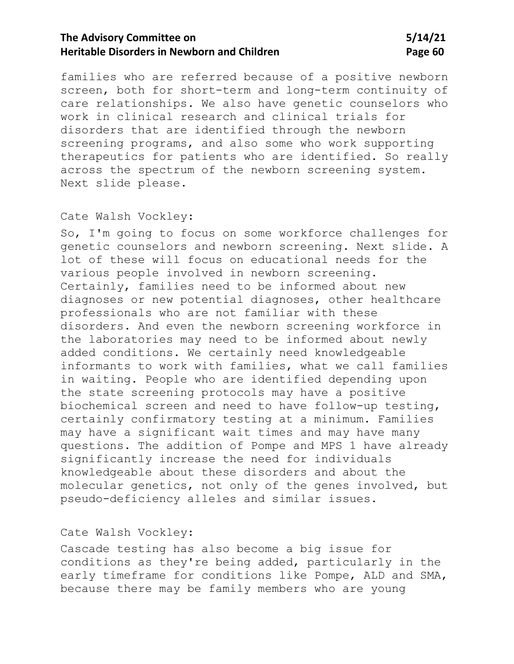# **The Advisory Committee on 5/14/21 Heritable Disorders in Newborn and Children <b>Page 60 Page 60**

families who are referred because of a positive newborn screen, both for short-term and long-term continuity of care relationships. We also have genetic counselors who work in clinical research and clinical trials for disorders that are identified through the newborn screening programs, and also some who work supporting therapeutics for patients who are identified. So really across the spectrum of the newborn screening system. Next slide please.

### Cate Walsh Vockley:

So, I'm going to focus on some workforce challenges for genetic counselors and newborn screening. Next slide. A lot of these will focus on educational needs for the various people involved in newborn screening. Certainly, families need to be informed about new diagnoses or new potential diagnoses, other healthcare professionals who are not familiar with these disorders. And even the newborn screening workforce in the laboratories may need to be informed about newly added conditions. We certainly need knowledgeable informants to work with families, what we call families in waiting. People who are identified depending upon the state screening protocols may have a positive biochemical screen and need to have follow-up testing, certainly confirmatory testing at a minimum. Families may have a significant wait times and may have many questions. The addition of Pompe and MPS 1 have already significantly increase the need for individuals knowledgeable about these disorders and about the molecular genetics, not only of the genes involved, but pseudo-deficiency alleles and similar issues.

### Cate Walsh Vockley:

Cascade testing has also become a big issue for conditions as they're being added, particularly in the early timeframe for conditions like Pompe, ALD and SMA, because there may be family members who are young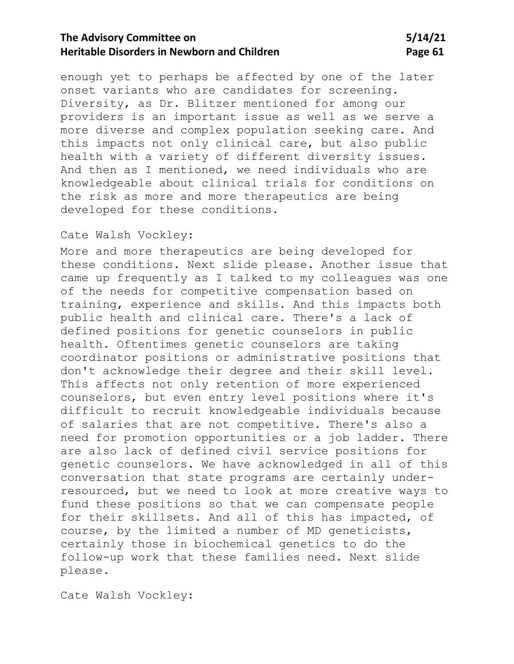## **The Advisory Committee on 5/14/21 Heritable Disorders in Newborn and Children Mage 61** Page 61

enough yet to perhaps be affected by one of the later onset variants who are candidates for screening. Diversity, as Dr. Blitzer mentioned for among our providers is an important issue as well as we serve a more diverse and complex population seeking care. And this impacts not only clinical care, but also public health with a variety of different diversity issues. And then as I mentioned, we need individuals who are knowledgeable about clinical trials for conditions on the risk as more and more therapeutics are being developed for these conditions.

### Cate Walsh Vockley:

More and more therapeutics are being developed for these conditions. Next slide please. Another issue that came up frequently as I talked to my colleagues was one of the needs for competitive compensation based on training, experience and skills. And this impacts both public health and clinical care. There's a lack of defined positions for genetic counselors in public health. Oftentimes genetic counselors are taking coordinator positions or administrative positions that don't acknowledge their degree and their skill level. This affects not only retention of more experienced counselors, but even entry level positions where it's difficult to recruit knowledgeable individuals because of salaries that are not competitive. There's also a need for promotion opportunities or a job ladder. There are also lack of defined civil service positions for genetic counselors. We have acknowledged in all of this conversation that state programs are certainly underresourced, but we need to look at more creative ways to fund these positions so that we can compensate people for their skillsets. And all of this has impacted, of course, by the limited a number of MD geneticists, certainly those in biochemical genetics to do the follow-up work that these families need. Next slide please.

Cate Walsh Vockley: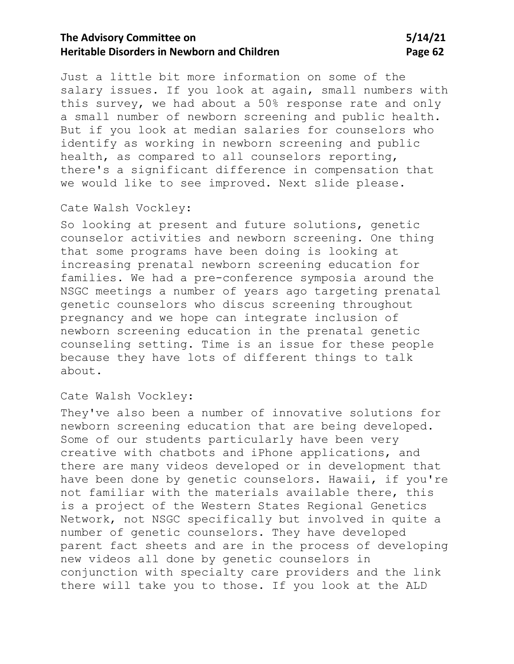# **The Advisory Committee on 5/14/21 Heritable Disorders in Newborn and Children Manual Children Page 62**

Just a little bit more information on some of the salary issues. If you look at again, small numbers with this survey, we had about a 50% response rate and only a small number of newborn screening and public health. But if you look at median salaries for counselors who identify as working in newborn screening and public health, as compared to all counselors reporting, there's a significant difference in compensation that we would like to see improved. Next slide please.

#### Cate Walsh Vockley:

So looking at present and future solutions, genetic counselor activities and newborn screening. One thing that some programs have been doing is looking at increasing prenatal newborn screening education for families. We had a pre-conference symposia around the NSGC meetings a number of years ago targeting prenatal genetic counselors who discus screening throughout pregnancy and we hope can integrate inclusion of newborn screening education in the prenatal genetic counseling setting. Time is an issue for these people because they have lots of different things to talk about.

#### Cate Walsh Vockley:

They've also been a number of innovative solutions for newborn screening education that are being developed. Some of our students particularly have been very creative with chatbots and iPhone applications, and there are many videos developed or in development that have been done by genetic counselors. Hawaii, if you're not familiar with the materials available there, this is a project of the Western States Regional Genetics Network, not NSGC specifically but involved in quite a number of genetic counselors. They have developed parent fact sheets and are in the process of developing new videos all done by genetic counselors in conjunction with specialty care providers and the link there will take you to those. If you look at the ALD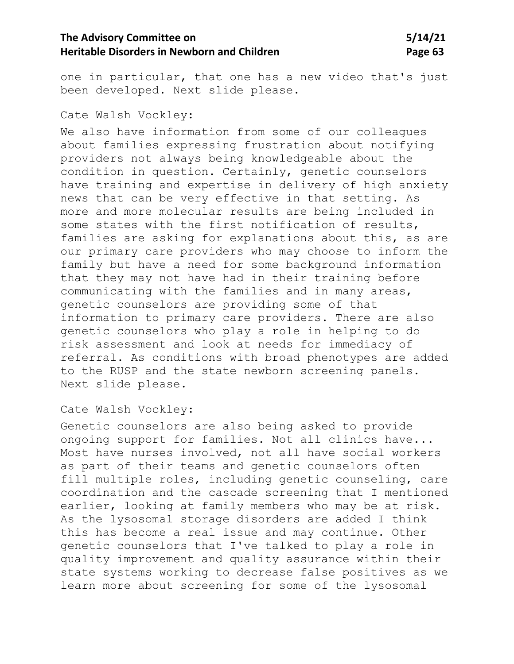one in particular, that one has a new video that's just been developed. Next slide please.

Cate Walsh Vockley:

We also have information from some of our colleagues about families expressing frustration about notifying providers not always being knowledgeable about the condition in question. Certainly, genetic counselors have training and expertise in delivery of high anxiety news that can be very effective in that setting. As more and more molecular results are being included in some states with the first notification of results, families are asking for explanations about this, as are our primary care providers who may choose to inform the family but have a need for some background information that they may not have had in their training before communicating with the families and in many areas, genetic counselors are providing some of that information to primary care providers. There are also genetic counselors who play a role in helping to do risk assessment and look at needs for immediacy of referral. As conditions with broad phenotypes are added to the RUSP and the state newborn screening panels. Next slide please.

Cate Walsh Vockley:

Genetic counselors are also being asked to provide ongoing support for families. Not all clinics have... Most have nurses involved, not all have social workers as part of their teams and genetic counselors often fill multiple roles, including genetic counseling, care coordination and the cascade screening that I mentioned earlier, looking at family members who may be at risk. As the lysosomal storage disorders are added I think this has become a real issue and may continue. Other genetic counselors that I've talked to play a role in quality improvement and quality assurance within their state systems working to decrease false positives as we learn more about screening for some of the lysosomal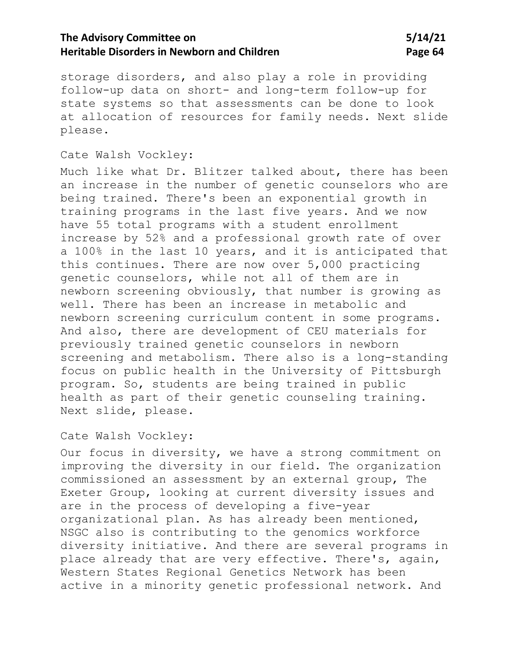storage disorders, and also play a role in providing follow-up data on short- and long-term follow-up for state systems so that assessments can be done to look at allocation of resources for family needs. Next slide please.

### Cate Walsh Vockley:

Much like what Dr. Blitzer talked about, there has been an increase in the number of genetic counselors who are being trained. There's been an exponential growth in training programs in the last five years. And we now have 55 total programs with a student enrollment increase by 52% and a professional growth rate of over a 100% in the last 10 years, and it is anticipated that this continues. There are now over 5,000 practicing genetic counselors, while not all of them are in newborn screening obviously, that number is growing as well. There has been an increase in metabolic and newborn screening curriculum content in some programs. And also, there are development of CEU materials for previously trained genetic counselors in newborn screening and metabolism. There also is a long-standing focus on public health in the University of Pittsburgh program. So, students are being trained in public health as part of their genetic counseling training. Next slide, please.

#### Cate Walsh Vockley:

Our focus in diversity, we have a strong commitment on improving the diversity in our field. The organization commissioned an assessment by an external group, The Exeter Group, looking at current diversity issues and are in the process of developing a five-year organizational plan. As has already been mentioned, NSGC also is contributing to the genomics workforce diversity initiative. And there are several programs in place already that are very effective. There's, again, Western States Regional Genetics Network has been active in a minority genetic professional network. And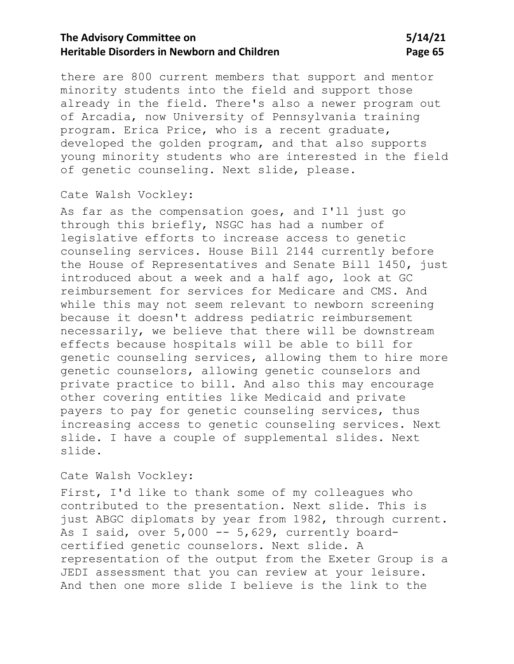there are 800 current members that support and mentor minority students into the field and support those already in the field. There's also a newer program out of Arcadia, now University of Pennsylvania training program. Erica Price, who is a recent graduate, developed the golden program, and that also supports young minority students who are interested in the field of genetic counseling. Next slide, please.

#### Cate Walsh Vockley:

As far as the compensation goes, and I'll just go through this briefly, NSGC has had a number of legislative efforts to increase access to genetic counseling services. House Bill 2144 currently before the House of Representatives and Senate Bill 1450, just introduced about a week and a half ago, look at GC reimbursement for services for Medicare and CMS. And while this may not seem relevant to newborn screening because it doesn't address pediatric reimbursement necessarily, we believe that there will be downstream effects because hospitals will be able to bill for genetic counseling services, allowing them to hire more genetic counselors, allowing genetic counselors and private practice to bill. And also this may encourage other covering entities like Medicaid and private payers to pay for genetic counseling services, thus increasing access to genetic counseling services. Next slide. I have a couple of supplemental slides. Next slide.

### Cate Walsh Vockley:

First, I'd like to thank some of my colleagues who contributed to the presentation. Next slide. This is just ABGC diplomats by year from 1982, through current. As I said, over 5,000 -- 5,629, currently boardcertified genetic counselors. Next slide. A representation of the output from the Exeter Group is a JEDI assessment that you can review at your leisure. And then one more slide I believe is the link to the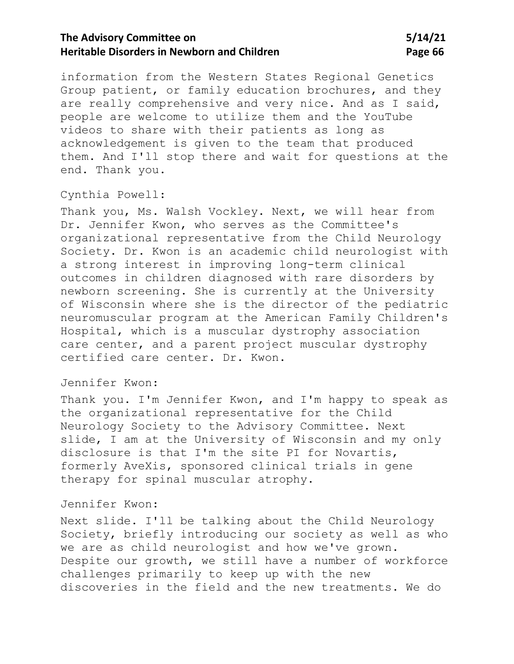# **The Advisory Committee on 5/14/21 Heritable Disorders in Newborn and Children Children Page 66**

information from the Western States Regional Genetics Group patient, or family education brochures, and they are really comprehensive and very nice. And as I said, people are welcome to utilize them and the YouTube videos to share with their patients as long as acknowledgement is given to the team that produced them. And I'll stop there and wait for questions at the end. Thank you.

#### Cynthia Powell:

Thank you, Ms. Walsh Vockley. Next, we will hear from Dr. Jennifer Kwon, who serves as the Committee's organizational representative from the Child Neurology Society. Dr. Kwon is an academic child neurologist with a strong interest in improving long-term clinical outcomes in children diagnosed with rare disorders by newborn screening. She is currently at the University of Wisconsin where she is the director of the pediatric neuromuscular program at the American Family Children's Hospital, which is a muscular dystrophy association care center, and a parent project muscular dystrophy certified care center. Dr. Kwon.

### Jennifer Kwon:

Thank you. I'm Jennifer Kwon, and I'm happy to speak as the organizational representative for the Child Neurology Society to the Advisory Committee. Next slide, I am at the University of Wisconsin and my only disclosure is that I'm the site PI for Novartis, formerly AveXis, sponsored clinical trials in gene therapy for spinal muscular atrophy.

### Jennifer Kwon:

Next slide. I'll be talking about the Child Neurology Society, briefly introducing our society as well as who we are as child neurologist and how we've grown. Despite our growth, we still have a number of workforce challenges primarily to keep up with the new discoveries in the field and the new treatments. We do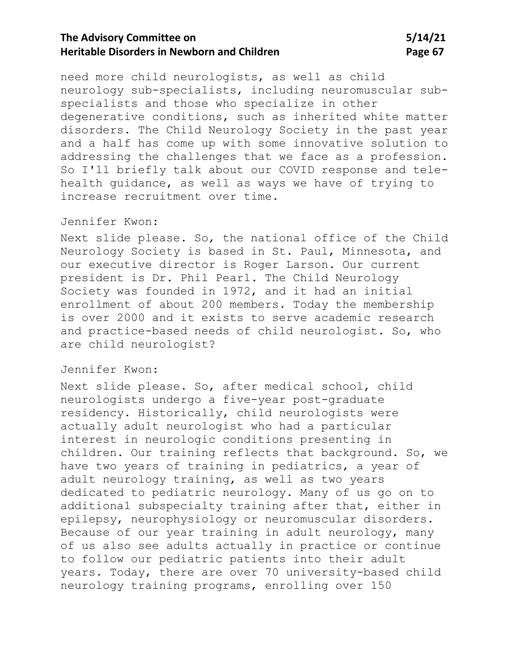need more child neurologists, as well as child neurology sub-specialists, including neuromuscular subspecialists and those who specialize in other degenerative conditions, such as inherited white matter disorders. The Child Neurology Society in the past year and a half has come up with some innovative solution to addressing the challenges that we face as a profession. So I'll briefly talk about our COVID response and telehealth guidance, as well as ways we have of trying to increase recruitment over time.

### Jennifer Kwon:

Next slide please. So, the national office of the Child Neurology Society is based in St. Paul, Minnesota, and our executive director is Roger Larson. Our current president is Dr. Phil Pearl. The Child Neurology Society was founded in 1972, and it had an initial enrollment of about 200 members. Today the membership is over 2000 and it exists to serve academic research and practice-based needs of child neurologist. So, who are child neurologist?

### Jennifer Kwon:

Next slide please. So, after medical school, child neurologists undergo a five-year post-graduate residency. Historically, child neurologists were actually adult neurologist who had a particular interest in neurologic conditions presenting in children. Our training reflects that background. So, we have two years of training in pediatrics, a year of adult neurology training, as well as two years dedicated to pediatric neurology. Many of us go on to additional subspecialty training after that, either in epilepsy, neurophysiology or neuromuscular disorders. Because of our year training in adult neurology, many of us also see adults actually in practice or continue to follow our pediatric patients into their adult years. Today, there are over 70 university-based child neurology training programs, enrolling over 150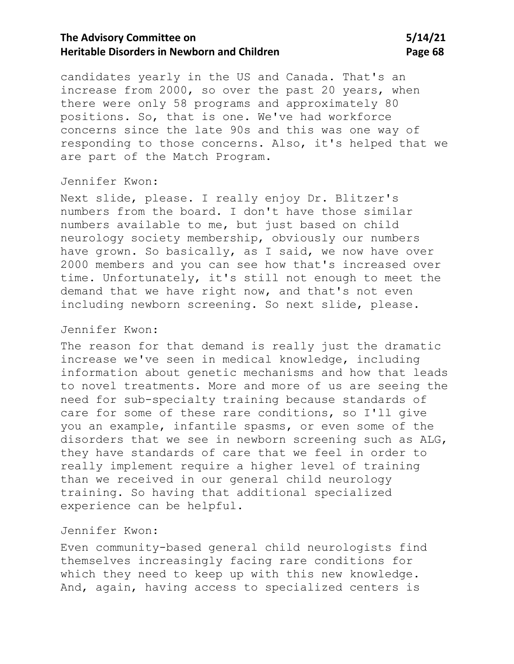# **The Advisory Committee on 5/14/21 Heritable Disorders in Newborn and Children Change 68** Page 68

candidates yearly in the US and Canada. That's an increase from 2000, so over the past 20 years, when there were only 58 programs and approximately 80 positions. So, that is one. We've had workforce concerns since the late 90s and this was one way of responding to those concerns. Also, it's helped that we are part of the Match Program.

#### Jennifer Kwon:

Next slide, please. I really enjoy Dr. Blitzer's numbers from the board. I don't have those similar numbers available to me, but just based on child neurology society membership, obviously our numbers have grown. So basically, as I said, we now have over 2000 members and you can see how that's increased over time. Unfortunately, it's still not enough to meet the demand that we have right now, and that's not even including newborn screening. So next slide, please.

### Jennifer Kwon:

The reason for that demand is really just the dramatic increase we've seen in medical knowledge, including information about genetic mechanisms and how that leads to novel treatments. More and more of us are seeing the need for sub-specialty training because standards of care for some of these rare conditions, so I'll give you an example, infantile spasms, or even some of the disorders that we see in newborn screening such as ALG, they have standards of care that we feel in order to really implement require a higher level of training than we received in our general child neurology training. So having that additional specialized experience can be helpful.

### Jennifer Kwon:

Even community-based general child neurologists find themselves increasingly facing rare conditions for which they need to keep up with this new knowledge. And, again, having access to specialized centers is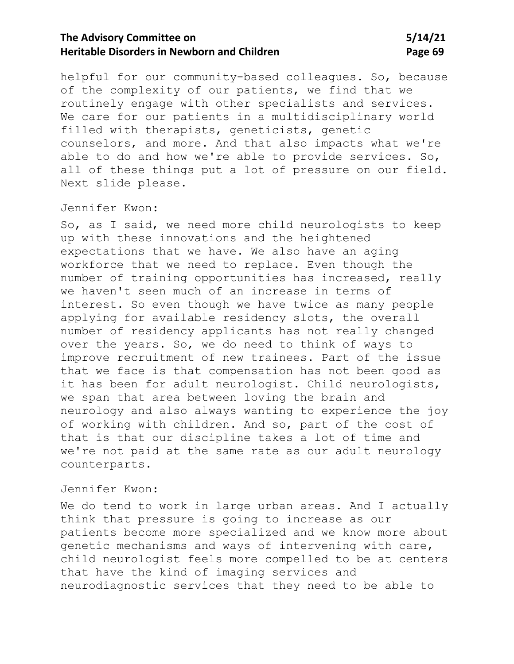## **The Advisory Committee on 5/14/21 Heritable Disorders in Newborn and Children Change 69 Page 69**

helpful for our community-based colleagues. So, because of the complexity of our patients, we find that we routinely engage with other specialists and services. We care for our patients in a multidisciplinary world filled with therapists, geneticists, genetic counselors, and more. And that also impacts what we're able to do and how we're able to provide services. So, all of these things put a lot of pressure on our field. Next slide please.

### Jennifer Kwon:

So, as I said, we need more child neurologists to keep up with these innovations and the heightened expectations that we have. We also have an aging workforce that we need to replace. Even though the number of training opportunities has increased, really we haven't seen much of an increase in terms of interest. So even though we have twice as many people applying for available residency slots, the overall number of residency applicants has not really changed over the years. So, we do need to think of ways to improve recruitment of new trainees. Part of the issue that we face is that compensation has not been good as it has been for adult neurologist. Child neurologists, we span that area between loving the brain and neurology and also always wanting to experience the joy of working with children. And so, part of the cost of that is that our discipline takes a lot of time and we're not paid at the same rate as our adult neurology counterparts.

#### Jennifer Kwon:

We do tend to work in large urban areas. And I actually think that pressure is going to increase as our patients become more specialized and we know more about genetic mechanisms and ways of intervening with care, child neurologist feels more compelled to be at centers that have the kind of imaging services and neurodiagnostic services that they need to be able to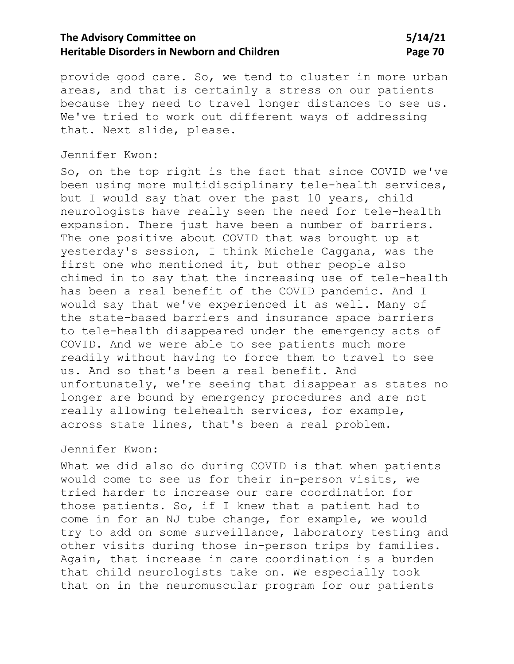# **The Advisory Committee on 5/14/21 Heritable Disorders in Newborn and Children Changer 20 Assets The Page 70**

provide good care. So, we tend to cluster in more urban areas, and that is certainly a stress on our patients because they need to travel longer distances to see us. We've tried to work out different ways of addressing that. Next slide, please.

### Jennifer Kwon:

So, on the top right is the fact that since COVID we've been using more multidisciplinary tele-health services, but I would say that over the past 10 years, child neurologists have really seen the need for tele-health expansion. There just have been a number of barriers. The one positive about COVID that was brought up at yesterday's session, I think Michele Caggana, was the first one who mentioned it, but other people also chimed in to say that the increasing use of tele-health has been a real benefit of the COVID pandemic. And I would say that we've experienced it as well. Many of the state-based barriers and insurance space barriers to tele-health disappeared under the emergency acts of COVID. And we were able to see patients much more readily without having to force them to travel to see us. And so that's been a real benefit. And unfortunately, we're seeing that disappear as states no longer are bound by emergency procedures and are not really allowing telehealth services, for example, across state lines, that's been a real problem.

### Jennifer Kwon:

What we did also do during COVID is that when patients would come to see us for their in-person visits, we tried harder to increase our care coordination for those patients. So, if I knew that a patient had to come in for an NJ tube change, for example, we would try to add on some surveillance, laboratory testing and other visits during those in-person trips by families. Again, that increase in care coordination is a burden that child neurologists take on. We especially took that on in the neuromuscular program for our patients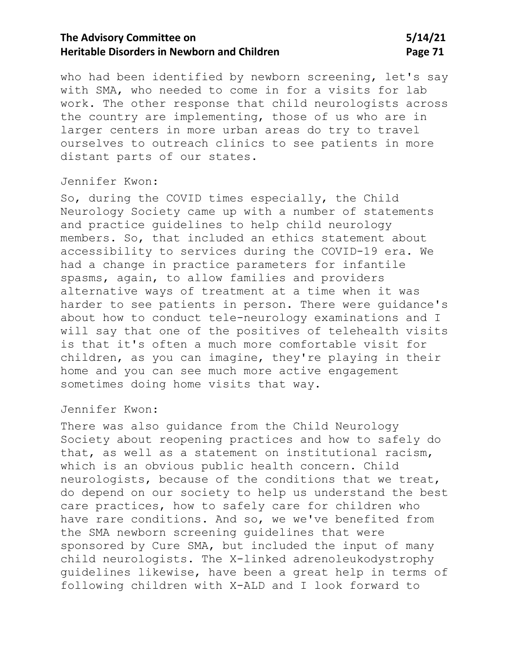who had been identified by newborn screening, let's say with SMA, who needed to come in for a visits for lab work. The other response that child neurologists across the country are implementing, those of us who are in larger centers in more urban areas do try to travel ourselves to outreach clinics to see patients in more distant parts of our states.

#### Jennifer Kwon:

So, during the COVID times especially, the Child Neurology Society came up with a number of statements and practice guidelines to help child neurology members. So, that included an ethics statement about accessibility to services during the COVID-19 era. We had a change in practice parameters for infantile spasms, again, to allow families and providers alternative ways of treatment at a time when it was harder to see patients in person. There were guidance's about how to conduct tele-neurology examinations and I will say that one of the positives of telehealth visits is that it's often a much more comfortable visit for children, as you can imagine, they're playing in their home and you can see much more active engagement sometimes doing home visits that way.

#### Jennifer Kwon:

There was also guidance from the Child Neurology Society about reopening practices and how to safely do that, as well as a statement on institutional racism, which is an obvious public health concern. Child neurologists, because of the conditions that we treat, do depend on our society to help us understand the best care practices, how to safely care for children who have rare conditions. And so, we we've benefited from the SMA newborn screening guidelines that were sponsored by Cure SMA, but included the input of many child neurologists. The X-linked adrenoleukodystrophy guidelines likewise, have been a great help in terms of following children with X-ALD and I look forward to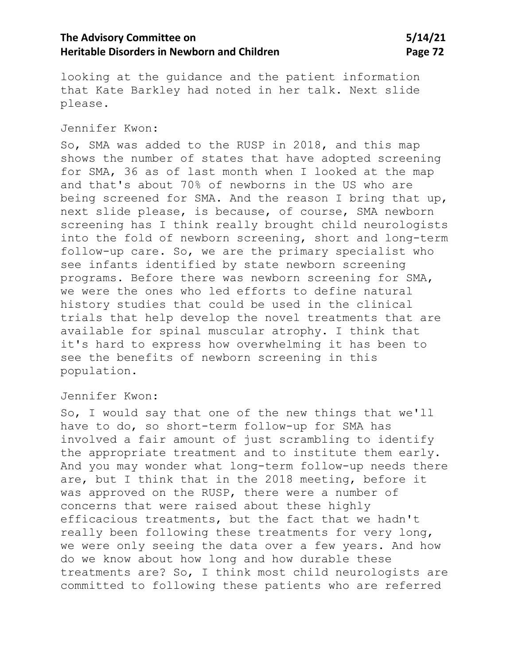looking at the guidance and the patient information that Kate Barkley had noted in her talk. Next slide please.

### Jennifer Kwon:

So, SMA was added to the RUSP in 2018, and this map shows the number of states that have adopted screening for SMA, 36 as of last month when I looked at the map and that's about 70% of newborns in the US who are being screened for SMA. And the reason I bring that up, next slide please, is because, of course, SMA newborn screening has I think really brought child neurologists into the fold of newborn screening, short and long-term follow-up care. So, we are the primary specialist who see infants identified by state newborn screening programs. Before there was newborn screening for SMA, we were the ones who led efforts to define natural history studies that could be used in the clinical trials that help develop the novel treatments that are available for spinal muscular atrophy. I think that it's hard to express how overwhelming it has been to see the benefits of newborn screening in this population.

#### Jennifer Kwon:

So, I would say that one of the new things that we'll have to do, so short-term follow-up for SMA has involved a fair amount of just scrambling to identify the appropriate treatment and to institute them early. And you may wonder what long-term follow-up needs there are, but I think that in the 2018 meeting, before it was approved on the RUSP, there were a number of concerns that were raised about these highly efficacious treatments, but the fact that we hadn't really been following these treatments for very long, we were only seeing the data over a few years. And how do we know about how long and how durable these treatments are? So, I think most child neurologists are committed to following these patients who are referred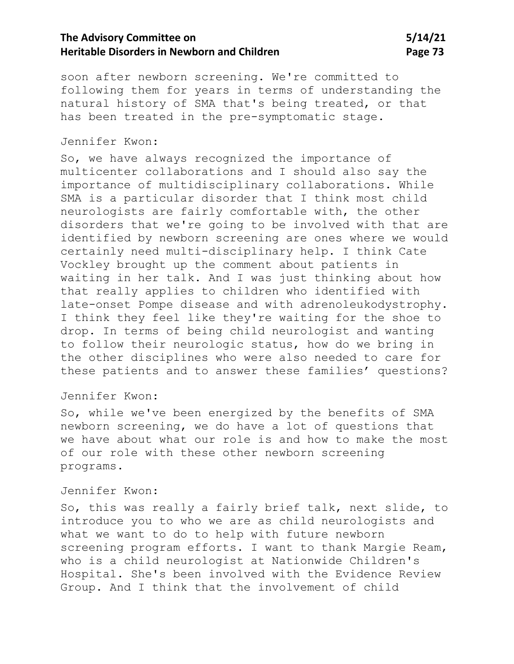# **The Advisory Committee on 5/14/21 Heritable Disorders in Newborn and Children Manual State 19 and Page 73**

soon after newborn screening. We're committed to following them for years in terms of understanding the natural history of SMA that's being treated, or that has been treated in the pre-symptomatic stage.

### Jennifer Kwon:

So, we have always recognized the importance of multicenter collaborations and I should also say the importance of multidisciplinary collaborations. While SMA is a particular disorder that I think most child neurologists are fairly comfortable with, the other disorders that we're going to be involved with that are identified by newborn screening are ones where we would certainly need multi-disciplinary help. I think Cate Vockley brought up the comment about patients in waiting in her talk. And I was just thinking about how that really applies to children who identified with late-onset Pompe disease and with adrenoleukodystrophy. I think they feel like they're waiting for the shoe to drop. In terms of being child neurologist and wanting to follow their neurologic status, how do we bring in the other disciplines who were also needed to care for these patients and to answer these families' questions?

### Jennifer Kwon:

So, while we've been energized by the benefits of SMA newborn screening, we do have a lot of questions that we have about what our role is and how to make the most of our role with these other newborn screening programs.

### Jennifer Kwon:

So, this was really a fairly brief talk, next slide, to introduce you to who we are as child neurologists and what we want to do to help with future newborn screening program efforts. I want to thank Margie Ream, who is a child neurologist at Nationwide Children's Hospital. She's been involved with the Evidence Review Group. And I think that the involvement of child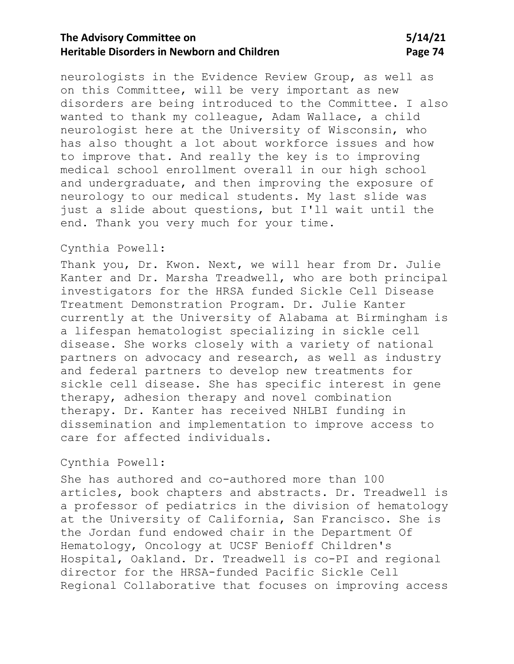neurologists in the Evidence Review Group, as well as on this Committee, will be very important as new disorders are being introduced to the Committee. I also wanted to thank my colleague, Adam Wallace, a child neurologist here at the University of Wisconsin, who has also thought a lot about workforce issues and how to improve that. And really the key is to improving medical school enrollment overall in our high school and undergraduate, and then improving the exposure of neurology to our medical students. My last slide was just a slide about questions, but I'll wait until the end. Thank you very much for your time.

#### Cynthia Powell:

Thank you, Dr. Kwon. Next, we will hear from Dr. Julie Kanter and Dr. Marsha Treadwell, who are both principal investigators for the HRSA funded Sickle Cell Disease Treatment Demonstration Program. Dr. Julie Kanter currently at the University of Alabama at Birmingham is a lifespan hematologist specializing in sickle cell disease. She works closely with a variety of national partners on advocacy and research, as well as industry and federal partners to develop new treatments for sickle cell disease. She has specific interest in gene therapy, adhesion therapy and novel combination therapy. Dr. Kanter has received NHLBI funding in dissemination and implementation to improve access to care for affected individuals.

### Cynthia Powell:

She has authored and co-authored more than 100 articles, book chapters and abstracts. Dr. Treadwell is a professor of pediatrics in the division of hematology at the University of California, San Francisco. She is the Jordan fund endowed chair in the Department Of Hematology, Oncology at UCSF Benioff Children's Hospital, Oakland. Dr. Treadwell is co-PI and regional director for the HRSA-funded Pacific Sickle Cell Regional Collaborative that focuses on improving access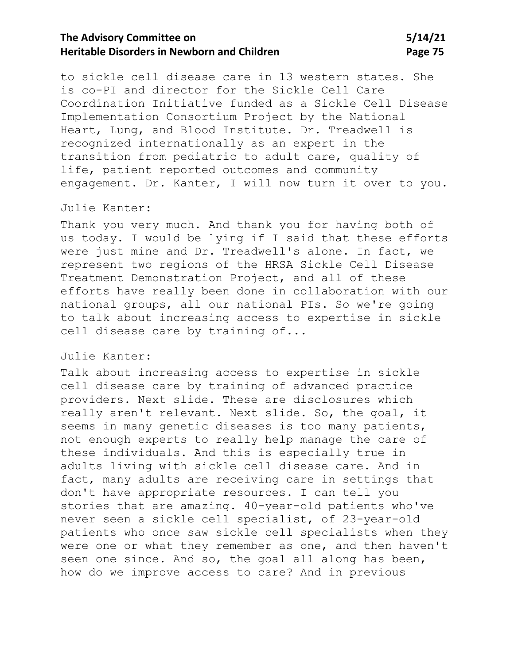# **The Advisory Committee on 5/14/21 Heritable Disorders in Newborn and Children Manual State 19 and Page 75**

to sickle cell disease care in 13 western states. She is co-PI and director for the Sickle Cell Care Coordination Initiative funded as a Sickle Cell Disease Implementation Consortium Project by the National Heart, Lung, and Blood Institute. Dr. Treadwell is recognized internationally as an expert in the transition from pediatric to adult care, quality of life, patient reported outcomes and community engagement. Dr. Kanter, I will now turn it over to you.

#### Julie Kanter:

Thank you very much. And thank you for having both of us today. I would be lying if I said that these efforts were just mine and Dr. Treadwell's alone. In fact, we represent two regions of the HRSA Sickle Cell Disease Treatment Demonstration Project, and all of these efforts have really been done in collaboration with our national groups, all our national PIs. So we're going to talk about increasing access to expertise in sickle cell disease care by training of...

### Julie Kanter:

Talk about increasing access to expertise in sickle cell disease care by training of advanced practice providers. Next slide. These are disclosures which really aren't relevant. Next slide. So, the goal, it seems in many genetic diseases is too many patients, not enough experts to really help manage the care of these individuals. And this is especially true in adults living with sickle cell disease care. And in fact, many adults are receiving care in settings that don't have appropriate resources. I can tell you stories that are amazing. 40-year-old patients who've never seen a sickle cell specialist, of 23-year-old patients who once saw sickle cell specialists when they were one or what they remember as one, and then haven't seen one since. And so, the goal all along has been, how do we improve access to care? And in previous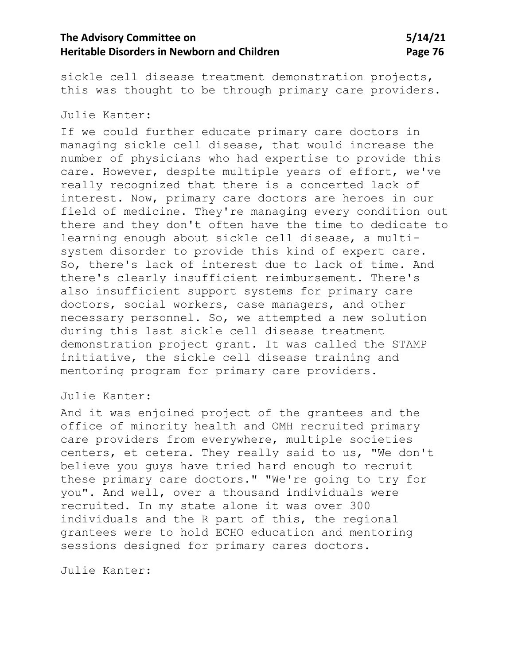sickle cell disease treatment demonstration projects, this was thought to be through primary care providers.

#### Julie Kanter:

If we could further educate primary care doctors in managing sickle cell disease, that would increase the number of physicians who had expertise to provide this care. However, despite multiple years of effort, we've really recognized that there is a concerted lack of interest. Now, primary care doctors are heroes in our field of medicine. They're managing every condition out there and they don't often have the time to dedicate to learning enough about sickle cell disease, a multisystem disorder to provide this kind of expert care. So, there's lack of interest due to lack of time. And there's clearly insufficient reimbursement. There's also insufficient support systems for primary care doctors, social workers, case managers, and other necessary personnel. So, we attempted a new solution during this last sickle cell disease treatment demonstration project grant. It was called the STAMP initiative, the sickle cell disease training and mentoring program for primary care providers.

### Julie Kanter:

And it was enjoined project of the grantees and the office of minority health and OMH recruited primary care providers from everywhere, multiple societies centers, et cetera. They really said to us, "We don't believe you guys have tried hard enough to recruit these primary care doctors." "We're going to try for you". And well, over a thousand individuals were recruited. In my state alone it was over 300 individuals and the R part of this, the regional grantees were to hold ECHO education and mentoring sessions designed for primary cares doctors.

Julie Kanter: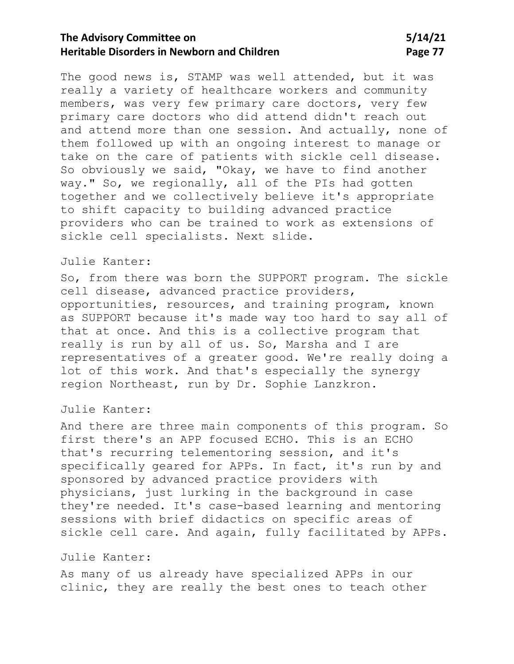The good news is, STAMP was well attended, but it was really a variety of healthcare workers and community members, was very few primary care doctors, very few primary care doctors who did attend didn't reach out and attend more than one session. And actually, none of them followed up with an ongoing interest to manage or take on the care of patients with sickle cell disease. So obviously we said, "Okay, we have to find another way." So, we regionally, all of the PIs had gotten together and we collectively believe it's appropriate to shift capacity to building advanced practice providers who can be trained to work as extensions of sickle cell specialists. Next slide.

### Julie Kanter:

So, from there was born the SUPPORT program. The sickle cell disease, advanced practice providers, opportunities, resources, and training program, known as SUPPORT because it's made way too hard to say all of that at once. And this is a collective program that really is run by all of us. So, Marsha and I are representatives of a greater good. We're really doing a lot of this work. And that's especially the synergy region Northeast, run by Dr. Sophie Lanzkron.

#### Julie Kanter:

And there are three main components of this program. So first there's an APP focused ECHO. This is an ECHO that's recurring telementoring session, and it's specifically geared for APPs. In fact, it's run by and sponsored by advanced practice providers with physicians, just lurking in the background in case they're needed. It's case-based learning and mentoring sessions with brief didactics on specific areas of sickle cell care. And again, fully facilitated by APPs.

### Julie Kanter:

As many of us already have specialized APPs in our clinic, they are really the best ones to teach other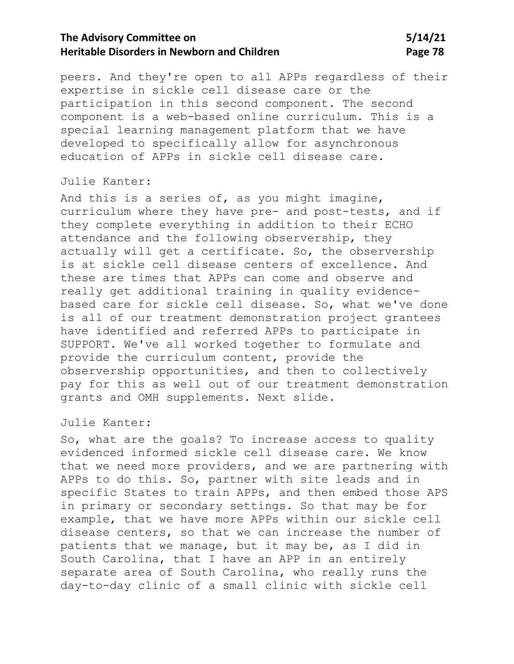peers. And they're open to all APPs regardless of their expertise in sickle cell disease care or the participation in this second component. The second component is a web-based online curriculum. This is a special learning management platform that we have developed to specifically allow for asynchronous education of APPs in sickle cell disease care.

#### Julie Kanter:

And this is a series of, as you might imagine, curriculum where they have pre- and post-tests, and if they complete everything in addition to their ECHO attendance and the following observership, they actually will get a certificate. So, the observership is at sickle cell disease centers of excellence. And these are times that APPs can come and observe and really get additional training in quality evidencebased care for sickle cell disease. So, what we've done is all of our treatment demonstration project grantees have identified and referred APPs to participate in SUPPORT. We've all worked together to formulate and provide the curriculum content, provide the observership opportunities, and then to collectively pay for this as well out of our treatment demonstration grants and OMH supplements. Next slide.

### Julie Kanter:

So, what are the goals? To increase access to quality evidenced informed sickle cell disease care. We know that we need more providers, and we are partnering with APPs to do this. So, partner with site leads and in specific States to train APPs, and then embed those APS in primary or secondary settings. So that may be for example, that we have more APPs within our sickle cell disease centers, so that we can increase the number of patients that we manage, but it may be, as I did in South Carolina, that I have an APP in an entirely separate area of South Carolina, who really runs the day-to-day clinic of a small clinic with sickle cell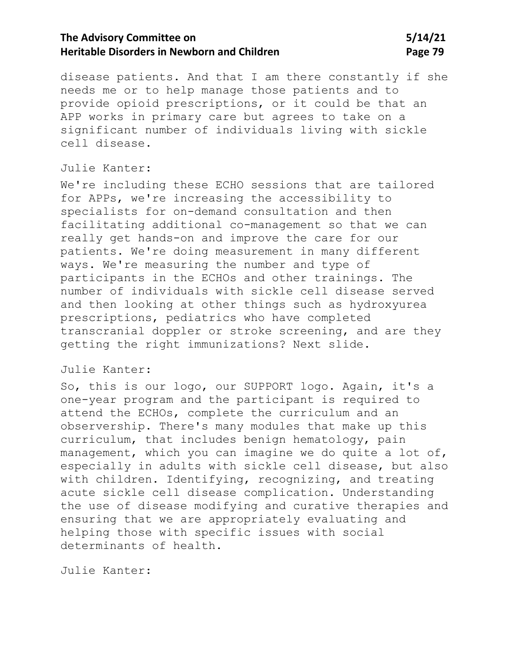# **The Advisory Committee on 5/14/21 Heritable Disorders in Newborn and Children Manual State 19 and Page 79**

disease patients. And that I am there constantly if she needs me or to help manage those patients and to provide opioid prescriptions, or it could be that an APP works in primary care but agrees to take on a significant number of individuals living with sickle cell disease.

### Julie Kanter:

We're including these ECHO sessions that are tailored for APPs, we're increasing the accessibility to specialists for on-demand consultation and then facilitating additional co-management so that we can really get hands-on and improve the care for our patients. We're doing measurement in many different ways. We're measuring the number and type of participants in the ECHOs and other trainings. The number of individuals with sickle cell disease served and then looking at other things such as hydroxyurea prescriptions, pediatrics who have completed transcranial doppler or stroke screening, and are they getting the right immunizations? Next slide.

### Julie Kanter:

So, this is our logo, our SUPPORT logo. Again, it's a one-year program and the participant is required to attend the ECHOs, complete the curriculum and an observership. There's many modules that make up this curriculum, that includes benign hematology, pain management, which you can imagine we do quite a lot of, especially in adults with sickle cell disease, but also with children. Identifying, recognizing, and treating acute sickle cell disease complication. Understanding the use of disease modifying and curative therapies and ensuring that we are appropriately evaluating and helping those with specific issues with social determinants of health.

Julie Kanter: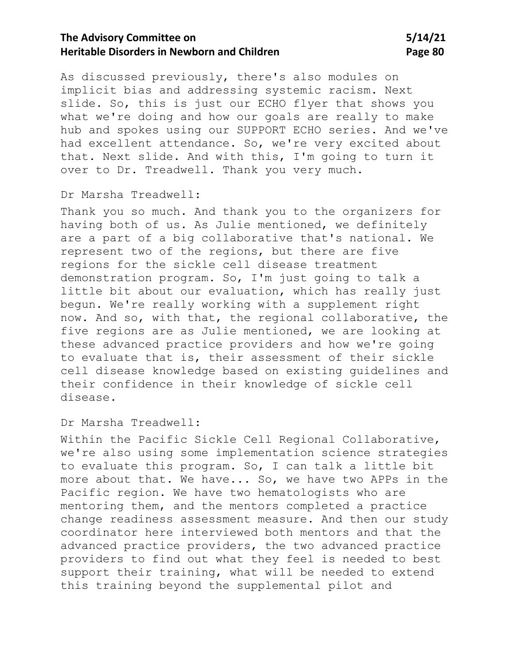As discussed previously, there's also modules on implicit bias and addressing systemic racism. Next slide. So, this is just our ECHO flyer that shows you what we're doing and how our goals are really to make hub and spokes using our SUPPORT ECHO series. And we've had excellent attendance. So, we're very excited about that. Next slide. And with this, I'm going to turn it over to Dr. Treadwell. Thank you very much.

### Dr Marsha Treadwell:

Thank you so much. And thank you to the organizers for having both of us. As Julie mentioned, we definitely are a part of a big collaborative that's national. We represent two of the regions, but there are five regions for the sickle cell disease treatment demonstration program. So, I'm just going to talk a little bit about our evaluation, which has really just begun. We're really working with a supplement right now. And so, with that, the regional collaborative, the five regions are as Julie mentioned, we are looking at these advanced practice providers and how we're going to evaluate that is, their assessment of their sickle cell disease knowledge based on existing guidelines and their confidence in their knowledge of sickle cell disease.

#### Dr Marsha Treadwell:

Within the Pacific Sickle Cell Regional Collaborative, we're also using some implementation science strategies to evaluate this program. So, I can talk a little bit more about that. We have... So, we have two APPs in the Pacific region. We have two hematologists who are mentoring them, and the mentors completed a practice change readiness assessment measure. And then our study coordinator here interviewed both mentors and that the advanced practice providers, the two advanced practice providers to find out what they feel is needed to best support their training, what will be needed to extend this training beyond the supplemental pilot and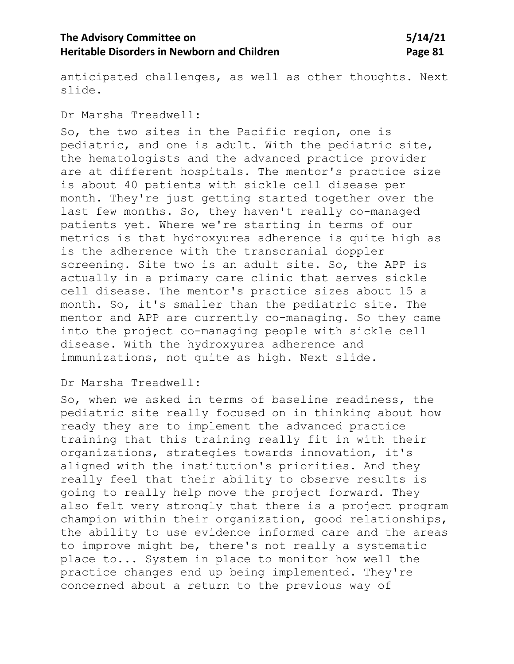# **The Advisory Committee on 5/14/21 Heritable Disorders in Newborn and Children Manual State 81 Page 81**

anticipated challenges, as well as other thoughts. Next slide.

Dr Marsha Treadwell:

So, the two sites in the Pacific region, one is pediatric, and one is adult. With the pediatric site, the hematologists and the advanced practice provider are at different hospitals. The mentor's practice size is about 40 patients with sickle cell disease per month. They're just getting started together over the last few months. So, they haven't really co-managed patients yet. Where we're starting in terms of our metrics is that hydroxyurea adherence is quite high as is the adherence with the transcranial doppler screening. Site two is an adult site. So, the APP is actually in a primary care clinic that serves sickle cell disease. The mentor's practice sizes about 15 a month. So, it's smaller than the pediatric site. The mentor and APP are currently co-managing. So they came into the project co-managing people with sickle cell disease. With the hydroxyurea adherence and immunizations, not quite as high. Next slide.

#### Dr Marsha Treadwell:

So, when we asked in terms of baseline readiness, the pediatric site really focused on in thinking about how ready they are to implement the advanced practice training that this training really fit in with their organizations, strategies towards innovation, it's aligned with the institution's priorities. And they really feel that their ability to observe results is going to really help move the project forward. They also felt very strongly that there is a project program champion within their organization, good relationships, the ability to use evidence informed care and the areas to improve might be, there's not really a systematic place to... System in place to monitor how well the practice changes end up being implemented. They're concerned about a return to the previous way of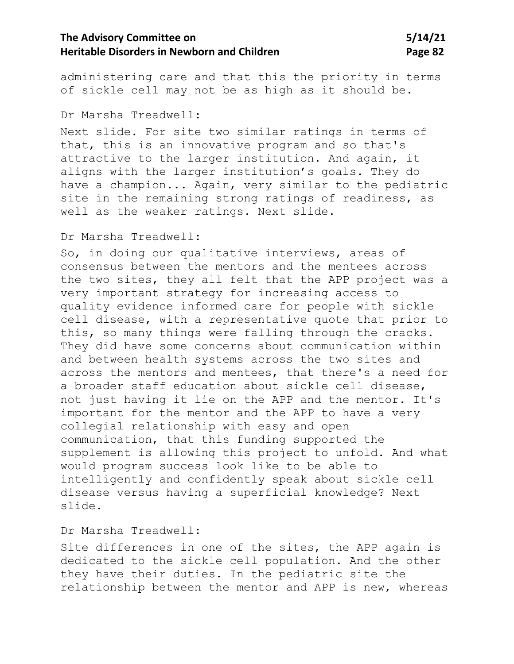administering care and that this the priority in terms of sickle cell may not be as high as it should be.

### Dr Marsha Treadwell:

Next slide. For site two similar ratings in terms of that, this is an innovative program and so that's attractive to the larger institution. And again, it aligns with the larger institution's goals. They do have a champion... Again, very similar to the pediatric site in the remaining strong ratings of readiness, as well as the weaker ratings. Next slide.

### Dr Marsha Treadwell:

So, in doing our qualitative interviews, areas of consensus between the mentors and the mentees across the two sites, they all felt that the APP project was a very important strategy for increasing access to quality evidence informed care for people with sickle cell disease, with a representative quote that prior to this, so many things were falling through the cracks. They did have some concerns about communication within and between health systems across the two sites and across the mentors and mentees, that there's a need for a broader staff education about sickle cell disease, not just having it lie on the APP and the mentor. It's important for the mentor and the APP to have a very collegial relationship with easy and open communication, that this funding supported the supplement is allowing this project to unfold. And what would program success look like to be able to intelligently and confidently speak about sickle cell disease versus having a superficial knowledge? Next slide.

### Dr Marsha Treadwell:

Site differences in one of the sites, the APP again is dedicated to the sickle cell population. And the other they have their duties. In the pediatric site the relationship between the mentor and APP is new, whereas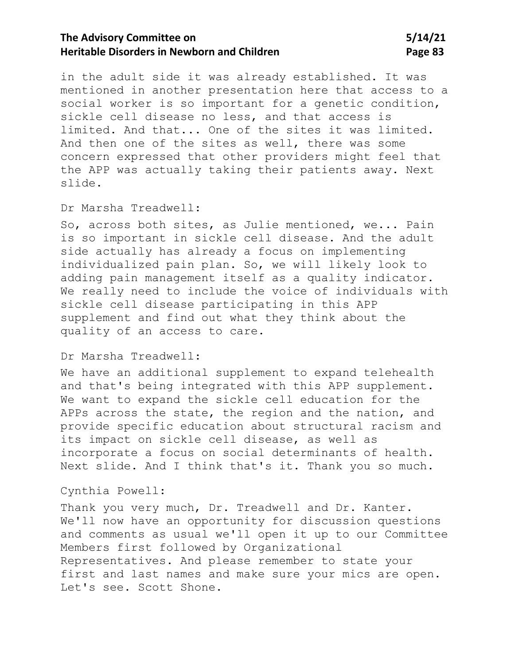in the adult side it was already established. It was mentioned in another presentation here that access to a social worker is so important for a genetic condition, sickle cell disease no less, and that access is limited. And that... One of the sites it was limited. And then one of the sites as well, there was some concern expressed that other providers might feel that the APP was actually taking their patients away. Next slide.

### Dr Marsha Treadwell:

So, across both sites, as Julie mentioned, we... Pain is so important in sickle cell disease. And the adult side actually has already a focus on implementing individualized pain plan. So, we will likely look to adding pain management itself as a quality indicator. We really need to include the voice of individuals with sickle cell disease participating in this APP supplement and find out what they think about the quality of an access to care.

#### Dr Marsha Treadwell:

We have an additional supplement to expand telehealth and that's being integrated with this APP supplement. We want to expand the sickle cell education for the APPs across the state, the region and the nation, and provide specific education about structural racism and its impact on sickle cell disease, as well as incorporate a focus on social determinants of health. Next slide. And I think that's it. Thank you so much.

### Cynthia Powell:

Thank you very much, Dr. Treadwell and Dr. Kanter. We'll now have an opportunity for discussion questions and comments as usual we'll open it up to our Committee Members first followed by Organizational Representatives. And please remember to state your first and last names and make sure your mics are open. Let's see. Scott Shone.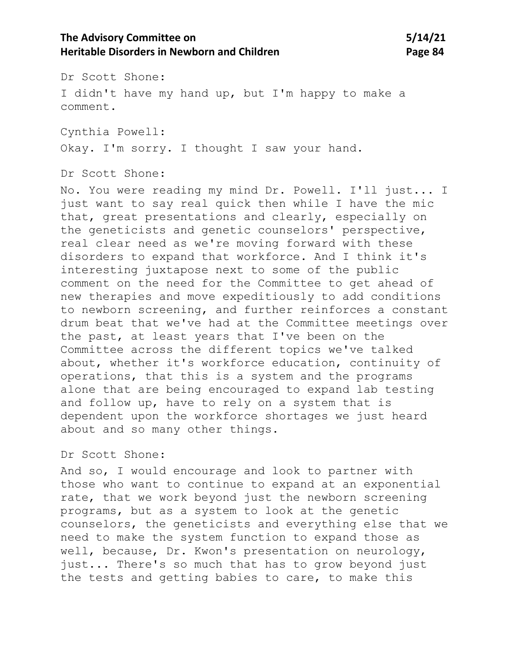# **The Advisory Committee on 5/14/21 Heritable Disorders in Newborn and Children Manual State 84 Page 84**

Dr Scott Shone: I didn't have my hand up, but I'm happy to make a comment.

Cynthia Powell: Okay. I'm sorry. I thought I saw your hand.

Dr Scott Shone:

No. You were reading my mind Dr. Powell. I'll just... I just want to say real quick then while I have the mic that, great presentations and clearly, especially on the geneticists and genetic counselors' perspective, real clear need as we're moving forward with these disorders to expand that workforce. And I think it's interesting juxtapose next to some of the public comment on the need for the Committee to get ahead of new therapies and move expeditiously to add conditions to newborn screening, and further reinforces a constant drum beat that we've had at the Committee meetings over the past, at least years that I've been on the Committee across the different topics we've talked about, whether it's workforce education, continuity of operations, that this is a system and the programs alone that are being encouraged to expand lab testing and follow up, have to rely on a system that is dependent upon the workforce shortages we just heard about and so many other things.

### Dr Scott Shone:

And so, I would encourage and look to partner with those who want to continue to expand at an exponential rate, that we work beyond just the newborn screening programs, but as a system to look at the genetic counselors, the geneticists and everything else that we need to make the system function to expand those as well, because, Dr. Kwon's presentation on neurology, just... There's so much that has to grow beyond just the tests and getting babies to care, to make this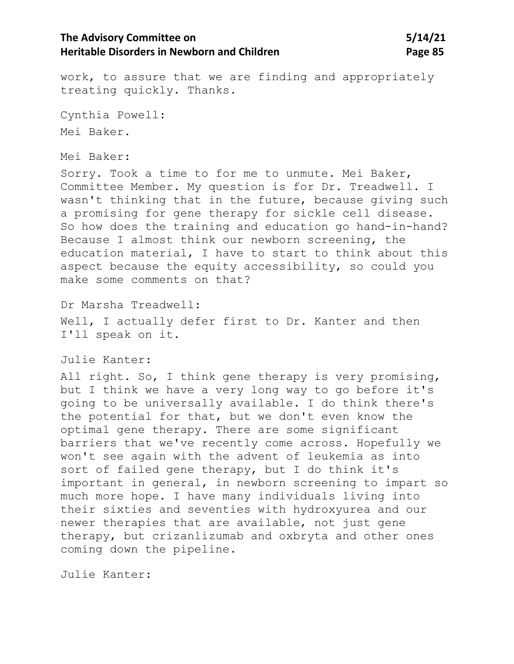# **The Advisory Committee on 5/14/21 Heritable Disorders in Newborn and Children Manual State 85 Page 85**

work, to assure that we are finding and appropriately treating quickly. Thanks.

Cynthia Powell: Mei Baker.

#### Mei Baker:

Sorry. Took a time to for me to unmute. Mei Baker, Committee Member. My question is for Dr. Treadwell. I wasn't thinking that in the future, because giving such a promising for gene therapy for sickle cell disease. So how does the training and education go hand-in-hand? Because I almost think our newborn screening, the education material, I have to start to think about this aspect because the equity accessibility, so could you make some comments on that?

Dr Marsha Treadwell:

Well, I actually defer first to Dr. Kanter and then I'll speak on it.

Julie Kanter:

All right. So, I think gene therapy is very promising, but I think we have a very long way to go before it's going to be universally available. I do think there's the potential for that, but we don't even know the optimal gene therapy. There are some significant barriers that we've recently come across. Hopefully we won't see again with the advent of leukemia as into sort of failed gene therapy, but I do think it's important in general, in newborn screening to impart so much more hope. I have many individuals living into their sixties and seventies with hydroxyurea and our newer therapies that are available, not just gene therapy, but crizanlizumab and oxbryta and other ones coming down the pipeline.

Julie Kanter: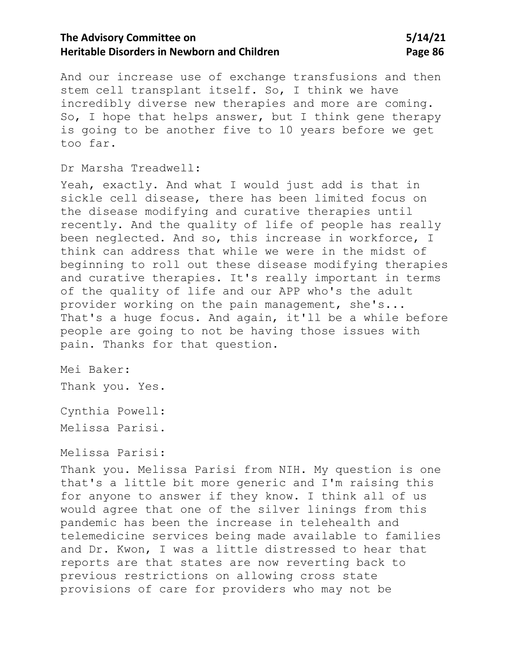And our increase use of exchange transfusions and then stem cell transplant itself. So, I think we have incredibly diverse new therapies and more are coming. So, I hope that helps answer, but I think gene therapy is going to be another five to 10 years before we get too far.

### Dr Marsha Treadwell:

Yeah, exactly. And what I would just add is that in sickle cell disease, there has been limited focus on the disease modifying and curative therapies until recently. And the quality of life of people has really been neglected. And so, this increase in workforce, I think can address that while we were in the midst of beginning to roll out these disease modifying therapies and curative therapies. It's really important in terms of the quality of life and our APP who's the adult provider working on the pain management, she's... That's a huge focus. And again, it'll be a while before people are going to not be having those issues with pain. Thanks for that question.

Mei Baker:

Thank you. Yes.

Cynthia Powell: Melissa Parisi.

Melissa Parisi:

Thank you. Melissa Parisi from NIH. My question is one that's a little bit more generic and I'm raising this for anyone to answer if they know. I think all of us would agree that one of the silver linings from this pandemic has been the increase in telehealth and telemedicine services being made available to families and Dr. Kwon, I was a little distressed to hear that reports are that states are now reverting back to previous restrictions on allowing cross state provisions of care for providers who may not be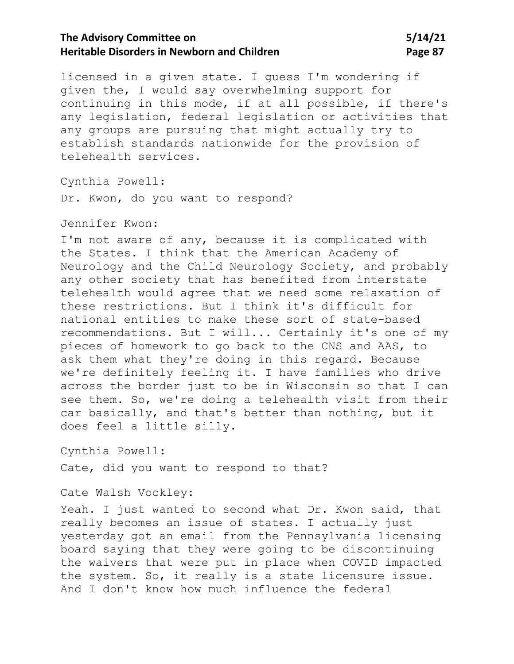# **The Advisory Committee on 5/14/21 Heritable Disorders in Newborn and Children Manual State 87 Page 87**

licensed in a given state. I guess I'm wondering if given the, I would say overwhelming support for continuing in this mode, if at all possible, if there's any legislation, federal legislation or activities that any groups are pursuing that might actually try to establish standards nationwide for the provision of telehealth services.

Cynthia Powell:

Dr. Kwon, do you want to respond?

### Jennifer Kwon:

I'm not aware of any, because it is complicated with the States. I think that the American Academy of Neurology and the Child Neurology Society, and probably any other society that has benefited from interstate telehealth would agree that we need some relaxation of these restrictions. But I think it's difficult for national entities to make these sort of state-based recommendations. But I will... Certainly it's one of my pieces of homework to go back to the CNS and AAS, to ask them what they're doing in this regard. Because we're definitely feeling it. I have families who drive across the border just to be in Wisconsin so that I can see them. So, we're doing a telehealth visit from their car basically, and that's better than nothing, but it does feel a little silly.

Cynthia Powell:

Cate, did you want to respond to that?

### Cate Walsh Vockley:

Yeah. I just wanted to second what Dr. Kwon said, that really becomes an issue of states. I actually just yesterday got an email from the Pennsylvania licensing board saying that they were going to be discontinuing the waivers that were put in place when COVID impacted the system. So, it really is a state licensure issue. And I don't know how much influence the federal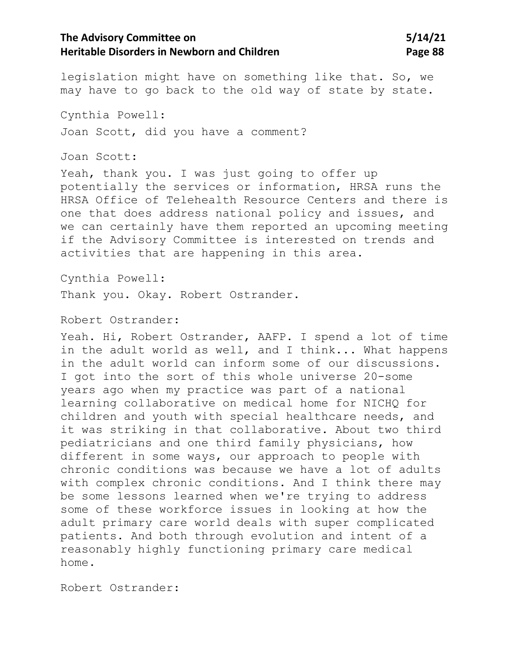legislation might have on something like that. So, we may have to go back to the old way of state by state.

Cynthia Powell: Joan Scott, did you have a comment?

Joan Scott:

Yeah, thank you. I was just going to offer up potentially the services or information, HRSA runs the HRSA Office of Telehealth Resource Centers and there is one that does address national policy and issues, and we can certainly have them reported an upcoming meeting if the Advisory Committee is interested on trends and activities that are happening in this area.

Cynthia Powell:

Thank you. Okay. Robert Ostrander.

Robert Ostrander:

Yeah. Hi, Robert Ostrander, AAFP. I spend a lot of time in the adult world as well, and I think... What happens in the adult world can inform some of our discussions. I got into the sort of this whole universe 20-some years ago when my practice was part of a national learning collaborative on medical home for NICHQ for children and youth with special healthcare needs, and it was striking in that collaborative. About two third pediatricians and one third family physicians, how different in some ways, our approach to people with chronic conditions was because we have a lot of adults with complex chronic conditions. And I think there may be some lessons learned when we're trying to address some of these workforce issues in looking at how the adult primary care world deals with super complicated patients. And both through evolution and intent of a reasonably highly functioning primary care medical home.

Robert Ostrander: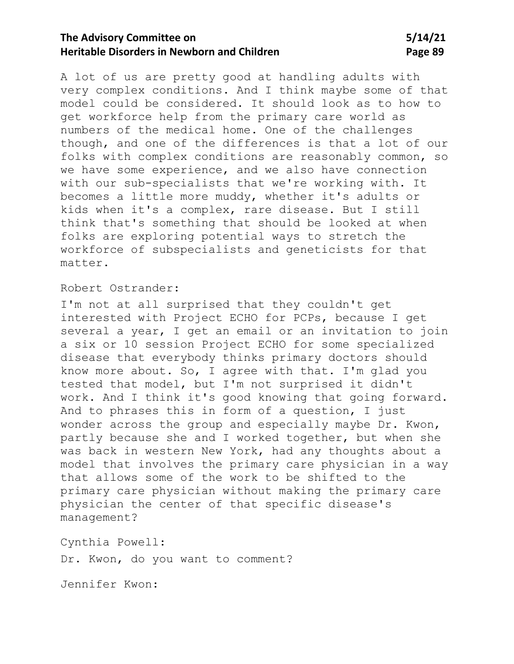A lot of us are pretty good at handling adults with very complex conditions. And I think maybe some of that model could be considered. It should look as to how to get workforce help from the primary care world as numbers of the medical home. One of the challenges though, and one of the differences is that a lot of our folks with complex conditions are reasonably common, so we have some experience, and we also have connection with our sub-specialists that we're working with. It becomes a little more muddy, whether it's adults or kids when it's a complex, rare disease. But I still think that's something that should be looked at when folks are exploring potential ways to stretch the workforce of subspecialists and geneticists for that matter.

### Robert Ostrander:

I'm not at all surprised that they couldn't get interested with Project ECHO for PCPs, because I get several a year, I get an email or an invitation to join a six or 10 session Project ECHO for some specialized disease that everybody thinks primary doctors should know more about. So, I agree with that. I'm glad you tested that model, but I'm not surprised it didn't work. And I think it's good knowing that going forward. And to phrases this in form of a question, I just wonder across the group and especially maybe Dr. Kwon, partly because she and I worked together, but when she was back in western New York, had any thoughts about a model that involves the primary care physician in a way that allows some of the work to be shifted to the primary care physician without making the primary care physician the center of that specific disease's management?

Cynthia Powell:

Dr. Kwon, do you want to comment?

Jennifer Kwon: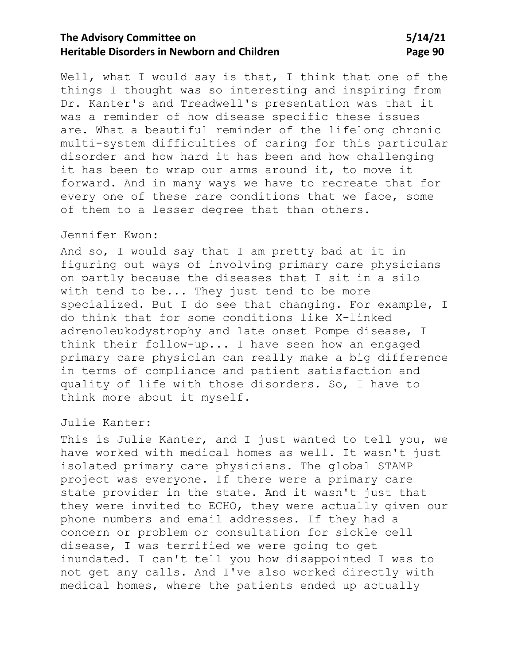Well, what I would say is that, I think that one of the things I thought was so interesting and inspiring from Dr. Kanter's and Treadwell's presentation was that it was a reminder of how disease specific these issues are. What a beautiful reminder of the lifelong chronic multi-system difficulties of caring for this particular disorder and how hard it has been and how challenging it has been to wrap our arms around it, to move it forward. And in many ways we have to recreate that for every one of these rare conditions that we face, some of them to a lesser degree that than others.

### Jennifer Kwon:

And so, I would say that I am pretty bad at it in figuring out ways of involving primary care physicians on partly because the diseases that I sit in a silo with tend to be... They just tend to be more specialized. But I do see that changing. For example, I do think that for some conditions like X-linked adrenoleukodystrophy and late onset Pompe disease, I think their follow-up... I have seen how an engaged primary care physician can really make a big difference in terms of compliance and patient satisfaction and quality of life with those disorders. So, I have to think more about it myself.

### Julie Kanter:

This is Julie Kanter, and I just wanted to tell you, we have worked with medical homes as well. It wasn't just isolated primary care physicians. The global STAMP project was everyone. If there were a primary care state provider in the state. And it wasn't just that they were invited to ECHO, they were actually given our phone numbers and email addresses. If they had a concern or problem or consultation for sickle cell disease, I was terrified we were going to get inundated. I can't tell you how disappointed I was to not get any calls. And I've also worked directly with medical homes, where the patients ended up actually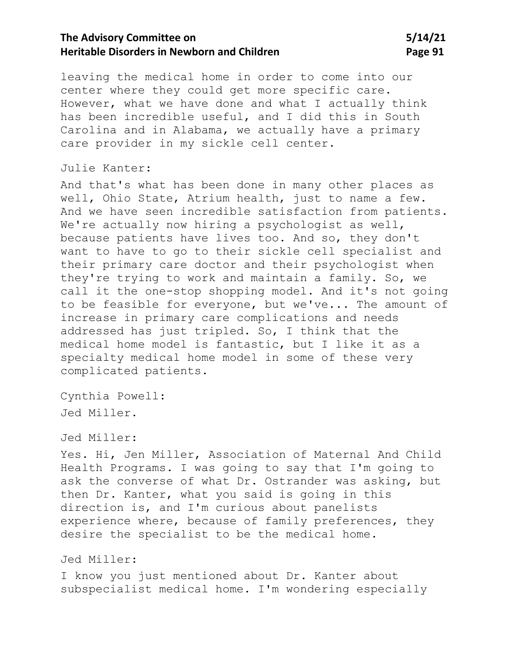# **The Advisory Committee on 5/14/21 Heritable Disorders in Newborn and Children Manual State State Page 91**

leaving the medical home in order to come into our center where they could get more specific care. However, what we have done and what I actually think has been incredible useful, and I did this in South Carolina and in Alabama, we actually have a primary care provider in my sickle cell center.

### Julie Kanter:

And that's what has been done in many other places as well, Ohio State, Atrium health, just to name a few. And we have seen incredible satisfaction from patients. We're actually now hiring a psychologist as well, because patients have lives too. And so, they don't want to have to go to their sickle cell specialist and their primary care doctor and their psychologist when they're trying to work and maintain a family. So, we call it the one-stop shopping model. And it's not going to be feasible for everyone, but we've... The amount of increase in primary care complications and needs addressed has just tripled. So, I think that the medical home model is fantastic, but I like it as a specialty medical home model in some of these very complicated patients.

Cynthia Powell: Jed Miller.

#### Jed Miller:

Yes. Hi, Jen Miller, Association of Maternal And Child Health Programs. I was going to say that I'm going to ask the converse of what Dr. Ostrander was asking, but then Dr. Kanter, what you said is going in this direction is, and I'm curious about panelists experience where, because of family preferences, they desire the specialist to be the medical home.

### Jed Miller:

I know you just mentioned about Dr. Kanter about subspecialist medical home. I'm wondering especially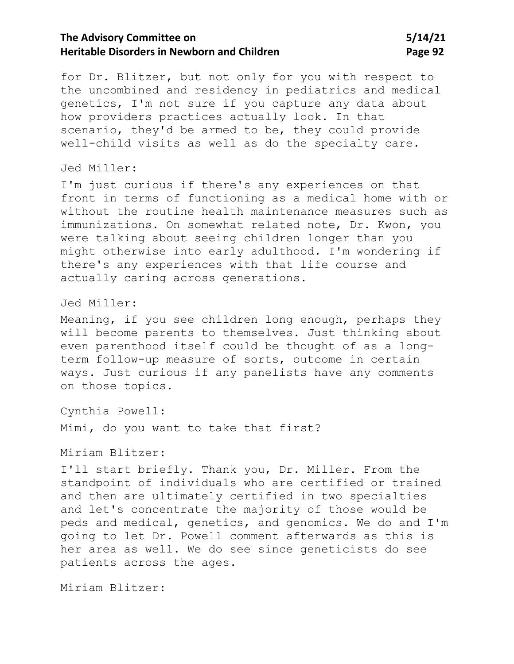# **The Advisory Committee on 5/14/21 Heritable Disorders in Newborn and Children Manual State 10 and Page 92**

for Dr. Blitzer, but not only for you with respect to the uncombined and residency in pediatrics and medical genetics, I'm not sure if you capture any data about how providers practices actually look. In that scenario, they'd be armed to be, they could provide well-child visits as well as do the specialty care.

### Jed Miller:

I'm just curious if there's any experiences on that front in terms of functioning as a medical home with or without the routine health maintenance measures such as immunizations. On somewhat related note, Dr. Kwon, you were talking about seeing children longer than you might otherwise into early adulthood. I'm wondering if there's any experiences with that life course and actually caring across generations.

#### Jed Miller:

Meaning, if you see children long enough, perhaps they will become parents to themselves. Just thinking about even parenthood itself could be thought of as a longterm follow-up measure of sorts, outcome in certain ways. Just curious if any panelists have any comments on those topics.

Cynthia Powell:

Mimi, do you want to take that first?

Miriam Blitzer:

I'll start briefly. Thank you, Dr. Miller. From the standpoint of individuals who are certified or trained and then are ultimately certified in two specialties and let's concentrate the majority of those would be peds and medical, genetics, and genomics. We do and I'm going to let Dr. Powell comment afterwards as this is her area as well. We do see since geneticists do see patients across the ages.

Miriam Blitzer: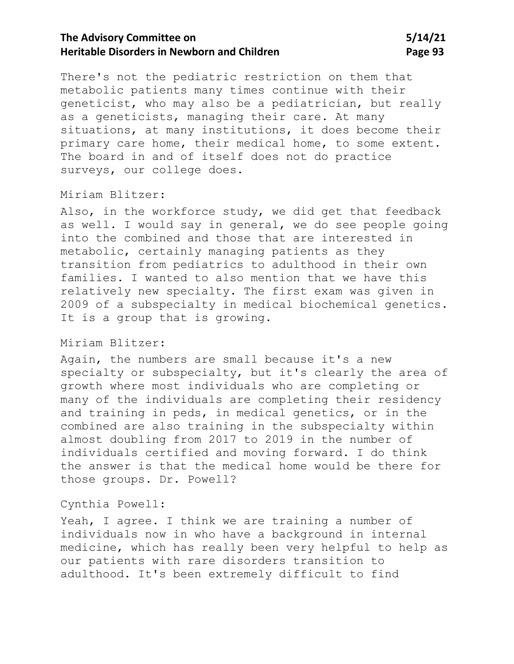There's not the pediatric restriction on them that metabolic patients many times continue with their geneticist, who may also be a pediatrician, but really as a geneticists, managing their care. At many situations, at many institutions, it does become their primary care home, their medical home, to some extent. The board in and of itself does not do practice surveys, our college does.

### Miriam Blitzer:

Also, in the workforce study, we did get that feedback as well. I would say in general, we do see people going into the combined and those that are interested in metabolic, certainly managing patients as they transition from pediatrics to adulthood in their own families. I wanted to also mention that we have this relatively new specialty. The first exam was given in 2009 of a subspecialty in medical biochemical genetics. It is a group that is growing.

### Miriam Blitzer:

Again, the numbers are small because it's a new specialty or subspecialty, but it's clearly the area of growth where most individuals who are completing or many of the individuals are completing their residency and training in peds, in medical genetics, or in the combined are also training in the subspecialty within almost doubling from 2017 to 2019 in the number of individuals certified and moving forward. I do think the answer is that the medical home would be there for those groups. Dr. Powell?

#### Cynthia Powell:

Yeah, I agree. I think we are training a number of individuals now in who have a background in internal medicine, which has really been very helpful to help as our patients with rare disorders transition to adulthood. It's been extremely difficult to find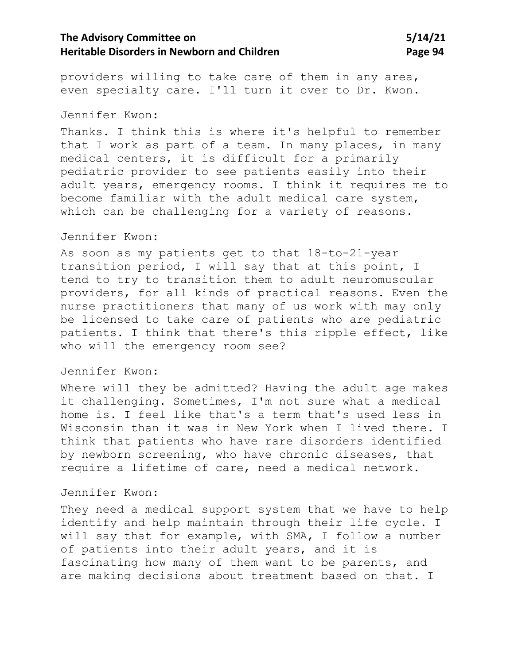# **The Advisory Committee on 5/14/21 Heritable Disorders in Newborn and Children Manual State 1948 Page 94**

providers willing to take care of them in any area, even specialty care. I'll turn it over to Dr. Kwon.

#### Jennifer Kwon:

Thanks. I think this is where it's helpful to remember that I work as part of a team. In many places, in many medical centers, it is difficult for a primarily pediatric provider to see patients easily into their adult years, emergency rooms. I think it requires me to become familiar with the adult medical care system, which can be challenging for a variety of reasons.

### Jennifer Kwon:

As soon as my patients get to that 18-to-21-year transition period, I will say that at this point, I tend to try to transition them to adult neuromuscular providers, for all kinds of practical reasons. Even the nurse practitioners that many of us work with may only be licensed to take care of patients who are pediatric patients. I think that there's this ripple effect, like who will the emergency room see?

#### Jennifer Kwon:

Where will they be admitted? Having the adult age makes it challenging. Sometimes, I'm not sure what a medical home is. I feel like that's a term that's used less in Wisconsin than it was in New York when I lived there. I think that patients who have rare disorders identified by newborn screening, who have chronic diseases, that require a lifetime of care, need a medical network.

#### Jennifer Kwon:

They need a medical support system that we have to help identify and help maintain through their life cycle. I will say that for example, with SMA, I follow a number of patients into their adult years, and it is fascinating how many of them want to be parents, and are making decisions about treatment based on that. I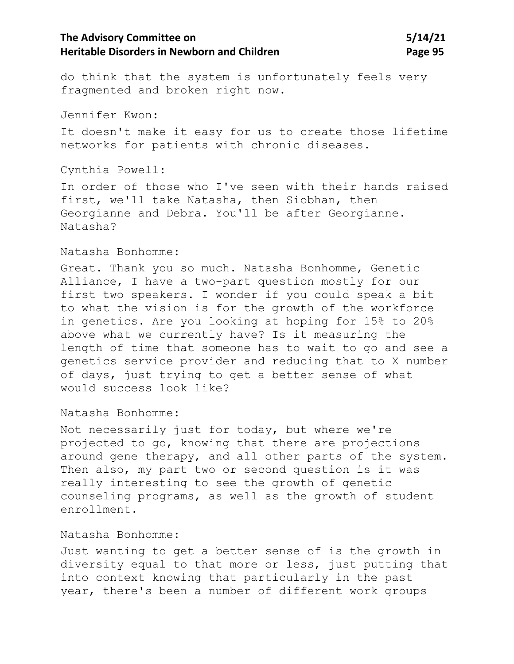# **The Advisory Committee on 5/14/21 Heritable Disorders in Newborn and Children Manual State 19 and Page 95**

do think that the system is unfortunately feels very fragmented and broken right now.

Jennifer Kwon:

It doesn't make it easy for us to create those lifetime networks for patients with chronic diseases.

Cynthia Powell:

In order of those who I've seen with their hands raised first, we'll take Natasha, then Siobhan, then Georgianne and Debra. You'll be after Georgianne. Natasha?

#### Natasha Bonhomme:

Great. Thank you so much. Natasha Bonhomme, Genetic Alliance, I have a two-part question mostly for our first two speakers. I wonder if you could speak a bit to what the vision is for the growth of the workforce in genetics. Are you looking at hoping for 15% to 20% above what we currently have? Is it measuring the length of time that someone has to wait to go and see a genetics service provider and reducing that to X number of days, just trying to get a better sense of what would success look like?

Natasha Bonhomme:

Not necessarily just for today, but where we're projected to go, knowing that there are projections around gene therapy, and all other parts of the system. Then also, my part two or second question is it was really interesting to see the growth of genetic counseling programs, as well as the growth of student enrollment.

#### Natasha Bonhomme:

Just wanting to get a better sense of is the growth in diversity equal to that more or less, just putting that into context knowing that particularly in the past year, there's been a number of different work groups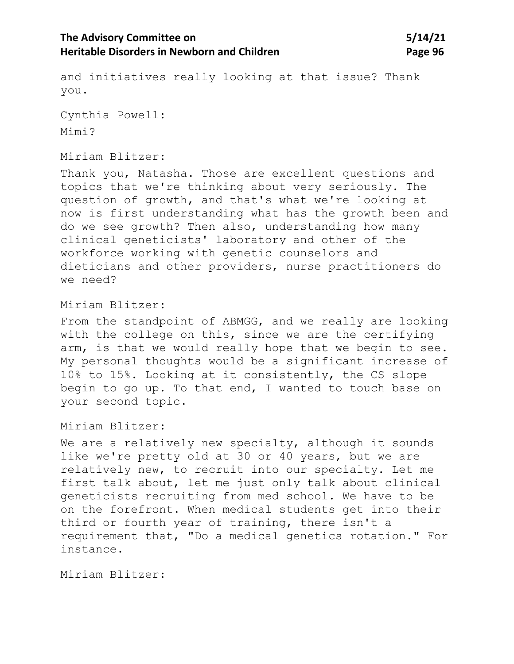# **The Advisory Committee on 5/14/21 Heritable Disorders in Newborn and Children Manual State 1988 Page 96**

and initiatives really looking at that issue? Thank you.

Cynthia Powell: Mimi?

### Miriam Blitzer:

Thank you, Natasha. Those are excellent questions and topics that we're thinking about very seriously. The question of growth, and that's what we're looking at now is first understanding what has the growth been and do we see growth? Then also, understanding how many clinical geneticists' laboratory and other of the workforce working with genetic counselors and dieticians and other providers, nurse practitioners do we need?

#### Miriam Blitzer:

From the standpoint of ABMGG, and we really are looking with the college on this, since we are the certifying arm, is that we would really hope that we begin to see. My personal thoughts would be a significant increase of 10% to 15%. Looking at it consistently, the CS slope begin to go up. To that end, I wanted to touch base on your second topic.

### Miriam Blitzer:

We are a relatively new specialty, although it sounds like we're pretty old at 30 or 40 years, but we are relatively new, to recruit into our specialty. Let me first talk about, let me just only talk about clinical geneticists recruiting from med school. We have to be on the forefront. When medical students get into their third or fourth year of training, there isn't a requirement that, "Do a medical genetics rotation." For instance.

Miriam Blitzer: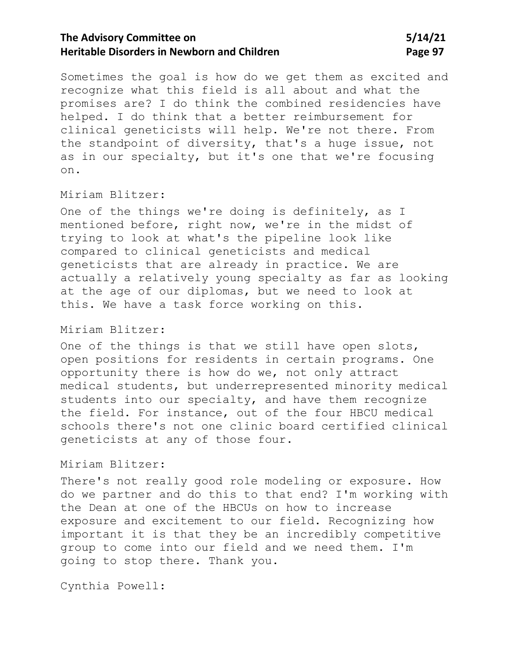# **The Advisory Committee on 5/14/21 Heritable Disorders in Newborn and Children Manual State 19 and Page 97**

Sometimes the goal is how do we get them as excited and recognize what this field is all about and what the promises are? I do think the combined residencies have helped. I do think that a better reimbursement for clinical geneticists will help. We're not there. From the standpoint of diversity, that's a huge issue, not as in our specialty, but it's one that we're focusing on.

### Miriam Blitzer:

One of the things we're doing is definitely, as I mentioned before, right now, we're in the midst of trying to look at what's the pipeline look like compared to clinical geneticists and medical geneticists that are already in practice. We are actually a relatively young specialty as far as looking at the age of our diplomas, but we need to look at this. We have a task force working on this.

#### Miriam Blitzer:

One of the things is that we still have open slots, open positions for residents in certain programs. One opportunity there is how do we, not only attract medical students, but underrepresented minority medical students into our specialty, and have them recognize the field. For instance, out of the four HBCU medical schools there's not one clinic board certified clinical geneticists at any of those four.

#### Miriam Blitzer:

There's not really good role modeling or exposure. How do we partner and do this to that end? I'm working with the Dean at one of the HBCUs on how to increase exposure and excitement to our field. Recognizing how important it is that they be an incredibly competitive group to come into our field and we need them. I'm going to stop there. Thank you.

Cynthia Powell: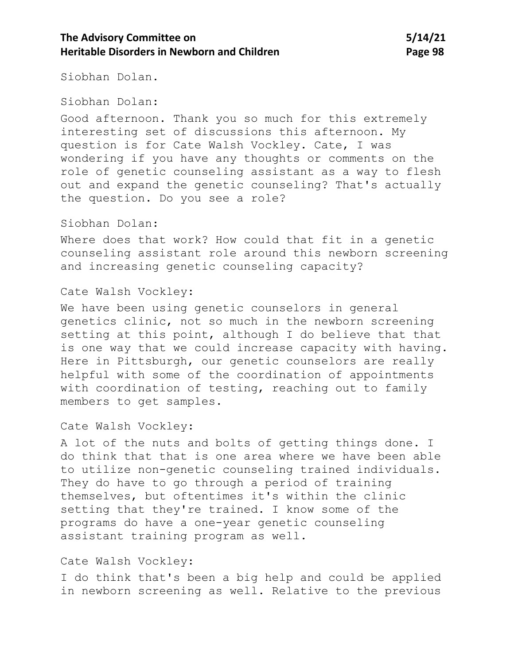# **The Advisory Committee on 5/14/21 Heritable Disorders in Newborn and Children Manual State 1988 Page 98**

Siobhan Dolan.

Siobhan Dolan:

Good afternoon. Thank you so much for this extremely interesting set of discussions this afternoon. My question is for Cate Walsh Vockley. Cate, I was wondering if you have any thoughts or comments on the role of genetic counseling assistant as a way to flesh out and expand the genetic counseling? That's actually the question. Do you see a role?

### Siobhan Dolan:

Where does that work? How could that fit in a genetic counseling assistant role around this newborn screening and increasing genetic counseling capacity?

#### Cate Walsh Vockley:

We have been using genetic counselors in general genetics clinic, not so much in the newborn screening setting at this point, although I do believe that that is one way that we could increase capacity with having. Here in Pittsburgh, our genetic counselors are really helpful with some of the coordination of appointments with coordination of testing, reaching out to family members to get samples.

### Cate Walsh Vockley:

A lot of the nuts and bolts of getting things done. I do think that that is one area where we have been able to utilize non-genetic counseling trained individuals. They do have to go through a period of training themselves, but oftentimes it's within the clinic setting that they're trained. I know some of the programs do have a one-year genetic counseling assistant training program as well.

### Cate Walsh Vockley:

I do think that's been a big help and could be applied in newborn screening as well. Relative to the previous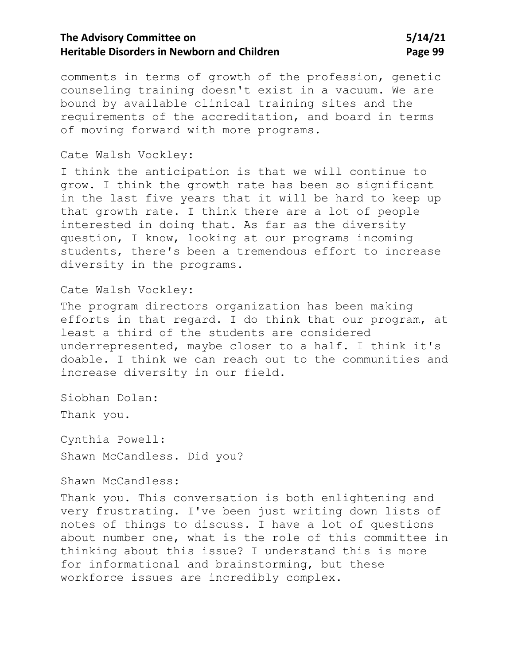comments in terms of growth of the profession, genetic counseling training doesn't exist in a vacuum. We are bound by available clinical training sites and the requirements of the accreditation, and board in terms of moving forward with more programs.

#### Cate Walsh Vockley:

I think the anticipation is that we will continue to grow. I think the growth rate has been so significant in the last five years that it will be hard to keep up that growth rate. I think there are a lot of people interested in doing that. As far as the diversity question, I know, looking at our programs incoming students, there's been a tremendous effort to increase diversity in the programs.

#### Cate Walsh Vockley:

The program directors organization has been making efforts in that regard. I do think that our program, at least a third of the students are considered underrepresented, maybe closer to a half. I think it's doable. I think we can reach out to the communities and increase diversity in our field.

Siobhan Dolan:

Thank you.

Cynthia Powell: Shawn McCandless. Did you?

### Shawn McCandless:

Thank you. This conversation is both enlightening and very frustrating. I've been just writing down lists of notes of things to discuss. I have a lot of questions about number one, what is the role of this committee in thinking about this issue? I understand this is more for informational and brainstorming, but these workforce issues are incredibly complex.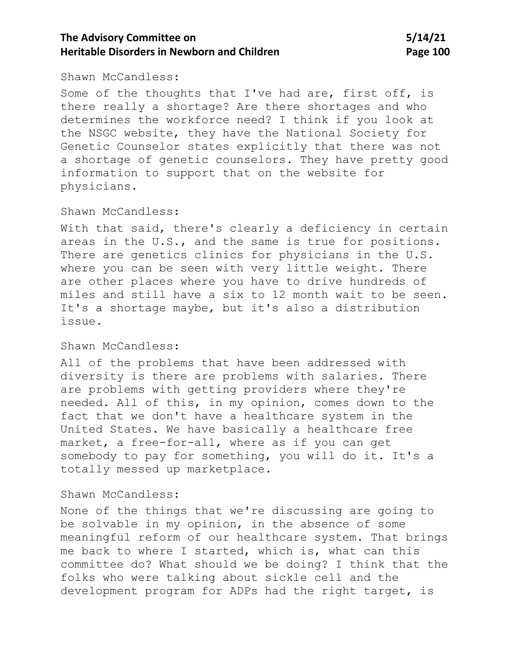#### Shawn McCandless:

Some of the thoughts that I've had are, first off, is there really a shortage? Are there shortages and who determines the workforce need? I think if you look at the NSGC website, they have the National Society for Genetic Counselor states explicitly that there was not a shortage of genetic counselors. They have pretty good information to support that on the website for physicians.

### Shawn McCandless:

With that said, there's clearly a deficiency in certain areas in the U.S., and the same is true for positions. There are genetics clinics for physicians in the U.S. where you can be seen with very little weight. There are other places where you have to drive hundreds of miles and still have a six to 12 month wait to be seen. It's a shortage maybe, but it's also a distribution issue.

### Shawn McCandless:

All of the problems that have been addressed with diversity is there are problems with salaries. There are problems with getting providers where they're needed. All of this, in my opinion, comes down to the fact that we don't have a healthcare system in the United States. We have basically a healthcare free market, a free-for-all, where as if you can get somebody to pay for something, you will do it. It's a totally messed up marketplace.

#### Shawn McCandless:

None of the things that we're discussing are going to be solvable in my opinion, in the absence of some meaningful reform of our healthcare system. That brings me back to where I started, which is, what can this committee do? What should we be doing? I think that the folks who were talking about sickle cell and the development program for ADPs had the right target, is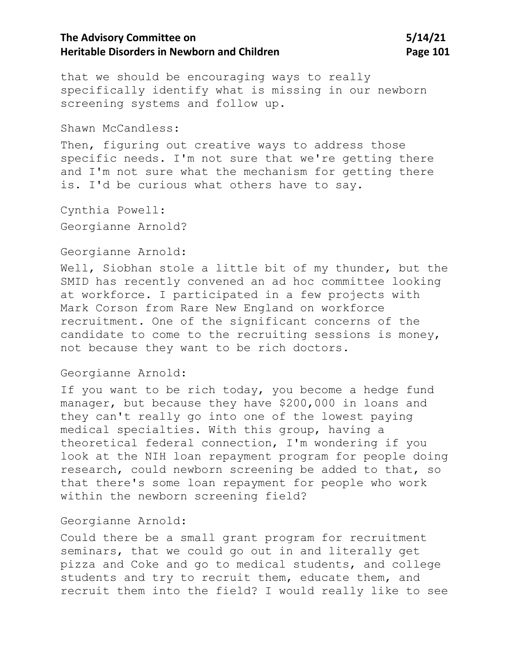that we should be encouraging ways to really specifically identify what is missing in our newborn screening systems and follow up.

Shawn McCandless:

Then, figuring out creative ways to address those specific needs. I'm not sure that we're getting there and I'm not sure what the mechanism for getting there is. I'd be curious what others have to say.

Cynthia Powell: Georgianne Arnold?

#### Georgianne Arnold:

Well, Siobhan stole a little bit of my thunder, but the SMID has recently convened an ad hoc committee looking at workforce. I participated in a few projects with Mark Corson from Rare New England on workforce recruitment. One of the significant concerns of the candidate to come to the recruiting sessions is money, not because they want to be rich doctors.

### Georgianne Arnold:

If you want to be rich today, you become a hedge fund manager, but because they have \$200,000 in loans and they can't really go into one of the lowest paying medical specialties. With this group, having a theoretical federal connection, I'm wondering if you look at the NIH loan repayment program for people doing research, could newborn screening be added to that, so that there's some loan repayment for people who work within the newborn screening field?

### Georgianne Arnold:

Could there be a small grant program for recruitment seminars, that we could go out in and literally get pizza and Coke and go to medical students, and college students and try to recruit them, educate them, and recruit them into the field? I would really like to see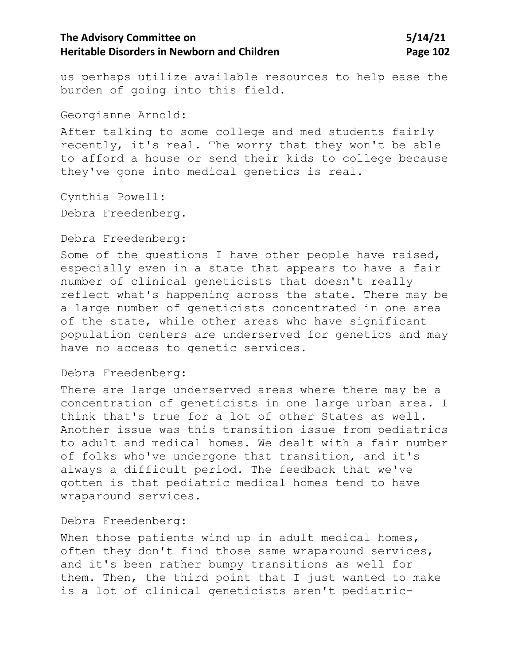us perhaps utilize available resources to help ease the burden of going into this field.

Georgianne Arnold:

After talking to some college and med students fairly recently, it's real. The worry that they won't be able to afford a house or send their kids to college because they've gone into medical genetics is real.

Cynthia Powell:

Debra Freedenberg.

Debra Freedenberg:

Some of the questions I have other people have raised, especially even in a state that appears to have a fair number of clinical geneticists that doesn't really reflect what's happening across the state. There may be a large number of geneticists concentrated in one area of the state, while other areas who have significant population centers are underserved for genetics and may have no access to genetic services.

### Debra Freedenberg:

There are large underserved areas where there may be a concentration of geneticists in one large urban area. I think that's true for a lot of other States as well. Another issue was this transition issue from pediatrics to adult and medical homes. We dealt with a fair number of folks who've undergone that transition, and it's always a difficult period. The feedback that we've gotten is that pediatric medical homes tend to have wraparound services.

#### Debra Freedenberg:

When those patients wind up in adult medical homes, often they don't find those same wraparound services, and it's been rather bumpy transitions as well for them. Then, the third point that I just wanted to make is a lot of clinical geneticists aren't pediatric-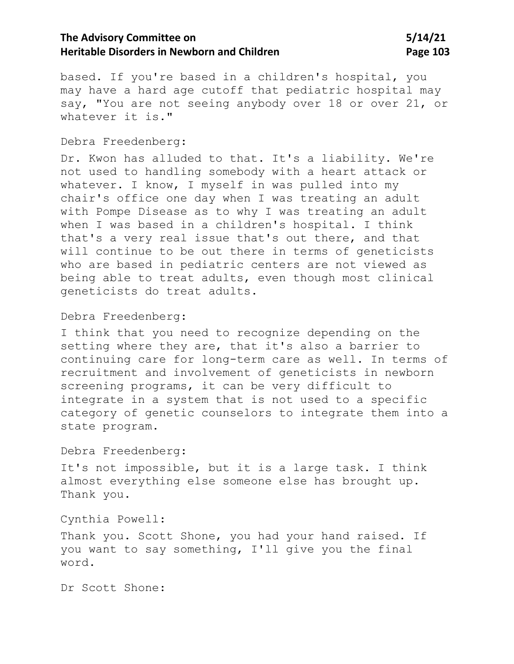based. If you're based in a children's hospital, you may have a hard age cutoff that pediatric hospital may say, "You are not seeing anybody over 18 or over 21, or whatever it is."

#### Debra Freedenberg:

Dr. Kwon has alluded to that. It's a liability. We're not used to handling somebody with a heart attack or whatever. I know, I myself in was pulled into my chair's office one day when I was treating an adult with Pompe Disease as to why I was treating an adult when I was based in a children's hospital. I think that's a very real issue that's out there, and that will continue to be out there in terms of geneticists who are based in pediatric centers are not viewed as being able to treat adults, even though most clinical geneticists do treat adults.

### Debra Freedenberg:

I think that you need to recognize depending on the setting where they are, that it's also a barrier to continuing care for long-term care as well. In terms of recruitment and involvement of geneticists in newborn screening programs, it can be very difficult to integrate in a system that is not used to a specific category of genetic counselors to integrate them into a state program.

#### Debra Freedenberg:

It's not impossible, but it is a large task. I think almost everything else someone else has brought up. Thank you.

Cynthia Powell:

Thank you. Scott Shone, you had your hand raised. If you want to say something, I'll give you the final word.

Dr Scott Shone: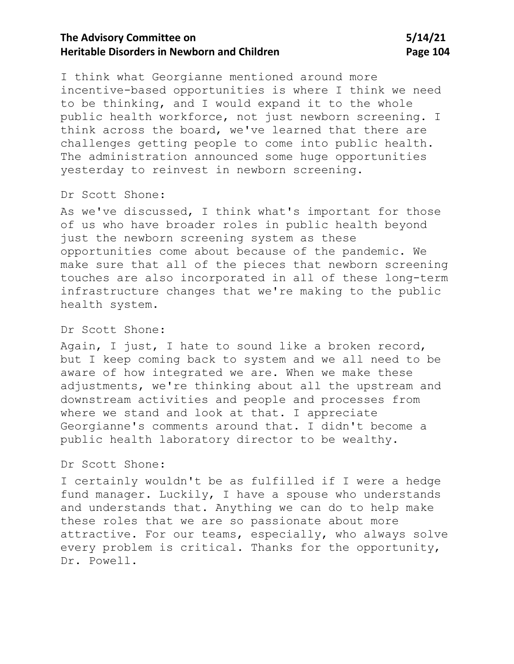I think what Georgianne mentioned around more incentive-based opportunities is where I think we need to be thinking, and I would expand it to the whole public health workforce, not just newborn screening. I think across the board, we've learned that there are challenges getting people to come into public health. The administration announced some huge opportunities yesterday to reinvest in newborn screening.

#### Dr Scott Shone:

As we've discussed, I think what's important for those of us who have broader roles in public health beyond just the newborn screening system as these opportunities come about because of the pandemic. We make sure that all of the pieces that newborn screening touches are also incorporated in all of these long-term infrastructure changes that we're making to the public health system.

#### Dr Scott Shone:

Again, I just, I hate to sound like a broken record, but I keep coming back to system and we all need to be aware of how integrated we are. When we make these adjustments, we're thinking about all the upstream and downstream activities and people and processes from where we stand and look at that. I appreciate Georgianne's comments around that. I didn't become a public health laboratory director to be wealthy.

#### Dr Scott Shone:

I certainly wouldn't be as fulfilled if I were a hedge fund manager. Luckily, I have a spouse who understands and understands that. Anything we can do to help make these roles that we are so passionate about more attractive. For our teams, especially, who always solve every problem is critical. Thanks for the opportunity, Dr. Powell.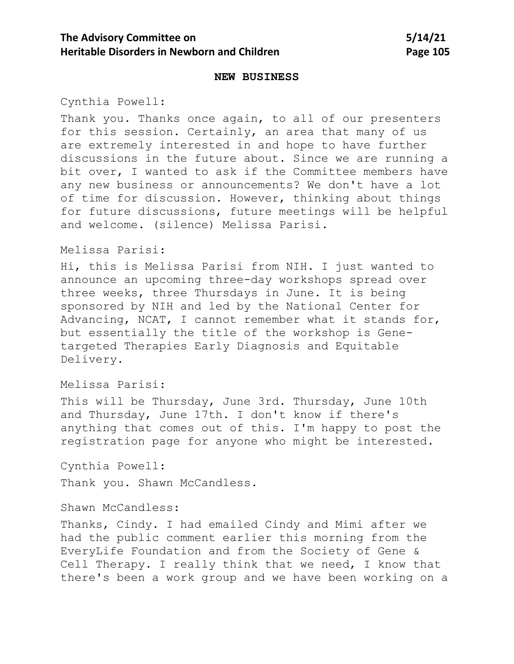#### **NEW BUSINESS**

Cynthia Powell:

Thank you. Thanks once again, to all of our presenters for this session. Certainly, an area that many of us are extremely interested in and hope to have further discussions in the future about. Since we are running a bit over, I wanted to ask if the Committee members have any new business or announcements? We don't have a lot of time for discussion. However, thinking about things for future discussions, future meetings will be helpful and welcome. (silence) Melissa Parisi.

#### Melissa Parisi:

Hi, this is Melissa Parisi from NIH. I just wanted to announce an upcoming three-day workshops spread over three weeks, three Thursdays in June. It is being sponsored by NIH and led by the National Center for Advancing, NCAT, I cannot remember what it stands for, but essentially the title of the workshop is Genetargeted Therapies Early Diagnosis and Equitable Delivery.

Melissa Parisi:

This will be Thursday, June 3rd. Thursday, June 10th and Thursday, June 17th. I don't know if there's anything that comes out of this. I'm happy to post the registration page for anyone who might be interested.

Cynthia Powell: Thank you. Shawn McCandless.

Shawn McCandless:

Thanks, Cindy. I had emailed Cindy and Mimi after we had the public comment earlier this morning from the EveryLife Foundation and from the Society of Gene & Cell Therapy. I really think that we need, I know that there's been a work group and we have been working on a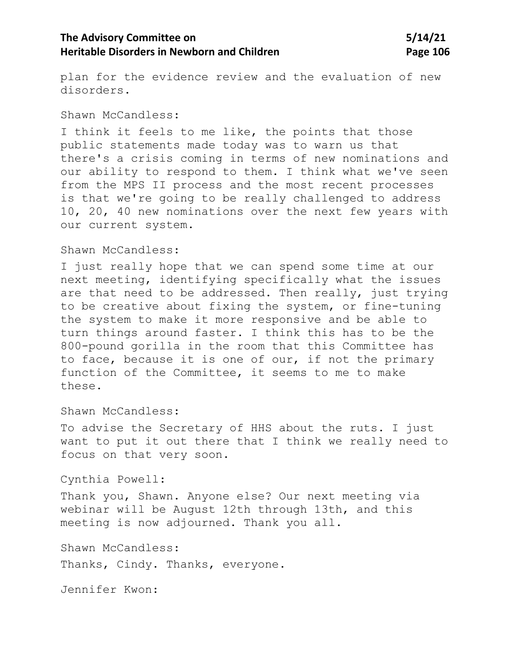plan for the evidence review and the evaluation of new disorders.

#### Shawn McCandless:

I think it feels to me like, the points that those public statements made today was to warn us that there's a crisis coming in terms of new nominations and our ability to respond to them. I think what we've seen from the MPS II process and the most recent processes is that we're going to be really challenged to address 10, 20, 40 new nominations over the next few years with our current system.

### Shawn McCandless:

I just really hope that we can spend some time at our next meeting, identifying specifically what the issues are that need to be addressed. Then really, just trying to be creative about fixing the system, or fine-tuning the system to make it more responsive and be able to turn things around faster. I think this has to be the 800-pound gorilla in the room that this Committee has to face, because it is one of our, if not the primary function of the Committee, it seems to me to make these.

Shawn McCandless:

To advise the Secretary of HHS about the ruts. I just want to put it out there that I think we really need to focus on that very soon.

Cynthia Powell:

Thank you, Shawn. Anyone else? Our next meeting via webinar will be August 12th through 13th, and this meeting is now adjourned. Thank you all.

Shawn McCandless:

Thanks, Cindy. Thanks, everyone.

Jennifer Kwon: